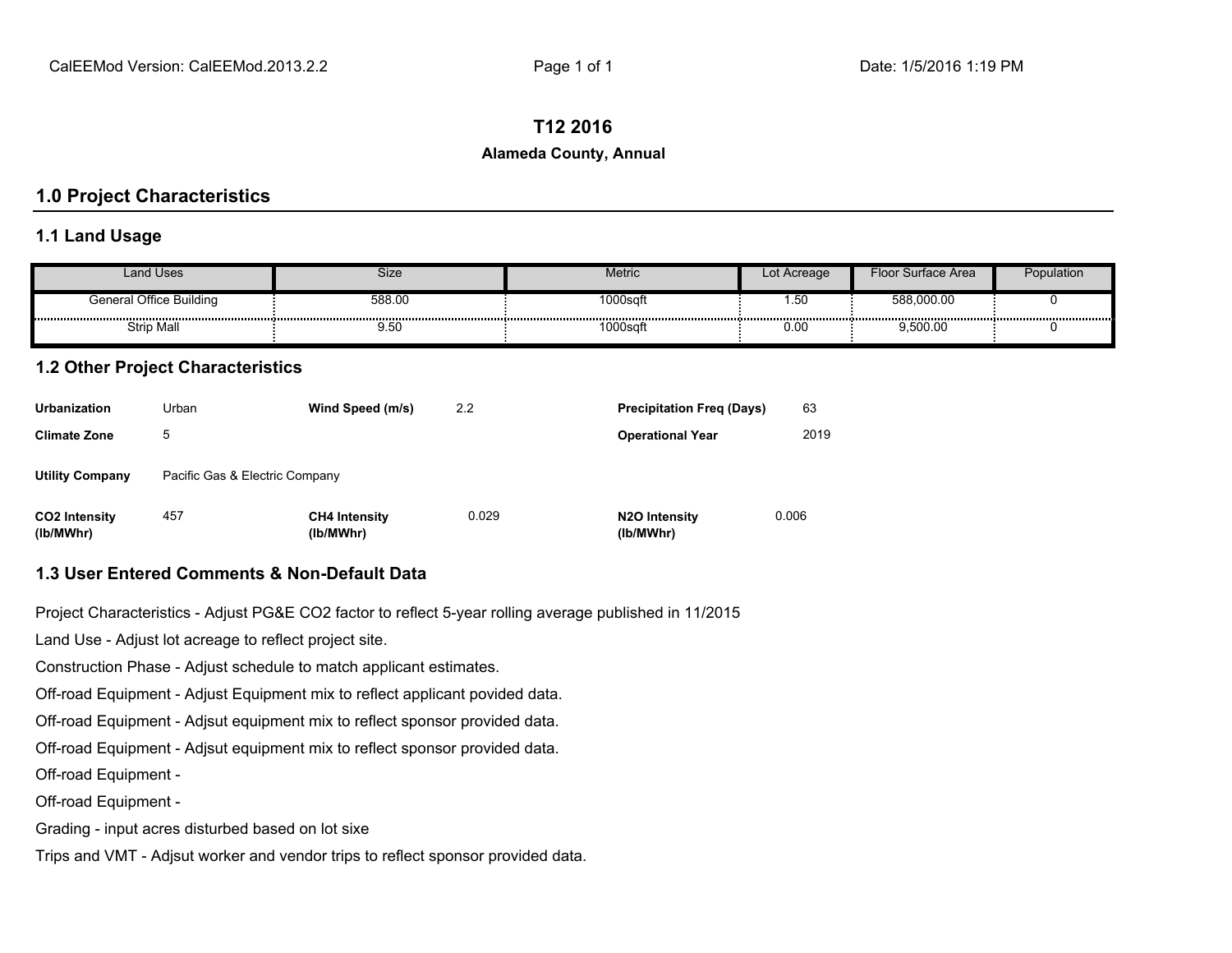#### **T12 2016**

#### **Alameda County, Annual**

### **1.0 Project Characteristics**

#### **1.1 Land Usage**

| Land Uses               | Size   | Metric  | Lot Acreage | Floor Surface Area | Population |
|-------------------------|--------|---------|-------------|--------------------|------------|
| General Office Building | 588.00 | l000sqf | טט. ו       | 588,000.00         |            |
| <b>Strip Mall</b>       | 9.50   | 000sa   | 0.00        | 9.500.00           |            |

#### **1.2 Other Project Characteristics**

| <b>Urbanization</b>               | Urban                          | Wind Speed (m/s)                  | 2.2   | <b>Precipitation Freg (Days)</b>        | 63    |
|-----------------------------------|--------------------------------|-----------------------------------|-------|-----------------------------------------|-------|
| <b>Climate Zone</b>               | 5                              |                                   |       | <b>Operational Year</b>                 | 2019  |
| <b>Utility Company</b>            | Pacific Gas & Electric Company |                                   |       |                                         |       |
| <b>CO2 Intensity</b><br>(lb/MWhr) | 457                            | <b>CH4 Intensity</b><br>(lb/MWhr) | 0.029 | N <sub>2</sub> O Intensity<br>(lb/MWhr) | 0.006 |

#### **1.3 User Entered Comments & Non-Default Data**

Project Characteristics - Adjust PG&E CO2 factor to reflect 5-year rolling average published in 11/2015

Land Use - Adjust lot acreage to reflect project site.

Construction Phase - Adjust schedule to match applicant estimates.

Off-road Equipment - Adjust Equipment mix to reflect applicant povided data.

Off-road Equipment - Adjsut equipment mix to reflect sponsor provided data.

Off-road Equipment - Adjsut equipment mix to reflect sponsor provided data.

Off-road Equipment -

Off-road Equipment -

Grading - input acres disturbed based on lot sixe

Trips and VMT - Adjsut worker and vendor trips to reflect sponsor provided data.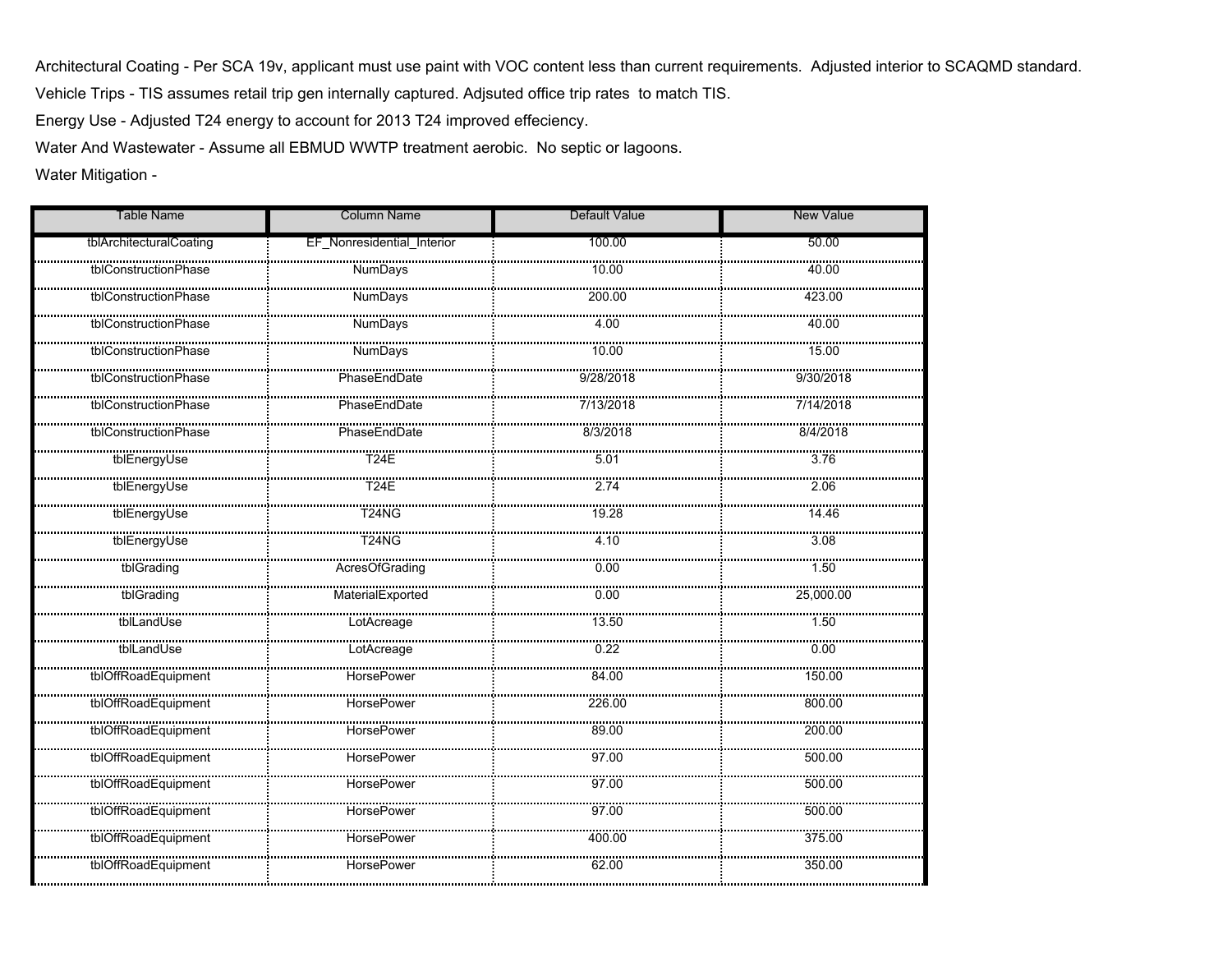Vehicle Trips - TIS assumes retail trip gen internally captured. Adjsuted office trip rates to match TIS.Architectural Coating - Per SCA 19v, applicant must use paint with VOC content less than current requirements. Adjusted interior to SCAQMD standard.

Energy Use - Adjusted T24 energy to account for 2013 T24 improved effeciency.

Water And Wastewater - Assume all EBMUD WWTP treatment aerobic. No septic or lagoons.

Water Mitigation -

| <b>Table Name</b>       | <b>Column Name</b>         | Default Value    | <b>New Value</b> |
|-------------------------|----------------------------|------------------|------------------|
| tblArchitecturalCoating | EF_Nonresidential_Interior | 100.00           | 50.00            |
| tblConstructionPhase    | <b>NumDays</b>             | 10.00            | 40.00            |
| tblConstructionPhase    |                            |                  | <br>423.00       |
| tblConstructionPhase    | <b>NumDays</b>             | 4.00             | 40.00            |
| tblConstructionPhase    | NumDays                    |                  |                  |
| tblConstructionPhase    | PhaseEndDate               | 9/28/2018        | 9/30/2018        |
| tblConstructionPhase    |                            |                  |                  |
| tblConstructionPhase    | PhaseEndDate               | 8/3/2018         | 8/4/2018         |
| tblEnergyUse            |                            |                  |                  |
| tblEnergyUse            | <br>T24E                   | 2.74             | 2.06             |
| tblEnergyUse            | T24NG                      | 19.28            | 14.46            |
| tblEnergyUse            |                            | 4.10             | 3.08             |
| tblGrading              | <br>AcresOfGrading         | $\frac{1}{0.00}$ | 1.50             |
| tblGrading              | MaterialExported           | 0.00             | 25,000.00        |
|                         |                            |                  |                  |
| tblLandUse              | LotAcreage                 | 0.22             | 0.00             |
|                         |                            |                  | 150.00           |
| tblOffRoadEquipment     | HorsePower                 | 226.00           | 800.00           |
| tblOffRoadEquipment     | <br>HorsePower<br>         | 89.00            | nggagg<br>200.00 |
| <br>tblOffRoadEquipment |                            | <br>97.00        | 500.00           |
| tblOffRoadEquipment     | <br>HorsePower             | <br>97.00        | <br>500.00       |
| tblOffRoadEquipment     | HorsePower                 | 97.00            | 500.00           |
| tblOffRoadEquipment     | <br>HorsePower             | 400.00           | 375.00           |
| <br>tblOffRoadEquipment | <br><b>HorsePower</b>      | 62.00            | 350.00           |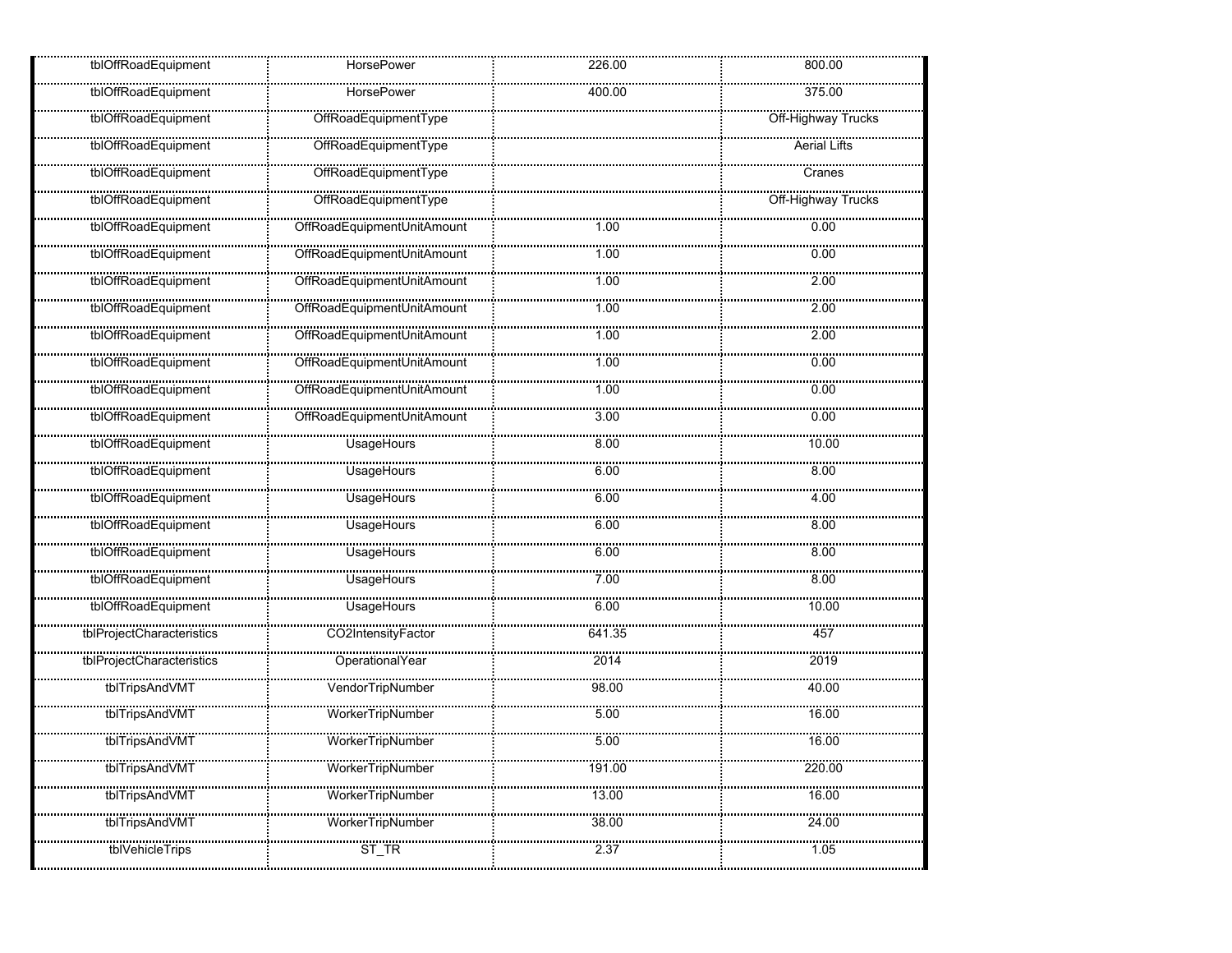| tblOffRoadEquipment            | HorsePower                      | 226.00           | 800.00                 |
|--------------------------------|---------------------------------|------------------|------------------------|
| tblOffRoadEquipment            | <b>HorsePower</b>               | 400.00           | 375.00                 |
| <u></u><br>tblOffRoadEquipment | <u></u><br>OffRoadEquipmentType |                  | <br>Off-Highway Trucks |
| tblOffRoadEquipment            |                                 |                  | <br>Aerial Lifts       |
| tblOffRoadEquipment            | <br>OffRoadEquipmentType        |                  | <br>Cranes             |
| tblOffRoadEquipment            | OffRoadEquipmentType            |                  | Off-Highway Trucks     |
| tblOffRoadEquipment            |                                 | 1.00             | 0.00                   |
| tblOffRoadEquipment            |                                 | 1.00             | 0.00                   |
| tblOffRoadEquipment            | OffRoadEquipmentUnitAmount      | 1.00             | 2.00                   |
| tblOffRoadEquipment            | OffRoadEquipmentUnitAmount      | 1.00             | 2.00                   |
| tblOffRoadEquipment            | OffRoadEquipmentUnitAmount      | 1.00             | 2.00                   |
| tblOffRoadEquipment            | OffRoadEquipmentUnitAmount      | 1.00             | 0.00                   |
| tblOffRoadEquipment            |                                 | mangan<br>1.00   | <br>0.00               |
| tblOffRoadEquipment            | OffRoadEquipmentUnitAmount      | 3.00             | 0.00                   |
| tblOffRoadEquipment            | <br>UsageHours                  | <br>8.00         | <br>10.00              |
| tblOffRoadEquipment            | UsageHours                      | 6.00             | 8.00                   |
| tblOffRoadEquipment            | UsageHours                      | 6.00             | 4.00                   |
| tblOffRoadEquipment            | <br>UsageHours                  | ,,,,,,,,<br>6.00 | <br>8.00               |
| tblOffRoadEquipment            | UsageHours                      | 6.00             | 8.00                   |
| tblOffRoadEquipment            | UsageHours                      | <br>7.00         | <br>8.00               |
| tblOffRoadEquipment            | UsageHours                      | 6.00             | 10.00                  |
| tblProjectCharacteristics      | CO2IntensityFactor              | 641.35           | 457                    |
| www.www.www.www.               | <br>OperationalYear             | <br>2014         | 2019                   |
| tblTripsAndVMT                 | VendorTripNumber                | <br>98.00        | <br>40.00              |
| tblTripsAndVMT                 | <br>WorkerTripNumber            | <br>5.00         | 16.00                  |
| tblTripsAndVMT                 | <br>WorkerTripNumber            | 500              | 16.00                  |
| <br>tblTripsAndVMT             | <br>WorkerTripNumber            | 191.00           | 220.00                 |
| tblTripsAndVMT                 | Worker I ripNumber              | 13.00            | 16.00                  |
| tblTripsAndVMT                 | <br>WorkerTripNumber            | 38.00            | 24.00                  |
| tbivehicle i rips              | ST TR                           | 2.37             | 1.05                   |
|                                |                                 |                  |                        |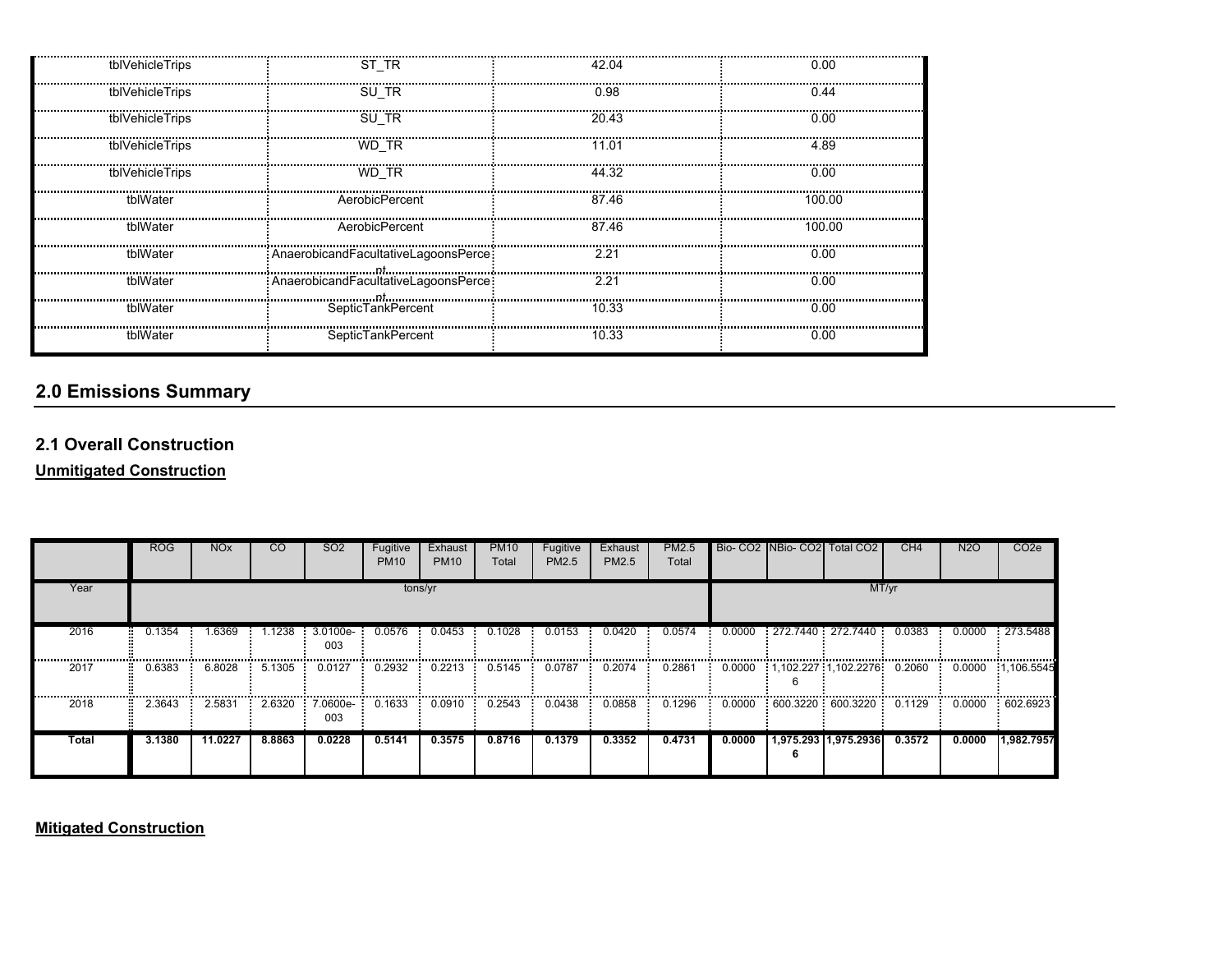| tblVehicleTrips | ST TR                                  | 42.04 | 0.00   |
|-----------------|----------------------------------------|-------|--------|
| tblVehicleTrips | SU TR                                  | 0.98  | 0.44   |
| tblVehicleTrips | SU TR                                  | 20.43 | 0.00   |
| tblVehicleTrips | WD TR                                  | 11.01 | 4.89   |
| tblVehicleTrips | WD TR                                  | 44.32 | 0.00   |
| tblWater        | AerobicPercent                         | 87.46 | 100.00 |
| tblWater        | AerobicPercent                         | 87.46 | 100.00 |
| tblWater        | : AnaerobicandFacultativeLagoonsPerce: | 2.21  | 0.00   |
| tblWater        | : AnaerobicandFacultativeLagoonsPerce: | 2.21  | 0.00   |
| tblWater        | SepticTankPercent                      | 10.33 | 0.00   |
| tblWater        | SepticTankPercent                      | 10.33 | 0.00   |

# **2.0 Emissions Summary**

### **2.1 Overall Construction**

**Unmitigated Construction**

|       | <b>ROG</b> | <b>NO<sub>x</sub></b> | <b>CO</b> | SO <sub>2</sub> | Fugitive<br><b>PM10</b> | Exhaust<br><b>PM10</b> | <b>PM10</b><br>Total | Fugitive<br>PM2.5 | Exhaust<br>PM2.5 | PM2.5<br>Total |        | Bio- CO2 INBio- CO2 Total CO2 | CH <sub>4</sub> | <b>N2O</b> | CO <sub>2</sub> e           |
|-------|------------|-----------------------|-----------|-----------------|-------------------------|------------------------|----------------------|-------------------|------------------|----------------|--------|-------------------------------|-----------------|------------|-----------------------------|
| Year  |            |                       |           |                 | tons/yr                 |                        |                      |                   |                  |                |        | MT/yr                         |                 |            |                             |
| 2016  | 0.1354     | 1.6369                | 1.1238    | 3.0100e-<br>003 | 0.0576                  | 0.0453                 | 0.1028               | 0.0153            | 0.0420           | 0.0574         | 0.0000 | 272.7440 272.7440             | 0.0383          | 0.0000     | 273.5488                    |
| 2017  | 0.6383     | 6.8028                | 5.1305    | 0.0127          | 0.2932                  | 0.2213                 | 0.5145               | 0.0787            | 0.2074           | 0.2861         | 0.0000 | $1.102.227 \cdot 1.102.2276$  | 0.2060          | 0.0000     | 1.106.5545                  |
| 2018  | 2.3643     | 2.5831                | 2.6320    | 7.0600e-<br>003 | 0.1633                  | 0.0910                 | 0.2543               | 0.0438            | 0.0858           | 0.1296         | 0.0000 | 600.3220 : 600.3220           | 0.1129          | 0.0000     | ,,,,,,,,,,,,,,,<br>602.6923 |
| Total | 3.1380     | 11.0227               | 8.8863    | 0.0228          | 0.5141                  | 0.3575                 | 0.8716               | 0.1379            | 0.3352           | 0.4731         | 0.0000 | 1,975.293 1,975.2936          | 0.3572          | 0.0000     | 1,982.7957                  |

**Mitigated Construction**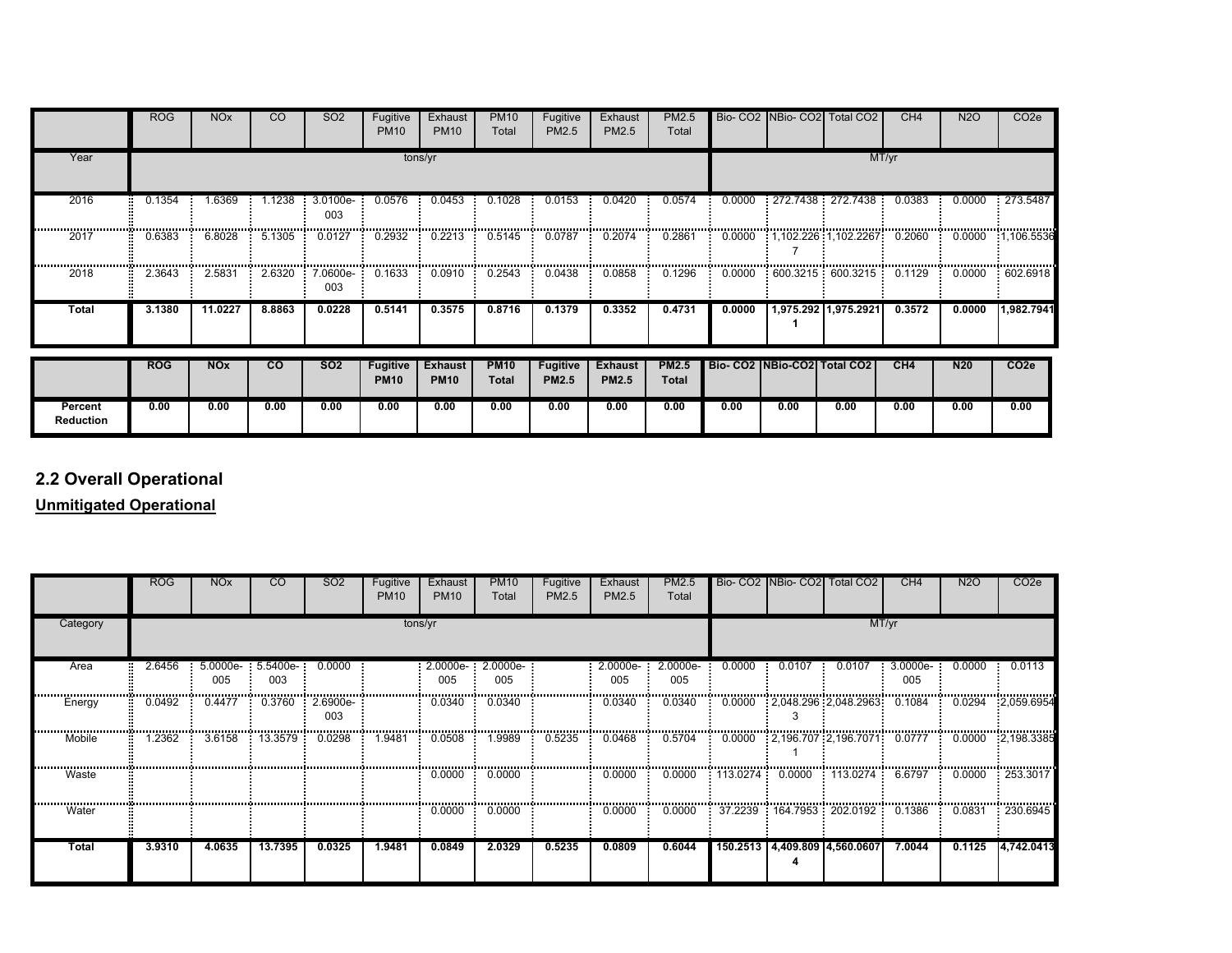|                             | <b>ROG</b> | <b>NO<sub>x</sub></b> | <sub>CO</sub>  | <b>SO2</b>      | Fugitive<br><b>PM10</b>        | Exhaust<br><b>PM10</b>        | <b>PM10</b><br>Total        | Fugitive<br>PM2.5               | Exhaust<br>PM2.5               | PM2.5<br>Total        |        |                                 | Bio- CO2 NBio- CO2 Total CO2 | CH4    | N2O             | CO <sub>2</sub> e |  |
|-----------------------------|------------|-----------------------|----------------|-----------------|--------------------------------|-------------------------------|-----------------------------|---------------------------------|--------------------------------|-----------------------|--------|---------------------------------|------------------------------|--------|-----------------|-------------------|--|
| Year                        |            |                       |                |                 |                                | tons/yr                       |                             |                                 |                                |                       | MT/yr  |                                 |                              |        |                 |                   |  |
| 2016                        | 0.1354     | 1.6369                | l.1238         | 3.0100e-<br>003 | 0.0576                         | 0.0453                        | 0.1028                      | 0.0153                          | 0.0420                         | 0.0574                | 0.0000 |                                 | : 272.7438 : 272.7438        | 0.0383 | 0.0000          | 273.5487          |  |
| 2017                        | 0.6383     | 6.8028                | 5.1305         | 0.0127          | 0.2932                         | 0.2213                        | 0.5145                      | 0.0787                          | 0.2074                         | 0.2861                | 0.0000 |                                 | $1,102.226$ $1,102.2267$     | 0.2060 | 0.0000          | 1,106.5536        |  |
| 2018                        | 2.3643     | 2.5831                | 2.6320         | 7.0600e-<br>003 | 0.1633                         | 0.0910                        | 0.2543                      | 0.0438                          | 0.0858                         | 0.1296                | 0.0000 |                                 | :600.3215:600.3215           | 0.1129 | 0.0000          | :602.6918         |  |
| Total                       | 3.1380     | 11.0227               | 8.8863         | 0.0228          | 0.5141                         | 0.3575                        | 0.8716                      | 0.1379                          | 0.3352                         | 0.4731                | 0.0000 |                                 | 1,975.292 1,975.2921         | 0.3572 | 0.0000          | 1,982.7941        |  |
|                             | <b>ROG</b> | <b>NOx</b>            | $\overline{c}$ | <b>SO2</b>      | <b>Fugitive</b><br><b>PM10</b> | <b>Exhaust</b><br><b>PM10</b> | <b>PM10</b><br><b>Total</b> | <b>Fugitive</b><br><b>PM2.5</b> | <b>Exhaust</b><br><b>PM2.5</b> | <b>PM2.5</b><br>Total |        | Bio- CO2   NBio-CO2   Total CO2 |                              | CH4    | N <sub>20</sub> | CO <sub>2e</sub>  |  |
| Percent<br><b>Reduction</b> | 0.00       | 0.00                  | 0.00           | 0.00            | 0.00                           | 0.00                          | 0.00                        | 0.00                            | 0.00                           | 0.00                  | 0.00   | 0.00                            | 0.00                         | 0.00   | 0.00            | 0.00              |  |

# **2.2 Overall Operational**

**Unmitigated Operational**

|          | <b>ROG</b> | <b>NO<sub>x</sub></b> | <sub>CO</sub>                | SO <sub>2</sub> | Fugitive<br><b>PM10</b> | Exhaust<br><b>PM10</b> | <b>PM10</b><br>Total | Fugitive<br>PM2.5 | Exhaust<br>PM2.5 | PM2.5<br>Total  |                 |        | Bio- CO2 NBio- CO2 Total CO2    | CH <sub>4</sub> | <b>N2O</b> | CO <sub>2</sub> e |  |  |
|----------|------------|-----------------------|------------------------------|-----------------|-------------------------|------------------------|----------------------|-------------------|------------------|-----------------|-----------------|--------|---------------------------------|-----------------|------------|-------------------|--|--|
| Category |            | tons/yr               |                              |                 |                         |                        |                      |                   |                  |                 |                 |        | MT/yr                           |                 |            |                   |  |  |
| Area     | 2.6456     | 005                   | $5.0000e - 5.5400e -$<br>003 | 0.0000          |                         | 2.0000e-<br>005        | 2.0000e-<br>005      |                   | 2.0000e-<br>005  | 2.0000e-<br>005 | 0.0000          | 0.0107 | 0.0107                          | 3.0000e-<br>005 | 0.0000     | 0.0113            |  |  |
| Energy   | 0.0492     | 0.4477                | 0.3760                       | 2.6900e-<br>003 |                         | 0.0340                 | 0.0340               |                   | 0.0340           | 0.0340          | 0.0000          |        | $2,048.296$ 2,048.2963          | 0.1084          | 0.0294     | 2,059.6954        |  |  |
| Mobile   | 1.2362     | 3.6158                | : 13.3579:                   | 0.0298          | 1.9481                  | 0.0508                 | 1.9989               | 0.5235            | 0.0468           | 0.5704          |                 |        |                                 |                 |            | 0.0000 2.198.3385 |  |  |
| Waste    |            |                       |                              |                 |                         | 0.0000                 | 0.0000               |                   | 0.0000           | 0.0000          | 113.0274 0.0000 |        | 113.0274                        | 6.6797          | 0.0000     | 253.3017          |  |  |
| Water    |            |                       |                              |                 |                         | 0.0000                 | 0.0000               |                   | 0.0000           | 0.0000          |                 |        | 37.2239 : 164.7953 : 202.0192 : | 0.1386          | 0.0831     | 230.6945          |  |  |
| Total    | 3.9310     | 4.0635                | 13.7395                      | 0.0325          | 1.9481                  | 0.0849                 | 2.0329               | 0.5235            | 0.0809           | 0.6044          |                 |        | 150.2513 4,409.809 4,560.0607   | 7.0044          | 0.1125     | 4,742.0413        |  |  |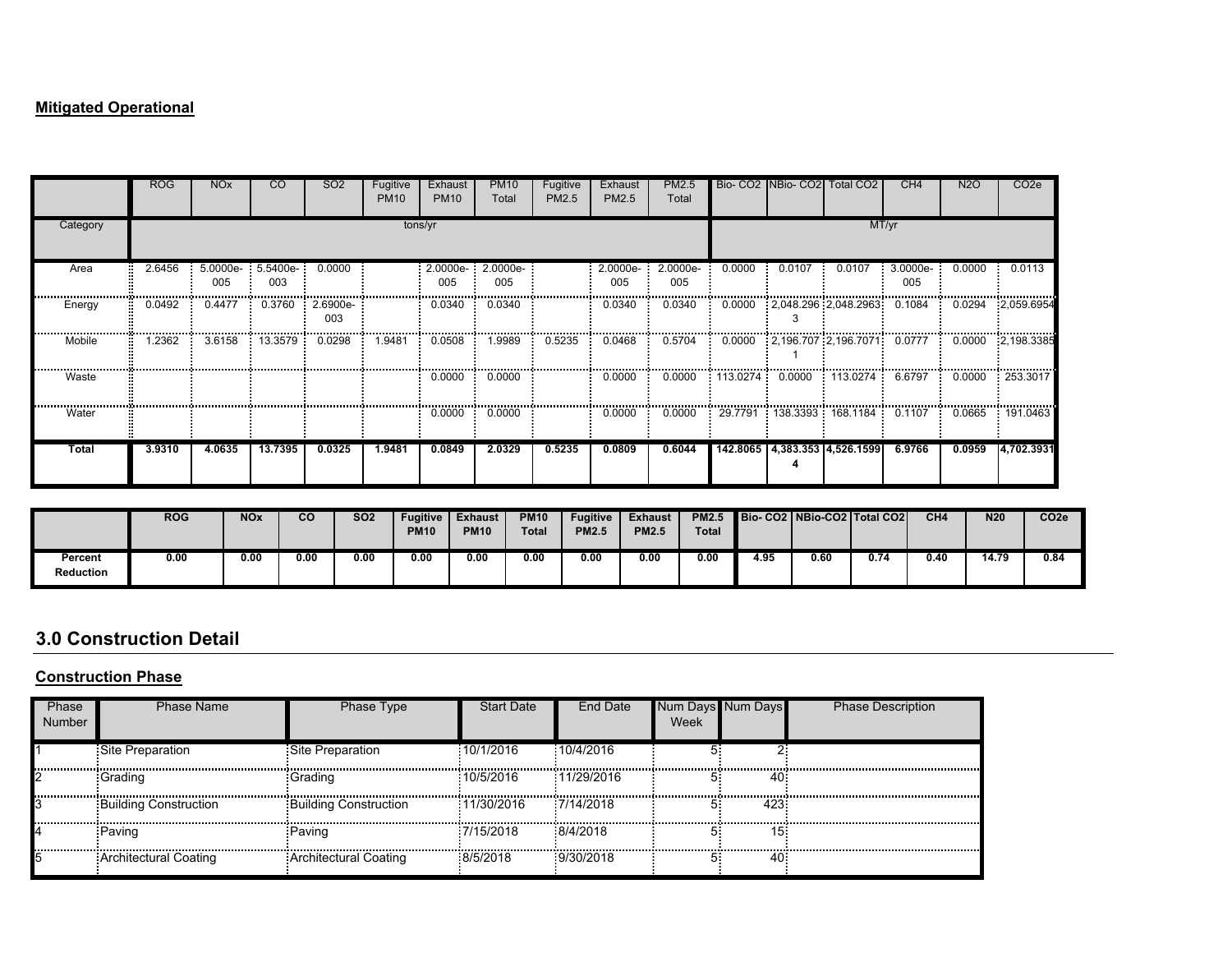### **Mitigated Operational**

|          | <b>ROG</b> | <b>NO<sub>x</sub></b> | CO.      | SO <sub>2</sub> | Fugitive<br><b>PM10</b> | Exhaust<br><b>PM10</b> | <b>PM10</b><br>Total | Fugitive<br>PM2.5 | Exhaust<br>PM2.5 | PM2.5<br>Total |                   |        | Bio- CO2 NBio- CO2 Total CO2       | CH4      | N <sub>2</sub> O | CO <sub>2</sub> e |  |  |
|----------|------------|-----------------------|----------|-----------------|-------------------------|------------------------|----------------------|-------------------|------------------|----------------|-------------------|--------|------------------------------------|----------|------------------|-------------------|--|--|
| Category |            | tons/yr               |          |                 |                         |                        |                      |                   |                  |                |                   |        | MT/yr                              |          |                  |                   |  |  |
| Area     | 2.6456     | 5.0000e-              | 5.5400e- | 0.0000          |                         | 2.0000e-               | 2.0000e-             |                   | 2.0000e-         | 2.0000e-       | 0.0000            | 0.0107 | 0.0107                             | 3.0000e- | 0.0000           | 0.0113            |  |  |
|          |            | 005                   | 003      |                 |                         | 005                    | 005                  |                   | 005              | 005            |                   |        |                                    | 005      |                  |                   |  |  |
| Energy   | 0.0492     | 0.4477                | 0.3760   | 2.6900e-<br>003 |                         | 0.0340                 | 0.0340               |                   | 0.0340           | 0.0340         |                   |        | $0.0000$ $2.048.296$ $2.048.2963$  | 0.1084   | 0.0294           | 2,059.6954        |  |  |
| Mobile   | .2362      | 3.6158                | 13.3579  | 0.0298          | 1.9481                  | 0.0508                 | 1.9989               | 0.5235            | 0.0468           | 0.5704         |                   |        | 0.0000 2.196.707 2.196.7071 0.0777 |          | 0.0000           | 2,198.3385        |  |  |
| Waste    |            |                       |          |                 |                         | 0.0000                 | 0.0000               |                   | 0.0000           | 0.0000         | $113.0274$ 0.0000 |        | : 113.0274                         | 6.6797   | 0.0000           | : 253.3017        |  |  |
| Water    |            |                       |          |                 |                         | 0.0000                 | 0.0000               |                   | 0.0000           | 0.0000         |                   |        | 29.7791  138.3393  168.1184        | 0.1107   | 0.0665           | 191.0463          |  |  |
| Total    | 3.9310     | 4.0635                | 13.7395  | 0.0325          | 1.9481                  | 0.0849                 | 2.0329               | 0.5235            | 0.0809           | 0.6044         |                   |        | 142.8065 4,383.353 4,526.1599      | 6.9766   | 0.0959           | 4,702.3931        |  |  |

|                             | <b>ROG</b> | <b>NOx</b> | $\overline{c}$ | <b>SO2</b> | <b>Fugitive</b><br><b>PM10</b> | <b>Exhaust</b><br><b>PM10</b> | <b>PM10</b><br><b>Total</b> | <b>Fugitive</b><br><b>PM2.5</b> | <b>Exhaust</b><br><b>PM2.5</b> | <b>PM2.5</b><br><b>Total</b> |      |      | Bio-CO2   NBio-CO2   Total CO2 | CH4  | N <sub>20</sub> | CO <sub>2e</sub> |
|-----------------------------|------------|------------|----------------|------------|--------------------------------|-------------------------------|-----------------------------|---------------------------------|--------------------------------|------------------------------|------|------|--------------------------------|------|-----------------|------------------|
| Percent<br><b>Reduction</b> | 0.00       | 0.00       | 0.00           | 0.00       | 0.00                           | 0.00                          | 0.00                        | 0.00                            | 0.00                           | 00<br>v.vu                   | 1.95 | 0.60 | 0.74                           | 0.40 | 14.79           | 0.84             |

# **3.0 Construction Detail**

### **Construction Phase**

| Phase<br>Number | <b>Phase Name</b>            | Phase Type                   | <b>Start Date</b> | End Date   | Num l<br>Week | <b>Num Davs</b> | <b>Phase Description</b> |
|-----------------|------------------------------|------------------------------|-------------------|------------|---------------|-----------------|--------------------------|
|                 | Site Preparation             | Site Preparation             | :10/1/2016        | 10/4/2016  |               |                 |                          |
|                 | :Grading                     | :Grading                     | :10/5/2016        | 11/29/2016 |               | 40              |                          |
|                 | <b>Building Construction</b> | <b>Building Construction</b> | 11/30/2016        | 7/14/2018  |               | $423^{\circ}$   |                          |
|                 | Paving                       | Paving                       | 7/15/2018         | 8/4/2018   |               | 15:             |                          |
|                 | : Architectural Coating      | Architectural Coating        | 8/5/2018          | :9/30/2018 |               | 40              |                          |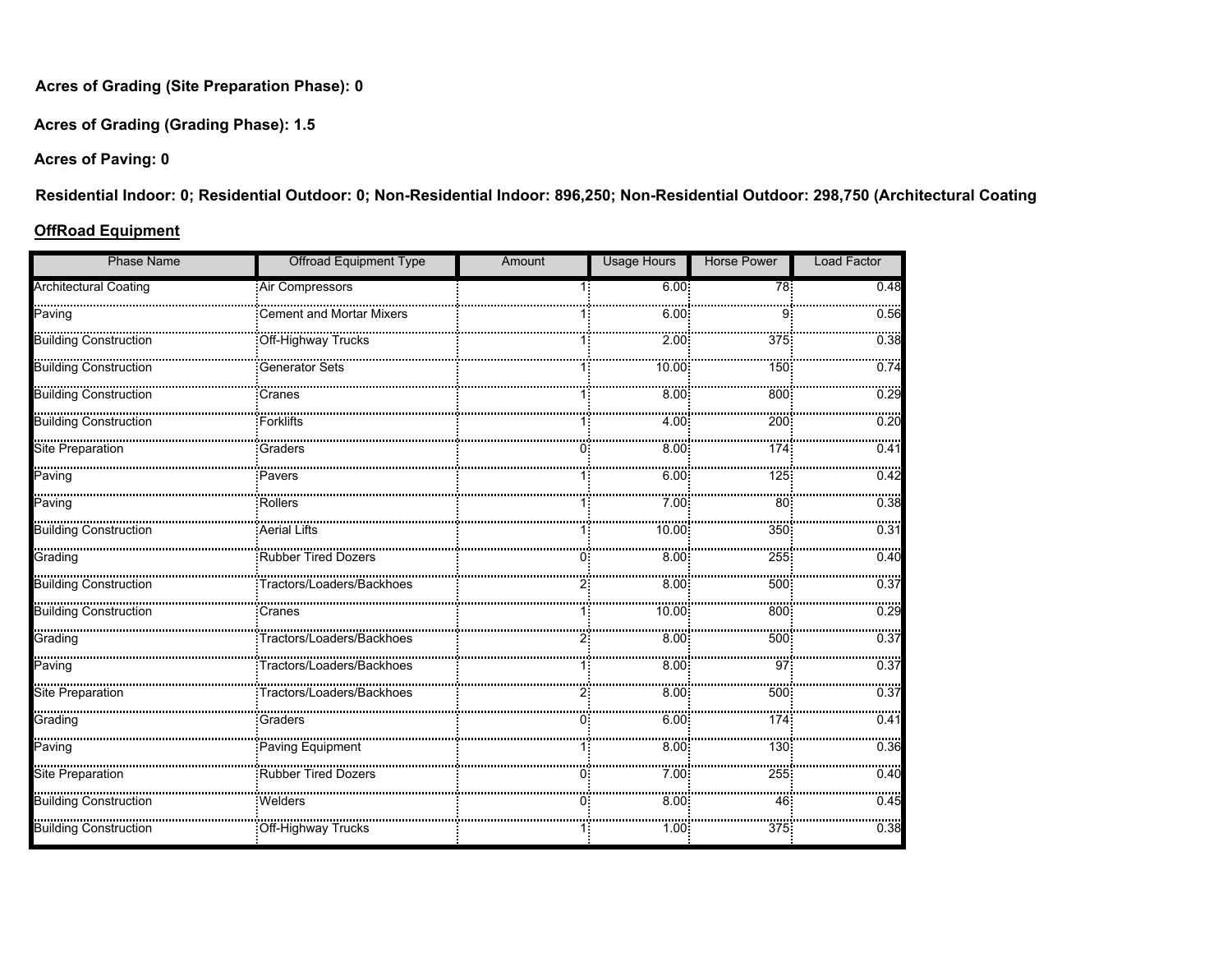**Acres of Grading (Site Preparation Phase): 0**

**Acres of Grading (Grading Phase): 1.5**

**Acres of Paving: 0**

**Residential Indoor: 0; Residential Outdoor: 0; Non-Residential Indoor: 896,250; Non-Residential Outdoor: 298,750 (Architectural Coating** 

#### **OffRoad Equipment**

| <b>Phase Name</b>            | <b>Offroad Equipment Type</b>   | Amount | <b>Usage Hours</b> | <b>Horse Power</b> | <b>Load Factor</b> |
|------------------------------|---------------------------------|--------|--------------------|--------------------|--------------------|
| <b>Architectural Coating</b> | Air Compressors                 |        | 6.00               | $\overline{78}$    | 0.48               |
| Paving                       | <b>Cement and Mortar Mixers</b> |        | 6.00.              |                    | 0.56               |
| Building Construction        | Off-Highway Trucks              |        | 2.00               | 375                | 0.38               |
| <b>Building Construction</b> | <b>Generator Sets</b>           |        | 10.00:             | 150                | 0.74               |
| Building Construction        | Cranes                          |        | 8.00               | 800                | 0.29               |
| Building Construction        | Forklifts                       |        | 4.00               | 200                | 0.20               |
| Site Preparation             | Graders                         |        | 8.00               | 174                | <br>0.41           |
| <br><br>Paving               | Pavers                          |        | 6.00               | 125                | 0.42               |
| <br>Paving                   | <b>Rollers</b>                  |        | 7.00               | 80 <sup>:</sup>    | 0.38               |
|                              | Aerial Lifts                    |        | 10.00:             | 350                | 0.31               |
| Grading                      | Rubber Tired Dozers             |        | 8.00               | 255                | 0.40               |
|                              | Tractors/Loaders/Backhoes       |        | 8.00               | 500                | 0.37               |
| Building Construction        | Cranes                          |        | 10.00:             | 800                | 0.29               |
| Grading                      |                                 |        | 8.00 <sup>2</sup>  | 500                | 0.37               |
| <br>Paving                   |                                 |        | 8.00 <sup>2</sup>  | 97                 | 0.37               |
| <br>Site Preparation         |                                 |        | 8.00               | 500                | 0.37               |
| Grading                      | Graders                         |        | 6.00               | 174                | 0.41               |
| Paving                       | Paving Equipment                |        | 8.00:              | 130                | 0.36               |
| Site Preparation             | Rubber Tired Dozers             | ი:     | 7.00               | 255                | 0.40               |
| Building Construction        | Welders                         |        | 8.00               | 46                 | 0.45               |
| Building Construction        | Off-Highway Trucks              |        | 1.00:              | 375                | 0.38               |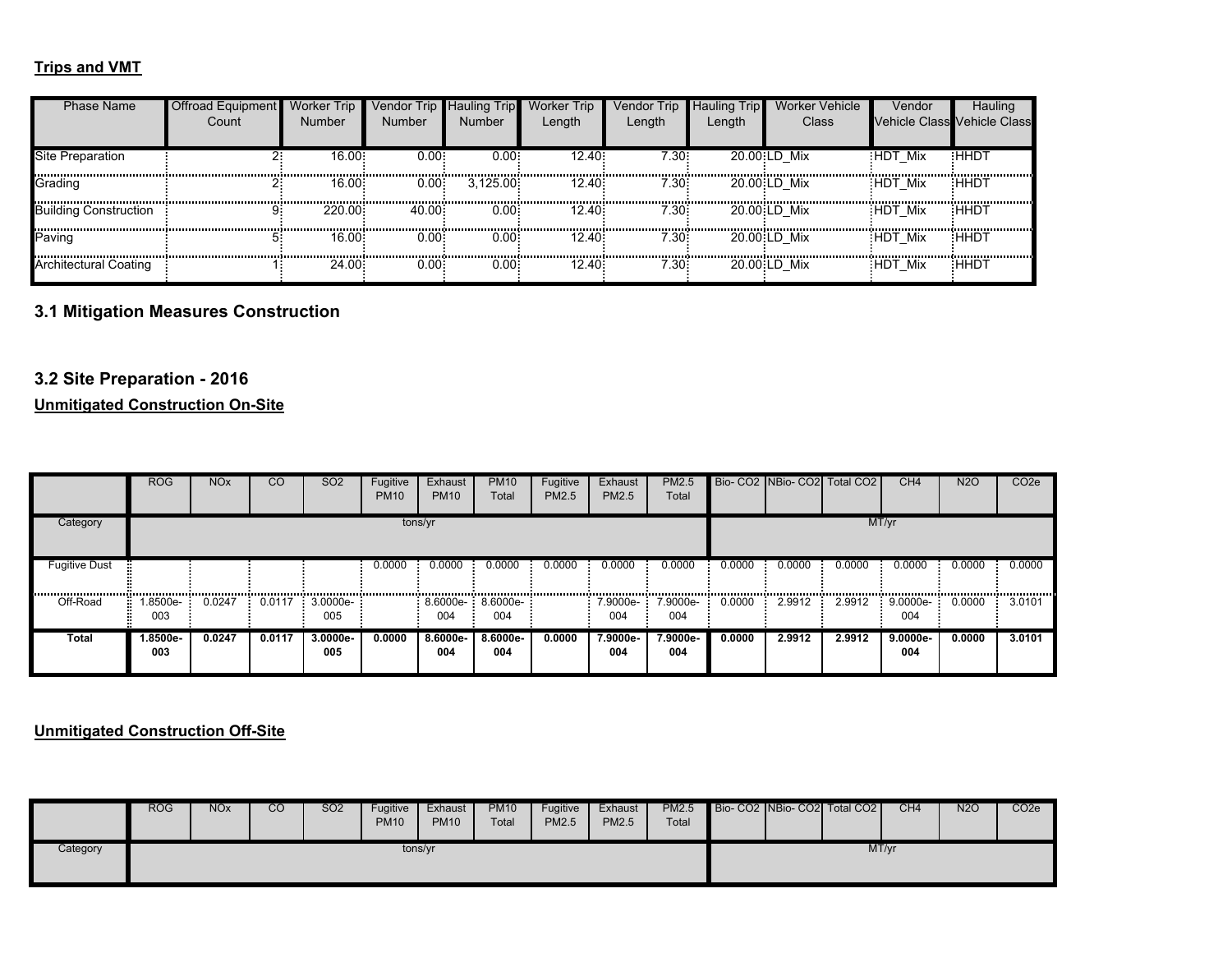### **Trips and VMT**

| <b>Phase Name</b>            | Offroad Equipment<br>Count | <b>Worker Trip</b><br>Number | /endor Trip ∎<br>Number | <b>Hauling Trip</b><br><b>Number</b> | Worker Trip<br>Length | Vendor Trip<br>Length | <b>Hauling Trip</b><br>Length | Worker Vehicle<br>Class | Vendor  | Hauling<br><b>Vehicle Class Vehicle Class</b> |
|------------------------------|----------------------------|------------------------------|-------------------------|--------------------------------------|-----------------------|-----------------------|-------------------------------|-------------------------|---------|-----------------------------------------------|
| Site Preparation             |                            | $16.00 -$                    | 0.00:                   | 0.00:                                | 12.40:                | $7.30 -$              |                               | 20.00 LD Mix            | HDT Mix | <b>HHDT</b>                                   |
| Grading                      |                            | 16.00:                       | 0.001                   | 3.125.00                             | 12.40                 | 7.30 <sup>°</sup>     |                               | 20.00 LD Mix            | HDT Mix | :HHD1                                         |
| <b>Building Construction</b> |                            | 220.00                       | 40.00                   | $0.00 -$                             | 12.40:                | 7.30 <sup>°</sup>     |                               | 20.00 LD Mix            | HDT Mix | <b>HHDT</b>                                   |
| Paving                       |                            | 16.00                        | $0.00 -$                | 0.00:                                | 12.40:                | 7.30 <sup>2</sup>     |                               | 20.00 LD Mix            | HDT Mix | :HHDT                                         |
| <b>Architectural Coating</b> |                            | 24.00                        | $0.00^{\circ}$          | $0.00^{\circ}$                       | 12.40                 | 7.30 <sup>2</sup>     |                               | 20.00 LD Mix            | HDT Mix | <b>HHDT</b>                                   |

# **3.1 Mitigation Measures Construction**

### **3.2 Site Preparation - 2016**

#### **Unmitigated Construction On-Site**

|                                                 | <b>ROG</b>      | <b>NO<sub>x</sub></b>       | <sub>CO</sub> | <b>SO2</b>      | Fugitive<br><b>PM10</b> | Exhaust<br><b>PM10</b>     | <b>PM10</b><br>Total | Fugitive<br>PM2.5 | Exhaust<br>PM2.5 | <b>PM2.5</b><br>Total |        |        | Bio- CO2 INBio- CO2 Total CO2 | CH <sub>4</sub>    | <b>N2O</b> | CO <sub>2</sub> e |
|-------------------------------------------------|-----------------|-----------------------------|---------------|-----------------|-------------------------|----------------------------|----------------------|-------------------|------------------|-----------------------|--------|--------|-------------------------------|--------------------|------------|-------------------|
| Category                                        |                 |                             |               |                 | tons/yr                 |                            |                      |                   |                  |                       |        |        | MT/yr                         |                    |            |                   |
| <b>Fugitive Dust</b><br>,,,,,,,,,,,,,,,,,,,,,,, |                 | ,,,,,,,,,,,,,,,,,,,,,,,,,,, |               |                 | 0.0000                  | 0.0000                     | 0.0000               | 0.0000            | 0.0000           | 0.0000                | 0.0000 | 0.0000 | 0.0000                        | 0.0000             | 0.0000     | 0.0000            |
| Off-Road                                        | .8500e-<br>003  | 0.0247                      | 0.0117        | 3.0000e-<br>005 |                         | $8.6000e - 8.6000e$<br>004 | 004                  |                   | 7.9000e-<br>004  | 7.9000e-<br>004       | 0.0000 | 2.9912 | 2.9912                        | 9.0000e-<br>004    | 0.0000     | 3.0101            |
| Total                                           | 1.8500e-<br>003 | 0.0247                      | 0.0117        | 3.0000e-<br>005 | 0.0000                  | 8.6000e-<br>004            | 8.6000e-<br>004      | 0.0000            | 7.9000e-<br>004  | 7.9000e-<br>004       | 0.0000 | 2.9912 | 2.9912                        | $9.0000e -$<br>004 | 0.0000     | 3.0101            |

#### **Unmitigated Construction Off-Site**

|          | <b>ROG</b> | <b>NO<sub>x</sub></b> | CO | <b>SO2</b> | Fugitive<br><b>PM10</b> | Exhaust<br><b>PM10</b> | <b>PM10</b><br>Total | Fugitive<br><b>PM2.5</b> | Exhaust<br><b>PM2.5</b> | <b>PM2.5</b><br>Total | Bio- CO2 NBio- CO2 Total CO2 |  | CH4   | <b>N2O</b> | CO <sub>2</sub> e |
|----------|------------|-----------------------|----|------------|-------------------------|------------------------|----------------------|--------------------------|-------------------------|-----------------------|------------------------------|--|-------|------------|-------------------|
| Category |            |                       |    |            | tons/yr                 |                        |                      |                          |                         |                       |                              |  | MT/yr |            |                   |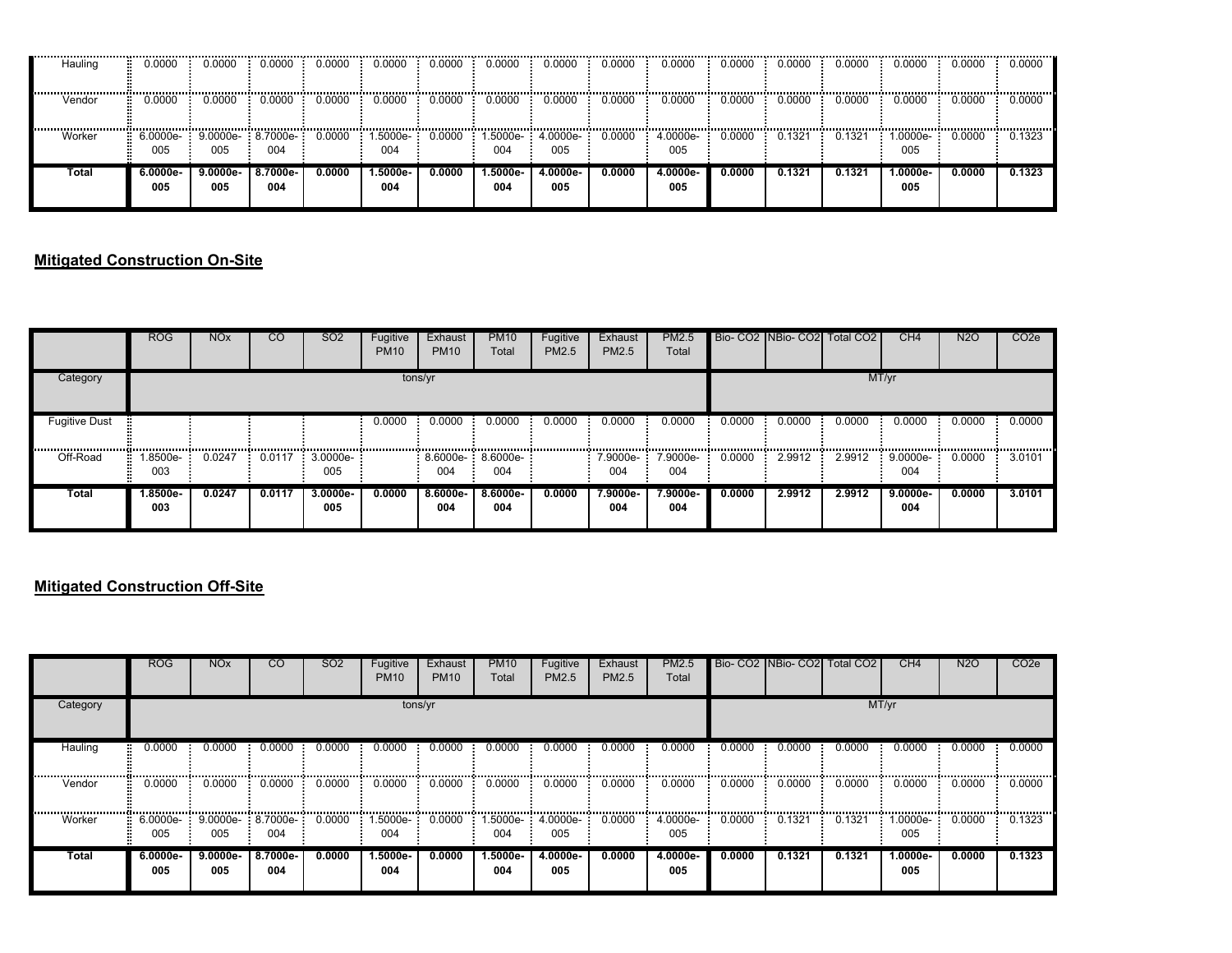| Hauling | 0.0000            | 0.0000            | 0.0000                       | 0.0000 | 0.0000          | 0.0000 | 0.0000                  | 0.0000             | 0.0000 | 0.0000          | 0.0000 | 0.0000 | 0.0000 | 0.0000           | 0.0000 | 0.0000 |
|---------|-------------------|-------------------|------------------------------|--------|-----------------|--------|-------------------------|--------------------|--------|-----------------|--------|--------|--------|------------------|--------|--------|
| Vendor  | 0.0000            | 0.0000            | 0.0000                       | 0.0000 | 0.0000          | 0.0000 | 0.0000                  | 0.0000             | 0.0000 | 0.0000          | 0.0000 | 0.0000 | 0.0000 | 0.0000           | 0.0000 | 0.0000 |
| Worker  | 6.0000e- -<br>005 | 005               | $9.0000e - 8.7000e -$<br>004 | 0.0000 | -.5000e<br>004  | 0.0000 | .5000e- <b>:</b><br>004 | $-4.0000e-$<br>005 | 0.0000 | 4.0000e-<br>005 | 0.0000 | 0.1321 | 0.1321 | $.0000e-$<br>005 | 0.0000 | 0.1323 |
| Total   | 6.0000e-<br>005   | 9.0000e- I<br>005 | 8.7000e-<br>004              | 0.0000 | 1.5000e-<br>004 | 0.0000 | 1.5000e-<br>004         | 4.0000e-<br>005    | 0.0000 | 4.0000e-<br>005 | 0.0000 | 0.1321 | 0.1321 | 1.0000e-<br>005  | 0.0000 | 0.1323 |

### **Mitigated Construction On-Site**

|                          | <b>ROG</b>           | <b>NO<sub>x</sub></b> | <sub>CO</sub> | SO <sub>2</sub> | Fugitive<br><b>PM10</b> | Exhaust<br><b>PM10</b>   | <b>PM10</b><br>Total | Fugitive<br>PM2.5 | Exhaust<br><b>PM2.5</b> | PM2.5<br>Total  |        |        | Bio- CO2 INBio- CO2 Total CO2 | CH <sub>4</sub>     | N <sub>2</sub> O | CO <sub>2</sub> e |
|--------------------------|----------------------|-----------------------|---------------|-----------------|-------------------------|--------------------------|----------------------|-------------------|-------------------------|-----------------|--------|--------|-------------------------------|---------------------|------------------|-------------------|
| Category                 |                      |                       |               |                 |                         | tons/yr                  |                      |                   |                         |                 |        |        |                               | MT/yr               |                  |                   |
| <b>Fugitive Dust</b><br> |                      |                       |               |                 | 0.0000                  | 0.0000                   | 0.0000               | 0.0000            | 0.0000                  | 0.0000          | 0.0000 | 0.0000 | 0.0000                        | 0.0000              | 0.0000           | 0.0000            |
| Off-Road                 | .8500e-<br>m.<br>003 | 0.0247                | 0.0117        | 3.0000e-<br>005 |                         | 8.6000e- 8.6000e-<br>004 | 004                  |                   | .9000e-<br>004          | 7.9000e-<br>004 | 0.0000 | 2.9912 | 2.9912                        | <br>9.0000e-<br>004 | 0.0000           | 3.0101            |
| Total                    | 1.8500e-<br>003      | 0.0247                | 0.0117        | 3.0000e-<br>005 | 0.0000                  | 8.6000e-<br>004          | 8.6000e-<br>004      | 0.0000            | 7.9000e-<br>004         | 7.9000e-<br>004 | 0.0000 | 2.9912 | 2.9912                        | $9.0000e-$<br>004   | 0.0000           | 3.0101            |

### **Mitigated Construction Off-Site**

|          | <b>ROG</b>      | <b>NO<sub>x</sub></b> | <sub>CO</sub>              | <b>SO2</b> | Fugitive<br><b>PM10</b> | Exhaust<br><b>PM10</b> | <b>PM10</b><br>Total | Fugitive<br>PM2.5 | Exhaust<br>PM2.5 | PM2.5<br>Total    |        |        | Bio- CO2 NBio- CO2 Total CO2 | CH <sub>4</sub>   | N <sub>2</sub> O | CO <sub>2</sub> e |
|----------|-----------------|-----------------------|----------------------------|------------|-------------------------|------------------------|----------------------|-------------------|------------------|-------------------|--------|--------|------------------------------|-------------------|------------------|-------------------|
| Category |                 |                       |                            |            | tons/yr                 |                        |                      |                   |                  |                   |        |        |                              | MT/yr             |                  |                   |
| Hauling  | 0.0000          | 0.0000                | 0.0000                     | 0.0000     | 0.0000                  | 0.0000                 | 0.0000               | 0.0000            | 0.0000           | 0.0000            | 0.0000 | 0.0000 | 0.0000                       | 0.0000            | 0.0000           | 0.0000            |
| Vendor   | 0.0000          | 0.0000                | 0.0000                     | 0.0000     | 0.0000                  | 0.0000                 | 0.0000               | 0.0000            | 0.0000           | 0.0000            | 0.0000 | 0.0000 | 0.0000                       | 0.0000            | 0.0000           | 0.0000            |
| Worker   | 6.0000e-<br>005 | 005                   | $9.0000e-8.7000e-1$<br>004 | 0.0000     | 1.5000e- F<br>004       | 0.0000                 | 1.5000e-<br>004      | 4.0000e-<br>005   | 0.0000           | 4.0000e-<br>005   | 0.0000 | 0.1321 | 0.1321                       | 1.0000e-<br>005   | 0.0000           | 0.1323            |
| Total    | 6.0000e-<br>005 | $9.0000e -$<br>005    | 8.7000e-<br>004            | 0.0000     | $1.5000e-$<br>004       | 0.0000                 | $1.5000e-$<br>004    | 4.0000e-<br>005   | 0.0000           | $4.0000e-$<br>005 | 0.0000 | 0.1321 | 0.1321                       | $1.0000e-$<br>005 | 0.0000           | 0.1323            |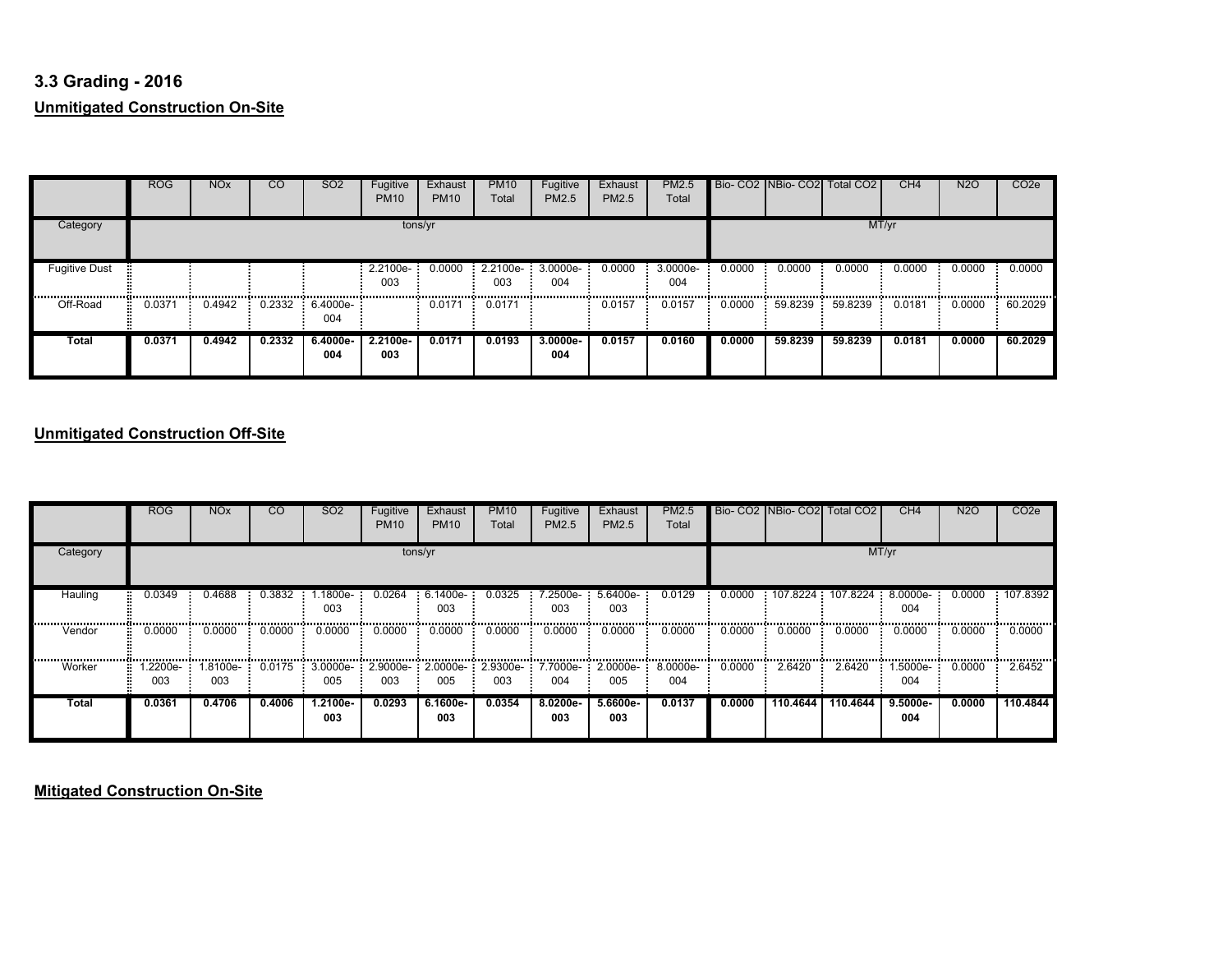# **3.3 Grading - 2016Unmitigated Construction On-Site**

|                      | <b>ROG</b>   | <b>NO<sub>x</sub></b> | <b>CO</b> | SO <sub>2</sub>              | Fugitive<br><b>PM10</b> | Exhaust<br><b>PM10</b> | <b>PM10</b><br>Total | Fugitive<br>PM2.5  | Exhaust<br>PM2.5 | <b>PM2.5</b><br>Total |        |         | Bio- CO2 NBio- CO2 Total CO2 | CH <sub>4</sub> | N <sub>2</sub> O | CO <sub>2</sub> e |
|----------------------|--------------|-----------------------|-----------|------------------------------|-------------------------|------------------------|----------------------|--------------------|------------------|-----------------------|--------|---------|------------------------------|-----------------|------------------|-------------------|
| Category             |              |                       |           |                              | tons/yr                 |                        |                      |                    |                  |                       |        |         | MT/yr                        |                 |                  |                   |
| <b>Fugitive Dust</b> | .            |                       |           |                              | 2.2100e-<br>003<br>     | 0.0000                 | 2.2100e-<br>003      | $3.0000e-$<br>004  | 0.0000           | 3.0000e-<br>004       | 0.0000 | 0.0000  | 0.0000                       | 0.0000          | 0.0000<br>       | 0.0000            |
| Off-Road             | 0.0371<br>ж. | 0.4942                |           | $0.2332 \div 6.4000e$<br>004 |                         | 0.0171                 | 0.0171               |                    | 0.0157           | 0.0157                | 0.0000 | 59.8239 | 59.8239                      | 0.0181          | 0.0000           | 60.2029           |
| Total                | 0.0371       | 0.4942                | 0.2332    | 6.4000e-<br>004              | $2.2100e-$<br>003       | 0.0171                 | 0.0193               | $3.0000e -$<br>004 | 0.0157           | 0.0160                | 0.0000 | 59.8239 | 59.8239                      | 0.0181          | 0.0000           | 60.2029           |

# **Unmitigated Construction Off-Site**

|             | <b>ROG</b>     | <b>NO<sub>x</sub></b>  | CO         | <b>SO2</b>        | Fugitive<br><b>PM10</b> | Exhaust<br><b>PM10</b> | <b>PM10</b><br>Total | Fugitive<br>PM2.5 | Exhaust<br>PM2.5                                         | <b>PM2.5</b><br>Total |            | Bio- CO <sub>2</sub> NBio- CO <sub>2</sub> | Total CO <sub>2</sub> | CH <sub>4</sub> | N2O        | CO <sub>2</sub> e |
|-------------|----------------|------------------------|------------|-------------------|-------------------------|------------------------|----------------------|-------------------|----------------------------------------------------------|-----------------------|------------|--------------------------------------------|-----------------------|-----------------|------------|-------------------|
| Category    |                |                        |            |                   |                         | tons/yr                |                      |                   |                                                          |                       |            |                                            |                       | MT/yr           |            |                   |
| Hauling     | 0.0349         | 0.4688                 | 0.3832     | .1800e-<br>003    | 0.0264                  | $6.1400e-$<br>003      | 0.0325               | 7.2500e-<br>003   | 5.6400e-<br>003                                          | 0.0129                | 0.0000     | 107.8224                                   | 107.8224 8.0000e-     | 004             | 0.0000     | 107.8392          |
| <br>Vendor  | 0.0000         | ,,,,,,,,,,,,<br>0.0000 | <br>0.0000 | 0.0000            | 0.0000                  | <br>0.0000             | 0.0000               | 0.0000            | <br>0.0000                                               | <br>0.0000            | <br>0.0000 | .<br>0.0000                                | <br>0.0000            | <br>0.0000      | 0.0000     | 0.0000            |
| .<br>Worker | .2200e-<br>003 | -8100e.l<br>003        | 0.0175     | 3.0000e- :<br>005 | 003                     | 005                    | 003                  | 004               | 2.9000e-: 2.0000e-: 2.9300e-: 7.7000e-: 2.0000e-:<br>005 | 8.0000e-<br>004       | 0.0000     | 2.6420                                     | 2.6420                | .5000e-<br>004  | <br>0.0000 | 2.6452            |
| Total       | 0.0361         | 0.4706                 | 0.4006     | 1.2100e-<br>003   | 0.0293                  | 6.1600e-<br>003        | 0.0354               | 8.0200e-<br>003   | 5.6600e-<br>003                                          | 0.0137                | 0.0000     | 110.4644                                   | 110.4644              | 9.5000e-<br>004 | 0.0000     | 110.4844          |

**Mitigated Construction On-Site**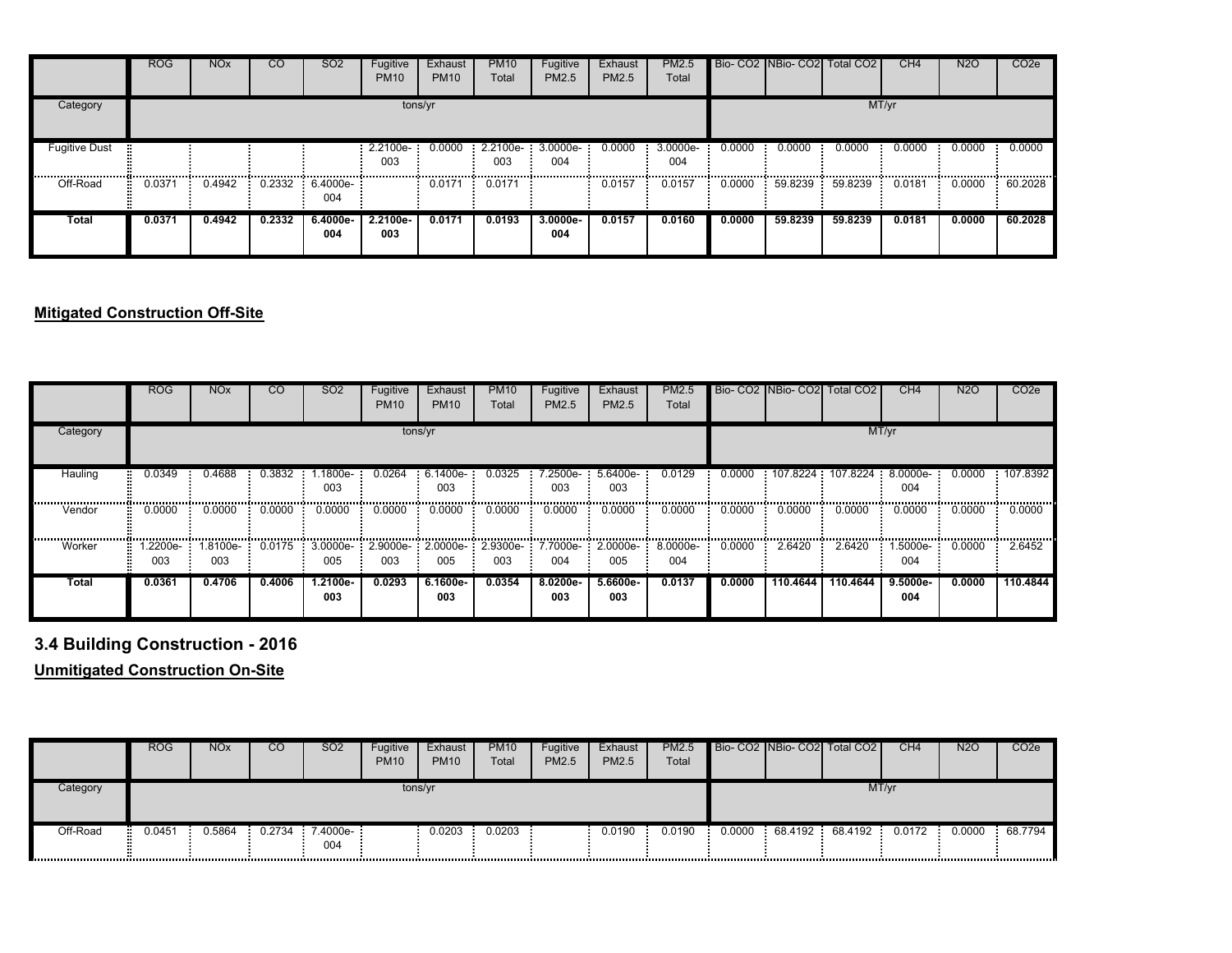|                          | <b>ROG</b> | <b>NO<sub>x</sub></b> | <sub>CO</sub> | SO <sub>2</sub>   | Fugitive<br><b>PM10</b> | Exhaust<br><b>PM10</b> | <b>PM10</b><br>Total          | Fugitive<br>PM2.5 | Exhaust<br><b>PM2.5</b> | PM2.5<br>Total  |        |         | Bio- CO2 NBio- CO2 Total CO2 | CH <sub>4</sub> | <b>N2O</b> | CO <sub>2</sub> e |
|--------------------------|------------|-----------------------|---------------|-------------------|-------------------------|------------------------|-------------------------------|-------------------|-------------------------|-----------------|--------|---------|------------------------------|-----------------|------------|-------------------|
| Category                 |            |                       |               |                   |                         | tons/yr                |                               |                   |                         |                 |        |         |                              | MT/yr           |            |                   |
| <b>Fugitive Dust</b><br> |            |                       |               |                   | 2.2100e- 0.0000<br>003  |                        | $2.2100e-3.0000e-$<br>003<br> | 004               | 0.0000                  | 3.0000e-<br>004 | 0.0000 | 0.0000  | 0.0000                       | 0.0000          | 0.0000     | 0.0000            |
| Off-Road                 | 0.0371     | 0.4942                | 0.2332        | $6.4000e-$<br>004 |                         | 0.0171                 | 0.0171                        |                   | 0.0157                  | 0.0157          | 0.0000 | 59.8239 | 59.8239                      | 0.0181          | 0.0000     | 60.2028           |
| Total                    | 0.0371     | 0.4942                | 0.2332        | $6.4000e-$<br>004 | 2.2100e-<br>003         | 0.0171                 | 0.0193                        | $3.0000e-$<br>004 | 0.0157                  | 0.0160          | 0.0000 | 59.8239 | 59.8239                      | 0.0181          | 0.0000     | 60.2028           |

### **Mitigated Construction Off-Site**

|          | <b>ROG</b>     | <b>NO<sub>x</sub></b> | <sub>CO</sub>                  | SO <sub>2</sub>   | Fugitive<br><b>PM10</b> | Exhaust<br><b>PM10</b> | <b>PM10</b><br>Total                 | Fugitive<br>PM2.5 | Exhaust<br>PM2.5         | <b>PM2.5</b><br>Total |        | Bio- CO2 NBio- CO2 Total CO2 |                   | CH <sub>4</sub>  | <b>N2O</b> | CO <sub>2</sub> e |
|----------|----------------|-----------------------|--------------------------------|-------------------|-------------------------|------------------------|--------------------------------------|-------------------|--------------------------|-----------------------|--------|------------------------------|-------------------|------------------|------------|-------------------|
| Category |                |                       |                                |                   |                         | tons/yr                |                                      |                   |                          |                       |        |                              |                   | MT/yr            |            |                   |
| Hauling  | 0.0349         | 0.4688                | 0.3832                         | .1800e-<br>003    | 0.0264                  | 6.1400e-<br>003        | 0.0325                               | 2500e-<br>003     | $5.6400e-$<br>003        | 0.0129                | 0.0000 | 107.8224                     | 107.8224 3.0000e- | 004              | 0.0000     | 107.8392<br>      |
| Vendor   | 0.0000         | 0.0000                | ,,,,,,,,,,,,,,,,,,,,<br>0.0000 | 0.0000            | 0.0000                  | 0.0000                 | 0.0000                               | 0.0000            | <br>0.0000               | <br>0.0000            | 0.0000 | <br>0.0000                   | 0.0000            | 0.0000           | 0.0000     | 0.0000            |
| Worker   | .2200e-<br>003 | .8100e-<br>003        | 0.0175                         | $3.0000e-$<br>005 | 003                     | 005                    | 2.9000e-: 2.0000e-: 2.9300e-:<br>003 | 004               | 7.7000e- 2.0000e-<br>005 | 8.0000e-<br>004       | 0.0000 | 2.6420                       | 2.6420            | $.5000e-$<br>004 | 0.0000     | 2.6452            |
| Total    | 0.0361         | 0.4706                | 0.4006                         | 1.2100e-<br>003   | 0.0293                  | 6.1600e-<br>003        | 0.0354                               | 8.0200e-<br>003   | 5.6600e-<br>003          | 0.0137                | 0.0000 | 110.4644                     | 110.4644          | 9.5000e-<br>004  | 0.0000     | 110.4844          |

# **3.4 Building Construction - 2016**

**Unmitigated Construction On-Site**

|          | <b>ROG</b> | <b>NO<sub>x</sub></b> | CO     | <b>SO2</b>        | Fugitive<br><b>PM10</b> | Exhaust<br><b>PM10</b> | <b>PM10</b><br>Total | Fugitive<br><b>PM2.5</b> | Exhaust<br>PM2.5 | <b>PM2.5</b><br>Total |        | Bio-CO2 NBio-CO2 Total CO2 | CH4    | <b>N2O</b> | CO <sub>2</sub> e |
|----------|------------|-----------------------|--------|-------------------|-------------------------|------------------------|----------------------|--------------------------|------------------|-----------------------|--------|----------------------------|--------|------------|-------------------|
| Category |            |                       |        |                   | tons/yr                 |                        |                      |                          |                  |                       |        | MT/yr                      |        |            |                   |
| Off-Road | 0451.ر     | 0.5864                | 0.2734 | $7.4000e-$<br>004 |                         | 0.0203                 | 0.0203               |                          | 0.0190           | 0.0190                | 0.0000 | 68.4192 68.4192            | 0.0172 | 0.0000     | 68.7794           |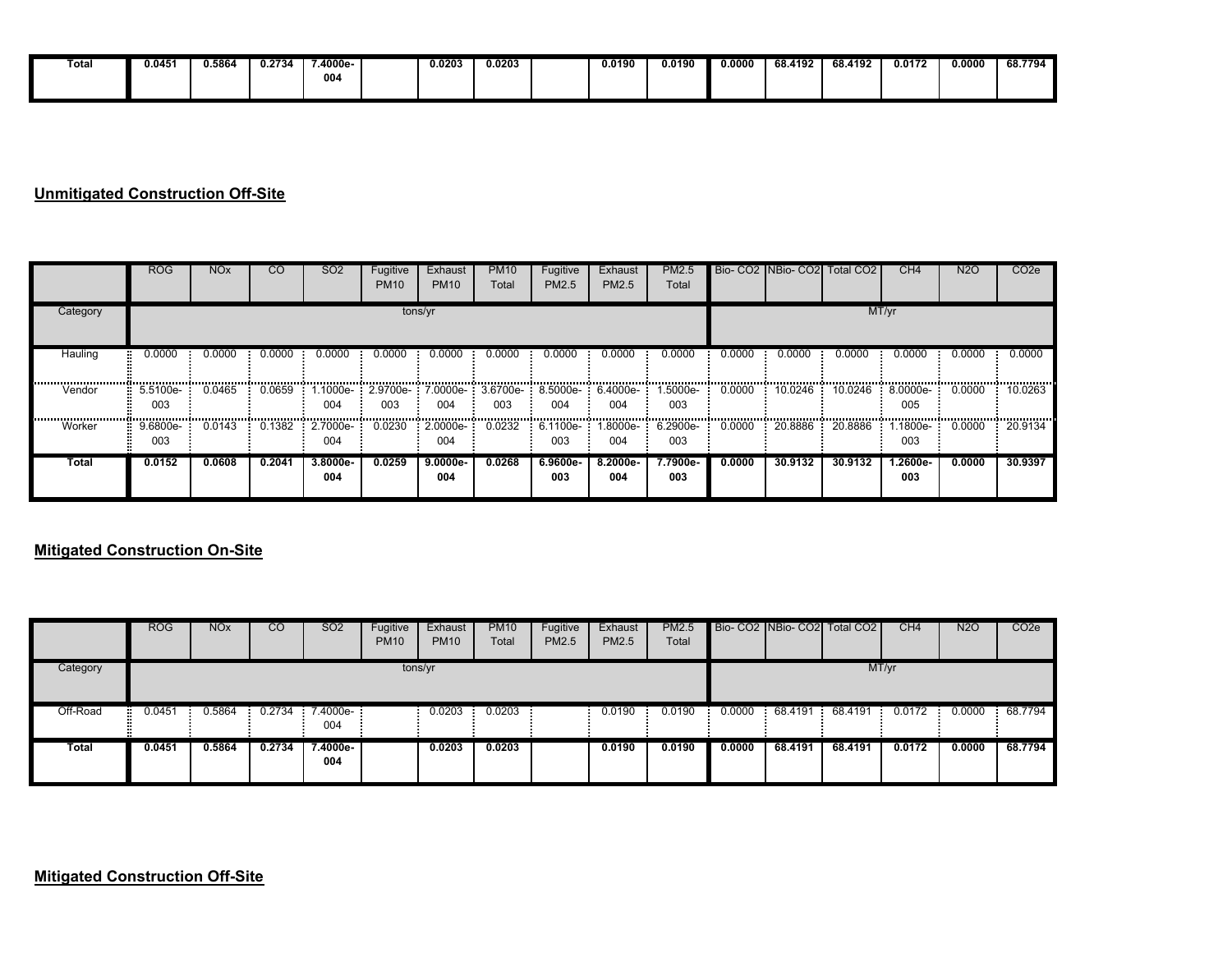| Total | 0.045' | 0.5864 | J.2734 | $.4000e-$ | 0.0203 | 0.0203 | 0.0190 | 0.0190 | 0.0000 | 68.4192 | <b>S8.4192</b> | 0.0172 | 0.0000 | 68.7794 |
|-------|--------|--------|--------|-----------|--------|--------|--------|--------|--------|---------|----------------|--------|--------|---------|
|       |        |        |        | 004       |        |        |        |        |        |         |                |        |        |         |
|       |        |        |        |           |        |        |        |        |        |         |                |        |        |         |

### **Unmitigated Construction Off-Site**

|          | <b>ROG</b>      | <b>NO<sub>x</sub></b> | $\overline{c}$ | SO <sub>2</sub> | Fugitive<br><b>PM10</b> | Exhaust<br><b>PM10</b> | <b>PM10</b><br>Total | Fugitive<br><b>PM2.5</b>                            | Exhaust<br>PM2.5 | <b>PM2.5</b><br>Total |        | Bio- CO2 INBio- CO2 Total CO2 |                     | CH4               | N <sub>2</sub> O | CO <sub>2e</sub> |
|----------|-----------------|-----------------------|----------------|-----------------|-------------------------|------------------------|----------------------|-----------------------------------------------------|------------------|-----------------------|--------|-------------------------------|---------------------|-------------------|------------------|------------------|
| Category |                 |                       |                |                 |                         | tons/yr                |                      |                                                     |                  |                       |        |                               |                     | MT/yr             |                  |                  |
| Hauling  | 0.0000          | 0.0000                | 0.0000         | 0.0000          | 0.0000                  | 0.0000                 | 0.0000               | 0.0000                                              | 0.0000           | 0.0000                | 0.0000 | 0.0000                        | 0.0000              | 0.0000            | 0.0000           | 0.0000           |
| Vendor   | 5.5100e-<br>003 | 0.0465                | 0.0659         | .1000e-<br>004  | 003                     | 004                    | 003                  | 2.9700e- 7.0000e- 3.6700e- 8.5000e- 6.4000e-<br>004 | 004              | 1.5000e-<br>003       | 0.0000 | 10.0246                       | 10.0246             | 8.0000e-<br>005   | 0.0000           | 10.0263          |
| Worker   | 9.6800e-<br>003 | 0.0143                | 0.1382         | 2.7000e-<br>004 | 0.0230                  | 2.0000e-<br>004        | 0.0232               | $6.1100e-$<br>003                                   | -9000e-<br>004   | 6.2900e-<br>003       | 0.0000 | 20.8886                       | 20.8886<br><b>F</b> | 1.1800e-<br>003   | 0.0000           | 20.9134          |
| Total    | 0.0152          | 0.0608                | 0.2041         | 3.8000e-<br>004 | 0.0259                  | $9.0000e -$<br>004     | 0.0268               | $6.9600e-$<br>003                                   | 8.2000e-<br>004  | 7.7900e-<br>003       | 0.0000 | 30.9132                       | 30.9132             | $1.2600e-$<br>003 | 0.0000           | 30.9397          |

#### **Mitigated Construction On-Site**

|          | <b>ROG</b>  | <b>NO<sub>x</sub></b> | CO     | SO <sub>2</sub> | Fugitive<br><b>PM10</b> | Exhaust<br><b>PM10</b> | <b>PM10</b><br>Total | Fugitive<br>PM2.5 | Exhaust<br><b>PM2.5</b> | <b>PM2.5</b><br>Total |        |           | Bio- CO2 NBio- CO2 Total CO2 | CH4    | <b>N2O</b> | CO <sub>2e</sub> |
|----------|-------------|-----------------------|--------|-----------------|-------------------------|------------------------|----------------------|-------------------|-------------------------|-----------------------|--------|-----------|------------------------------|--------|------------|------------------|
| Category |             |                       |        |                 | tons/yr                 |                        |                      |                   |                         |                       |        |           |                              | MT/yr  |            |                  |
| Off-Road | 0.0451<br>÷ | 0.5864                | 0.2734 | 7.4000e-<br>004 |                         | 0.0203                 | 0.0203               |                   | 0.0190                  | 0.0190                | 0.0000 | 68.4191 : | 68.4191                      | 0.0172 | 0.0000     | 68.7794          |
| Total    | 0.0451      | 0.5864                | 0.2734 | 7.4000e-<br>004 |                         | 0.0203                 | 0.0203               |                   | 0.0190                  | 0.0190                | 0.0000 | 68.4191   | 68.4191                      | 0.0172 | 0.0000     | 68.7794          |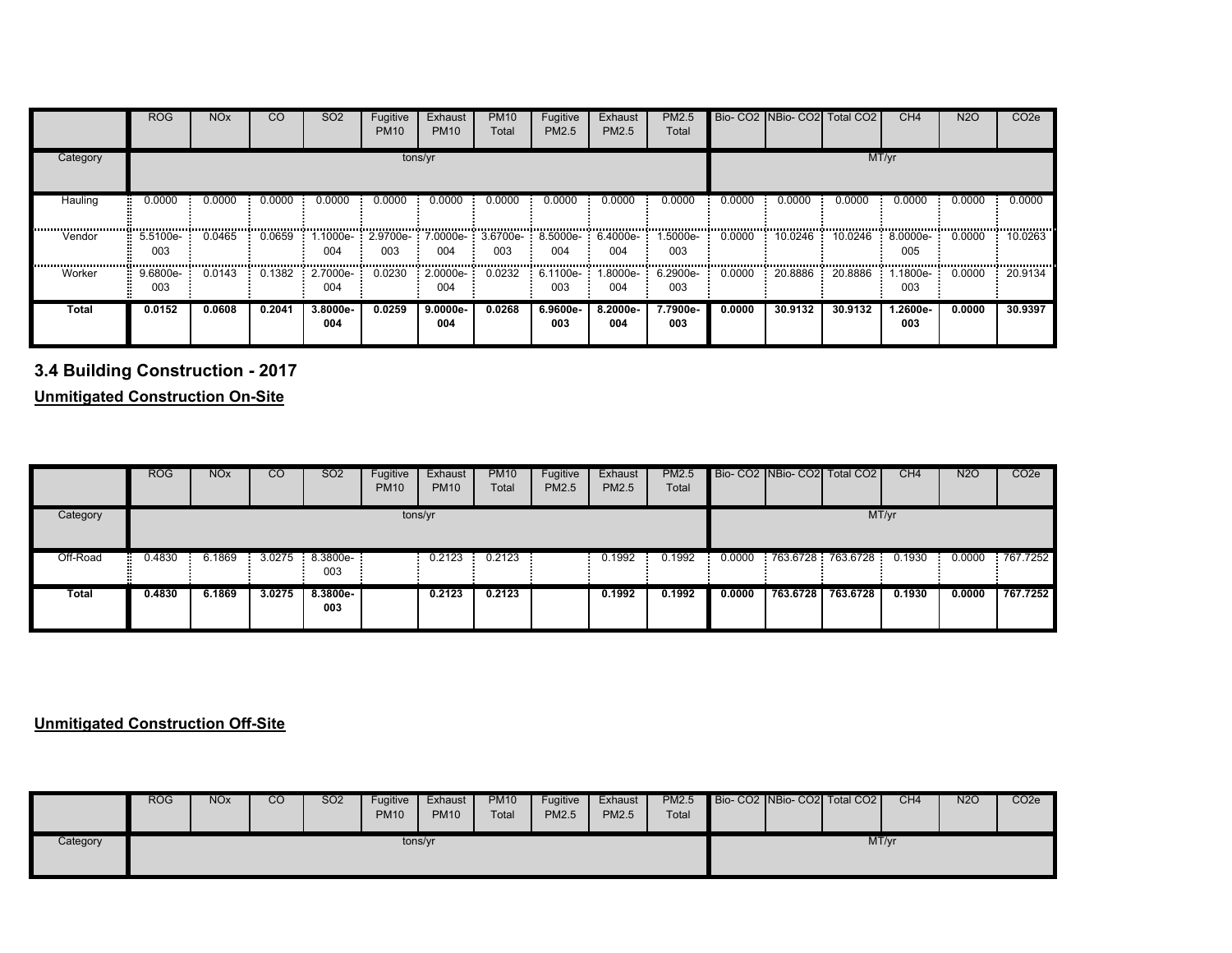|              | <b>ROG</b>      | <b>NO<sub>x</sub></b> | <b>CO</b> | SO <sub>2</sub> | Fugitive<br><b>PM10</b> | Exhaust<br><b>PM10</b>   | <b>PM10</b><br>Total | Fugitive<br>PM2.5 | Exhaust<br>PM2.5  | PM2.5<br>Total                     |        | Bio- CO2 NBio- CO2 | Total CO <sub>2</sub>         | CH <sub>4</sub> | <b>N2O</b> | CO <sub>2e</sub> |
|--------------|-----------------|-----------------------|-----------|-----------------|-------------------------|--------------------------|----------------------|-------------------|-------------------|------------------------------------|--------|--------------------|-------------------------------|-----------------|------------|------------------|
| Category     |                 |                       |           |                 |                         | tons/yr                  |                      |                   |                   |                                    |        |                    |                               | MT/yr           |            |                  |
| Hauling      | 0.0000          | 0.0000                | 0.0000    | 0.0000          | 0.0000                  | 0.0000                   | 0.0000               | 0.0000            | 0.0000            | 0.0000                             | 0.0000 | 0.0000             | 0.0000                        | 0.0000          | 0.0000     | 0.0000           |
| Vendor       | 5.5100e-<br>003 | 0.0465                | 0.0659    | .1000e-<br>004  | 003                     | 2.9700e- 7.0000e-<br>004 | $3.6700e-$<br>003    | 8.5000e-<br>004   | $6.4000e-$<br>004 | -.5000e<br>003                     | 0.0000 | 10.0246            | 10.0246                       | 8.0000e-<br>005 | 0.0000     | 10.0263          |
| Worker       | 9.6800e-<br>003 | 0.0143                | 0.1382    | 2.7000e-<br>004 | 0.0230                  | $-2.0000e-$<br>004       | 0.0232               | 003               | 004               | $6.1100e-1.8000e-6.2900e-1$<br>003 | 0.0000 |                    | $20.8886$ $20.8886$ $1.1800e$ | 003             | 0.0000     | 20.9134          |
| <b>Total</b> | 0.0152          | 0.0608                | 0.2041    | 3.8000e-<br>004 | 0.0259                  | $9.0000e -$<br>004       | 0.0268               | 6.9600e-<br>003   | 8.2000e-<br>004   | 7.7900e-<br>003                    | 0.0000 | 30.9132            | 30.9132                       | 1.2600e-<br>003 | 0.0000     | 30.9397          |

**3.4 Building Construction - 2017**

**Unmitigated Construction On-Site**

|          | <b>ROG</b> | <b>NO<sub>x</sub></b> | CO     | SO <sub>2</sub> | Fugitive<br><b>PM10</b> | Exhaust<br><b>PM10</b> | <b>PM10</b><br>Total | Fugitive<br>PM2.5 | Exhaust<br>PM2.5 | <b>PM2.5</b><br>Total |        |          | Bio- CO2 NBio- CO2 Total CO2             | CH4    | N2O    | CO <sub>2e</sub> |
|----------|------------|-----------------------|--------|-----------------|-------------------------|------------------------|----------------------|-------------------|------------------|-----------------------|--------|----------|------------------------------------------|--------|--------|------------------|
| Category |            |                       |        |                 | tons/yr                 |                        |                      |                   |                  |                       |        |          |                                          | MT/yr  |        |                  |
| Off-Road | 0.4830     | 6.1869                |        | 003             |                         | 0.2123                 | 0.2123               |                   | 0.1992           | 0.1992                | 0.0000 |          | 763.6728 763.6728 0.1930 0.0000 767.7252 |        |        |                  |
| Total    | 0.4830     | 6.1869                | 3.0275 | 8.3800e-<br>003 |                         | 0.2123                 | 0.2123               |                   | 0.1992           | 0.1992                | 0.0000 | 763.6728 | 763.6728                                 | 0.1930 | 0.0000 | 767.7252         |

### **Unmitigated Construction Off-Site**

|          | <b>ROG</b> | <b>NO<sub>x</sub></b> | CO | <b>SO2</b> | Fugitive<br><b>PM10</b> | Exhaust<br><b>PM10</b> | <b>PM10</b><br>Total | Fugitive<br>PM2.5 | Exhaust<br>PM2.5 | <b>PM2.5</b><br>Total |  | Bio- CO2 NBio- CO2 Total CO2 | CH4 | <b>N2O</b> | CO <sub>2</sub> |
|----------|------------|-----------------------|----|------------|-------------------------|------------------------|----------------------|-------------------|------------------|-----------------------|--|------------------------------|-----|------------|-----------------|
| Category |            |                       |    |            |                         | tons/yr                |                      |                   |                  |                       |  | MT/yr                        |     |            |                 |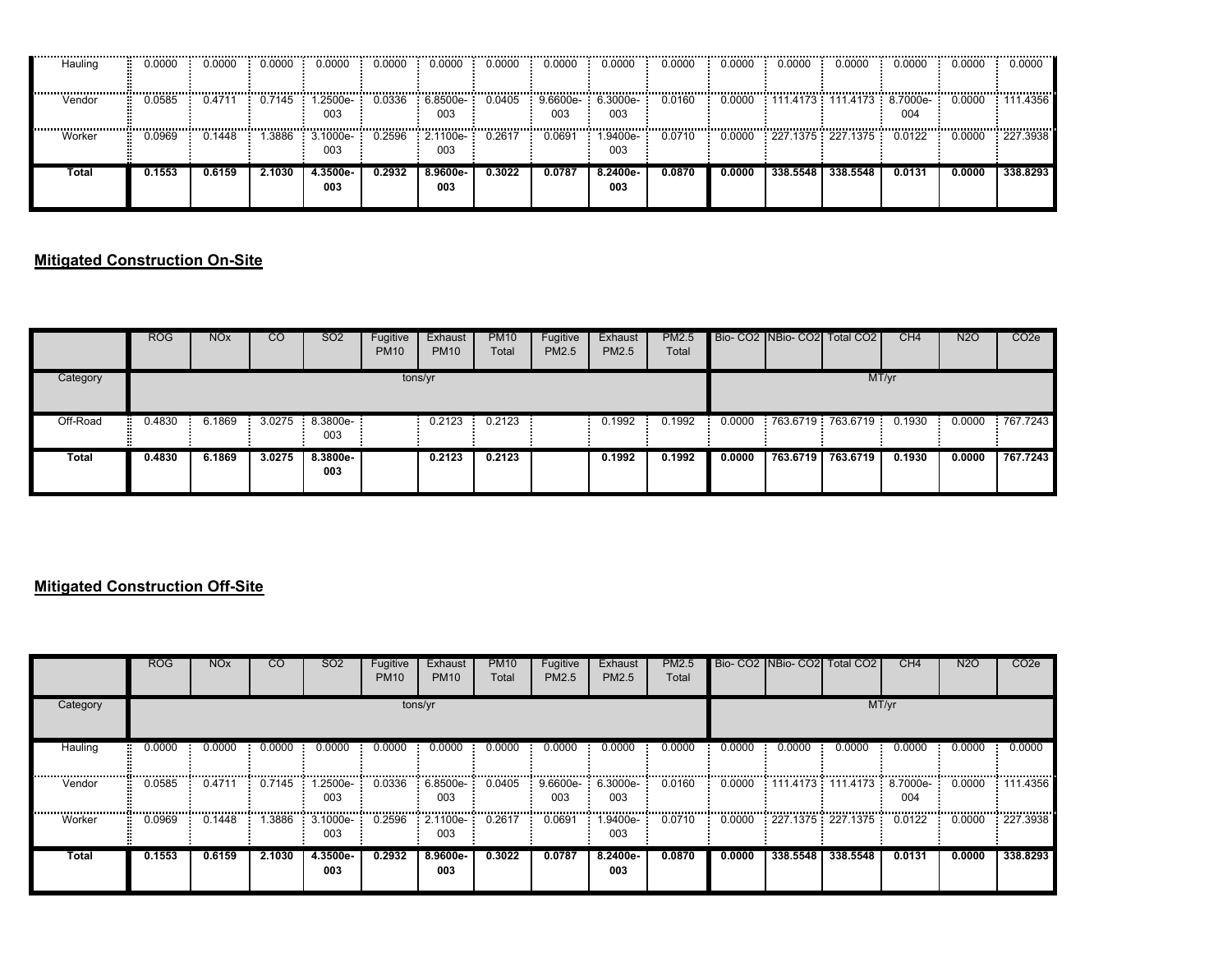| Hauling | 0.0000 | 0.0000 | 0.0000 | 0.0000                  | 0.0000 | 0.0000                             | 0.0000 | 0.0000 | 0.0000                     | 0.0000     | 0.0000 | 0.0000   | 0.0000                                                       | 0.0000 | 0.0000 | 0.0000      |
|---------|--------|--------|--------|-------------------------|--------|------------------------------------|--------|--------|----------------------------|------------|--------|----------|--------------------------------------------------------------|--------|--------|-------------|
| Vendor  | 0.0585 | 0.4711 |        | 0.7145  1.2500e-<br>003 |        | $0.0336 - 6.8500e - 0.0405$<br>003 |        | 003    | $9.6600e- 6.3000e-$<br>003 | $0.0160$ : |        |          | $0.0000$ : 111.4173 : 111.4173 : 8.7000e : 0.0000 : 111.4356 | 004    |        |             |
| Worker  | 0969.0 | 0.1448 | .3886  | 3.1000e-<br>003         | 0.2596 | $-2.1100e-$<br>003                 | 0.2617 | 0.0691 | .9400e-<br>003             | 0.0710     |        |          | $0.0000$ $: 227.1375$ $: 227.1375$ $: 0.0122$ $:$            |        | 0.0000 | $-227.3938$ |
| Total   | 0.1553 | 0.6159 | 2.1030 | 4.3500e-<br>003         | 0.2932 | 8.9600e-<br>003                    | 0.3022 | 0.0787 | 8.2400e-<br>003            | 1.0870     | 0.0000 | 338.5548 | 338.5548                                                     | 0.0131 | 0.0000 | 338.8293    |

### **Mitigated Construction On-Site**

|          | <b>ROG</b> | <b>NO<sub>x</sub></b> | <sub>CO</sub> | <b>SO2</b>             | Fugitive<br><b>PM10</b> | Exhaust<br><b>PM10</b> | <b>PM10</b><br>Total | Fugitive<br>PM2.5 | Exhaust<br>PM2.5 | <b>PM2.5</b><br>Total |        |          | Bio- CO2 NBio- CO2 Total CO2 | CH4    | <b>N2O</b> | CO <sub>2</sub> e |
|----------|------------|-----------------------|---------------|------------------------|-------------------------|------------------------|----------------------|-------------------|------------------|-----------------------|--------|----------|------------------------------|--------|------------|-------------------|
| Category |            |                       |               |                        | tons/yr                 |                        |                      |                   |                  |                       |        |          |                              | MT/yr  |            |                   |
| Off-Road | 0.4830     | 6.1869                |               | 3.0275 8.3800e-<br>003 |                         | 0.2123                 | 0.2123               |                   | 0.1992           | 0.1992                | 0.0000 |          | 763.6719 763.6719            | 0.1930 | 0.0000     | 767.7243          |
| Total    | 0.4830     | 6.1869                | 3.0275        | 8.3800e-<br>003        |                         | 0.2123                 | 0.2123               |                   | 0.1992           | 0.1992                | 0.0000 | 763.6719 | 763.6719                     | 0.1930 | 0.0000     | 767.7243          |

### **Mitigated Construction Off-Site**

|          | <b>ROG</b> | <b>NO<sub>x</sub></b> | <sub>CO</sub> | SO <sub>2</sub>        | Fugitive<br><b>PM10</b> | Exhaust<br><b>PM10</b>        | <b>PM10</b><br>Total | Fugitive<br><b>PM2.5</b> | Exhaust<br><b>PM2.5</b>  | <b>PM2.5</b><br>Total |        |          | Bio- CO2 INBio- CO2 Total CO2            | CH <sub>4</sub> | <b>N2O</b> | CO <sub>2</sub> e |
|----------|------------|-----------------------|---------------|------------------------|-------------------------|-------------------------------|----------------------|--------------------------|--------------------------|-----------------------|--------|----------|------------------------------------------|-----------------|------------|-------------------|
| Category |            |                       |               |                        |                         | tons/yr                       |                      |                          |                          |                       |        |          |                                          | MT/yr           |            |                   |
| Hauling  | 0.0000     | 0.0000                | 0.0000        | 0.0000                 | 0.0000                  | 0.0000                        | 0.0000               | 0.0000                   | 0.0000                   | 0.0000                | 0.0000 | 0.0000   | 0.0000                                   | 0.0000          | 0.0000     | 0.0000            |
| Vendor   | 0.0585     | 0.4711                | 0.7145        | .2500e-<br>003         | 0.0336                  | 6.8500e-<br>003               | 0.0405               | 9.6600e-<br>003          | 6.3000e-<br>003          | 0.0160                | 0.0000 |          | 111.4173 111.4173 8.7000e                | 004             | 0.0000     | 111.4356          |
| Worker   | 0.0969     | 0.1448                |               | 1.3886 3.1000e-<br>003 |                         | 0.2596 2.1100e- 0.2617<br>003 |                      | 0.0691                   | 1.9400e- <b>:</b><br>003 | 0.0710                |        |          | $0.0000$ 227.1375 227.1375 0.0122 0.0000 |                 |            | 227.3938          |
| Total    | 0.1553     | 0.6159                | 2.1030        | 4.3500e-<br>003        | 0.2932                  | 8.9600e-<br>003               | 0.3022               | 0.0787                   | 8.2400e-<br>003          | 0.0870                | 0.0000 | 338.5548 | 338.5548                                 | 0.0131          | 0.0000     | 338,8293          |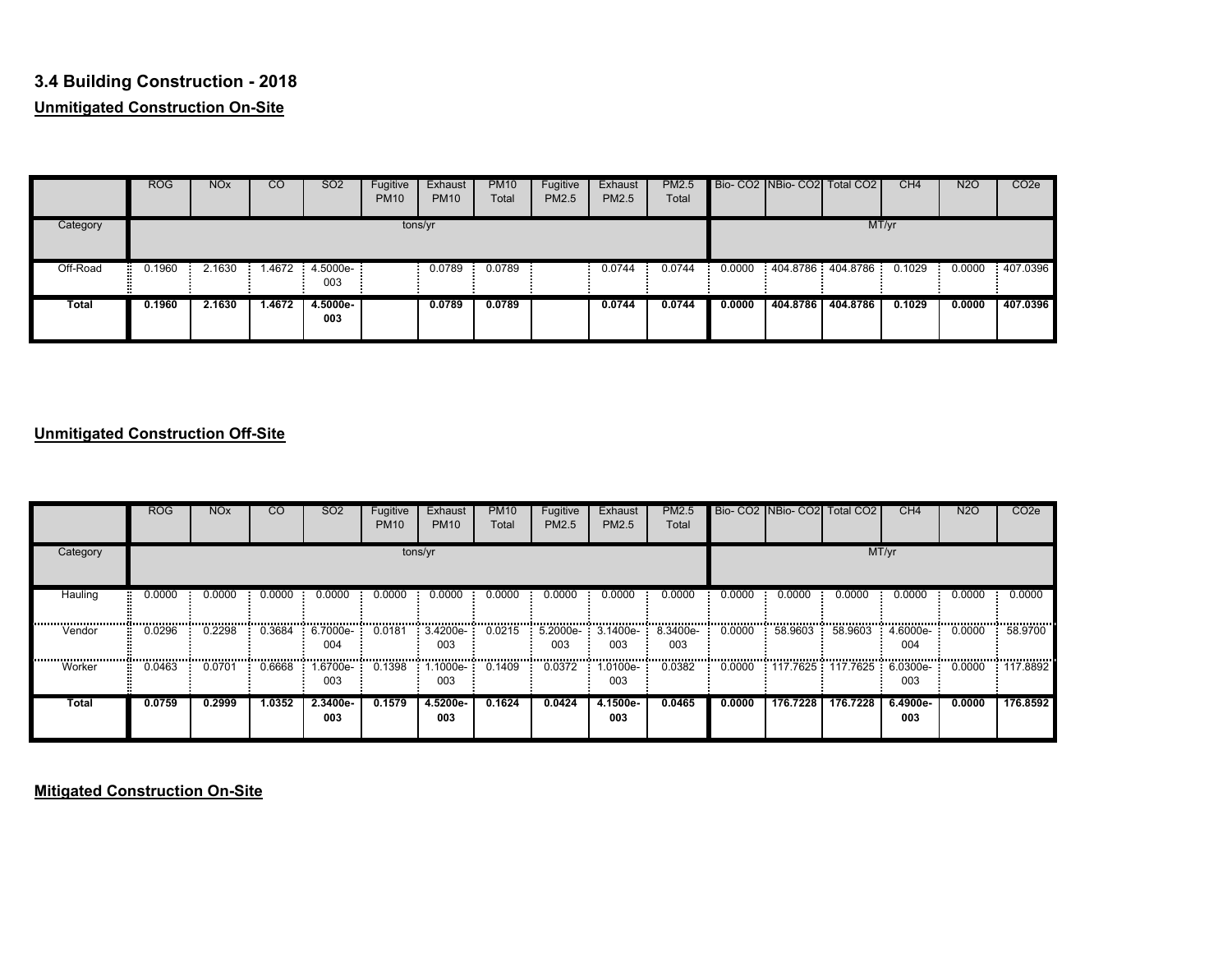# **3.4 Building Construction - 2018Unmitigated Construction On-Site**

|              | <b>ROG</b> | NO <sub>x</sub> | CO     | SO <sub>2</sub>       | Fugitive<br><b>PM10</b> | Exhaust<br><b>PM10</b> | <b>PM10</b><br>Total | Fugitive<br><b>PM2.5</b> | Exhaust<br><b>PM2.5</b> | <b>PM2.5</b><br>Total |        |          | Bio-CO2 NBio-CO2 Total CO2        | CH <sub>4</sub> | <b>N2O</b> | CO <sub>2</sub> e |
|--------------|------------|-----------------|--------|-----------------------|-------------------------|------------------------|----------------------|--------------------------|-------------------------|-----------------------|--------|----------|-----------------------------------|-----------------|------------|-------------------|
| Category     |            |                 |        |                       |                         | tons/yr                |                      |                          |                         |                       |        |          |                                   | MT/yr           |            |                   |
| Off-Road     | 0.1960     | 2.1630          |        | .4672 4.5000e-<br>003 |                         | 0.0789                 | 0.0789               |                          | 0.0744                  | 0.0744                |        |          | $0.0000$ 404.8786 404.8786 0.1029 |                 |            | 0.0000 407.0396   |
| <b>Total</b> | 0.1960     | 2.1630          | 1.4672 | 4.5000e-<br>003       |                         | 0.0789                 | 0.0789               |                          | 0.0744                  | 0.0744                | 0.0000 | 404.8786 | 404.8786                          | 0.1029          | 0.0000     | 407.0396          |

### **Unmitigated Construction Off-Site**

|             | <b>ROG</b> | <b>NO<sub>x</sub></b> | CO     | SO <sub>2</sub>   | Fugitive<br><b>PM10</b> | Exhaust<br><b>PM10</b>  | <b>PM10</b><br>Total | Fugitive<br><b>PM2.5</b> | Exhaust<br>PM2.5               | <b>PM2.5</b><br>Total |            |          | Bio- CO2 NBio- CO2 Total CO2    | CH <sub>4</sub> | N <sub>2</sub> O | CO <sub>2</sub> e |
|-------------|------------|-----------------------|--------|-------------------|-------------------------|-------------------------|----------------------|--------------------------|--------------------------------|-----------------------|------------|----------|---------------------------------|-----------------|------------------|-------------------|
| Category    |            |                       |        |                   |                         | tons/yr                 |                      |                          |                                |                       |            |          |                                 | MT/yr           |                  |                   |
| Hauling<br> | 0.0000     | 0.0000                | 0.0000 | 0.0000            | 0.0000<br>              | 0.0000                  | 0.0000               | 0.0000                   | 0.0000                         | 0.0000                | 0.0000<br> | 0.0000   | 0.0000<br>                      | 0.0000<br>      | 0.0000<br>       | 0.0000<br>.       |
| Vendor      | 0.0296     | 0.2298                | 0.3684 | 6.7000e-<br>004   | 0.0181                  | $3.4200e-$<br>003       | 0.0215               | 003                      | $: 5.2000e - 3.1400e -$<br>003 | 8.3400e-<br>003       | 0.0000     | 58.9603  | 58.9603                         | 4.6000e-<br>004 | 0.0000           | 58.9700           |
| Worker      | 0.0463     | 0.0701                | 0.6668 | .6700e-<br>003    | 0.1398                  | .1000e- <b>:</b><br>003 | 0.1409               | 0.0372                   | 1.0100e-<br>003                | 0.0382                | 0.0000     |          | : 117.7625 : 117.7625 : 6.0300e | 003             | 0.0000           | 117.8892          |
| Total       | 0.0759     | 0.2999                | 1.0352 | $2.3400e-$<br>003 | 0.1579                  | 4.5200e-<br>003         | 0.1624               | 0.0424                   | 4.1500e-<br>003                | 0.0465                | 0.0000     | 176.7228 | 176.7228                        | 6.4900e-<br>003 | 0.0000           | 176.8592          |

**Mitigated Construction On-Site**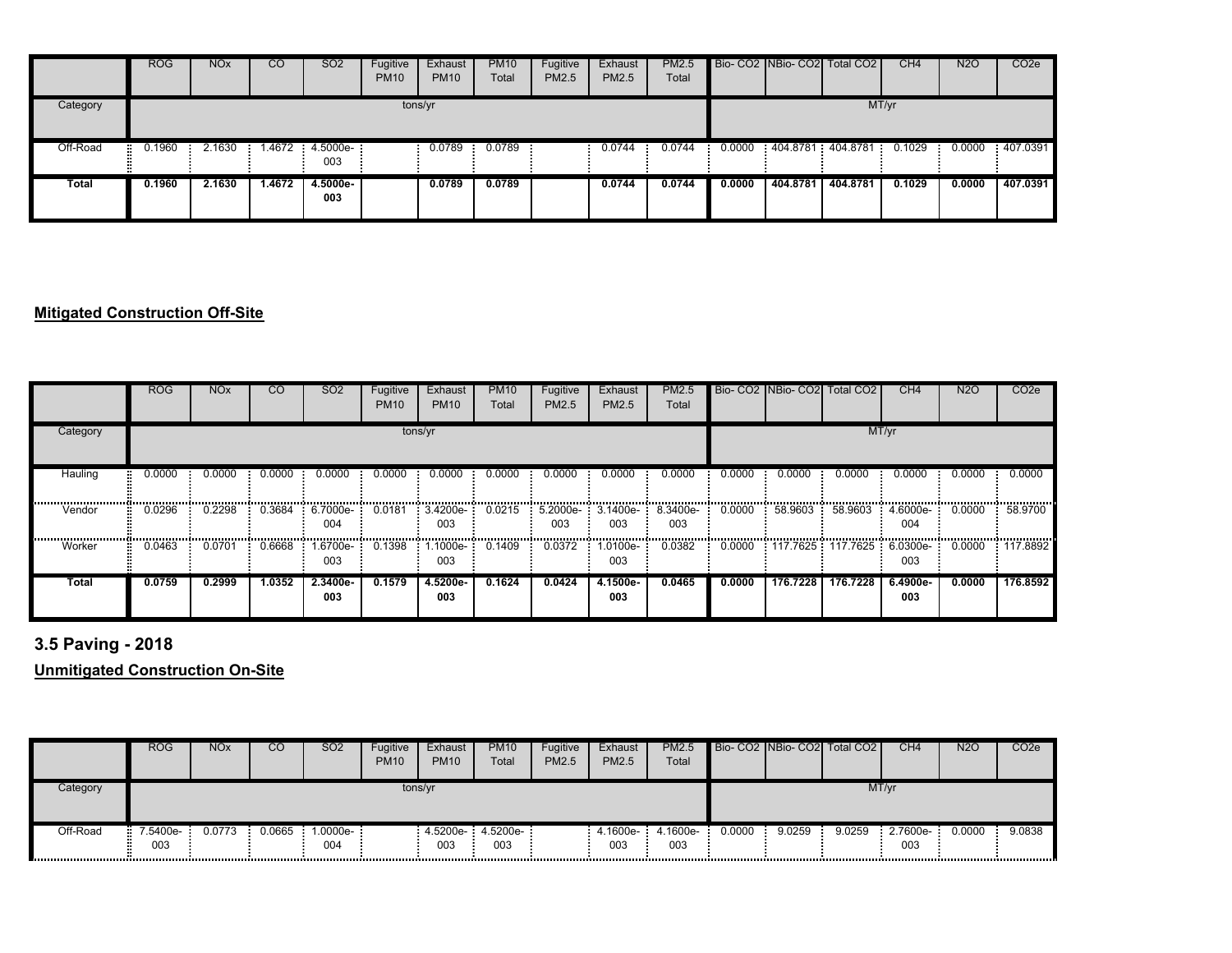|          | <b>ROG</b>  | <b>NOx</b> | $\overline{c}$ | <b>SO2</b>               | Fugitive<br><b>PM10</b> | Exhaust<br><b>PM10</b> | <b>PM10</b><br>Total | Fugitive<br>PM2.5 | Exhaust<br><b>PM2.5</b> | <b>PM2.5</b><br>Total |        |          | Bio-CO2 NBio-CO2 Total CO2 | CH4    | <b>N2O</b> | CO <sub>2e</sub> |
|----------|-------------|------------|----------------|--------------------------|-------------------------|------------------------|----------------------|-------------------|-------------------------|-----------------------|--------|----------|----------------------------|--------|------------|------------------|
| Category |             |            |                |                          |                         | tons/yr                |                      |                   |                         |                       |        |          |                            | MT/yr  |            |                  |
| Off-Road | 0.1960<br>÷ | 2.1630     |                | 1.4672 : 4.5000e-<br>003 |                         | 0.0789                 | 0.0789               |                   | 0.0744                  | 0.0744                | 0.0000 |          | 404.8781 404.8781          | 0.1029 | 0.0000     | 407.0391         |
| Total    | 0.1960      | 2.1630     | 1.4672         | 4.5000e-<br>003          |                         | 0.0789                 | 0.0789               |                   | 0.0744                  | 0.0744                | 0.0000 | 404.8781 | 404.8781                   | 0.1029 | 0.0000     | 407.0391         |

### **Mitigated Construction Off-Site**

|          | <b>ROG</b> | <b>NO<sub>x</sub></b> | <sub>CO</sub> | SO <sub>2</sub>   | Fugitive<br><b>PM10</b> | Exhaust<br><b>PM10</b> | <b>PM10</b><br>Total | Fugitive<br>PM2.5 | Exhaust<br><b>PM2.5</b> | <b>PM2.5</b><br>Total |            |             | Bio- CO2 NBio- CO2 Total CO2 | CH <sub>4</sub>   | N <sub>2</sub> O | CO <sub>2</sub> e |
|----------|------------|-----------------------|---------------|-------------------|-------------------------|------------------------|----------------------|-------------------|-------------------------|-----------------------|------------|-------------|------------------------------|-------------------|------------------|-------------------|
| Category |            |                       |               |                   | tons/yr                 |                        |                      |                   |                         |                       |            |             |                              | MT/yr             |                  |                   |
| Hauling  | 0.0000     | 0.0000                | 0.0000        | 0.0000            | 0.0000                  | 0.0000                 | 0.0000               | 0.0000            | 0.0000                  | 0.0000                | 0.0000     | 0.0000      | 0.0000                       | 0.0000            | 0.0000           | 0.0000            |
| Vendor   | <br>0.0296 | 0.2298                | 0.3684        | 6.7000e-<br>004   | 0.0181                  | 3.4200e-<br>003        | 0.0215               | 5.2000e-<br>003   | 3.1400e-<br>003         | <br>8.3400e-<br>003   | <br>0.0000 | <br>58.9603 | 58.9603                      | 4.6000e-<br>004   | 0.0000           | 58.9700           |
| Worker   | 0.0463     | 0.0701                | 0.6668        | -.6700e<br>003    | 0.1398                  | .1000e-<br>003         | 0.1409               | 0.0372            | 1.0100e-<br>003         | 0.0382                | 0.0000     |             | $117.7625:117.7625:6.0300e-$ | 003               | 0.0000           | 117.8892          |
| Total    | 0.0759     | 0.2999                | 1.0352        | $2.3400e-$<br>003 | 0.1579                  | 4.5200e-<br>003        | 0.1624               | 0.0424            | 4.1500e-<br>003         | 0.0465                | 0.0000     | 176.7228    | 176.7228                     | $6.4900e-$<br>003 | 0.0000           | 176.8592          |

**3.5 Paving - 2018**

**Unmitigated Construction On-Site**

|          | <b>ROG</b>        | <b>NO<sub>x</sub></b> | CO     | <b>SO2</b>       | Fugitive<br><b>PM10</b> | Exhaust<br><b>PM10</b> | <b>PM10</b><br>Total         | Fugitive<br>PM2.5 | Exhaust<br><b>PM2.5</b> | <b>PM2.5</b><br>Total |        |        | Bio- CO2 NBio- CO2 Total CO2 | CH4               | <b>N2O</b> | CO <sub>2</sub> e |
|----------|-------------------|-----------------------|--------|------------------|-------------------------|------------------------|------------------------------|-------------------|-------------------------|-----------------------|--------|--------|------------------------------|-------------------|------------|-------------------|
| Category |                   |                       |        |                  | tons/yr                 |                        |                              |                   |                         |                       |        |        | MT/yr                        |                   |            |                   |
| Off-Road | $7.5400e-$<br>003 | 0.0773                | 0.0665 | $.0000e-$<br>004 |                         | 003                    | $4.5200e - 4.5200e -$<br>003 |                   | 4.1600e-<br>003         | 4.1600e-<br>003       | 0.0000 | 9.0259 | 9.0259                       | $2.7600e-$<br>003 | 0.0000     | 9.0838            |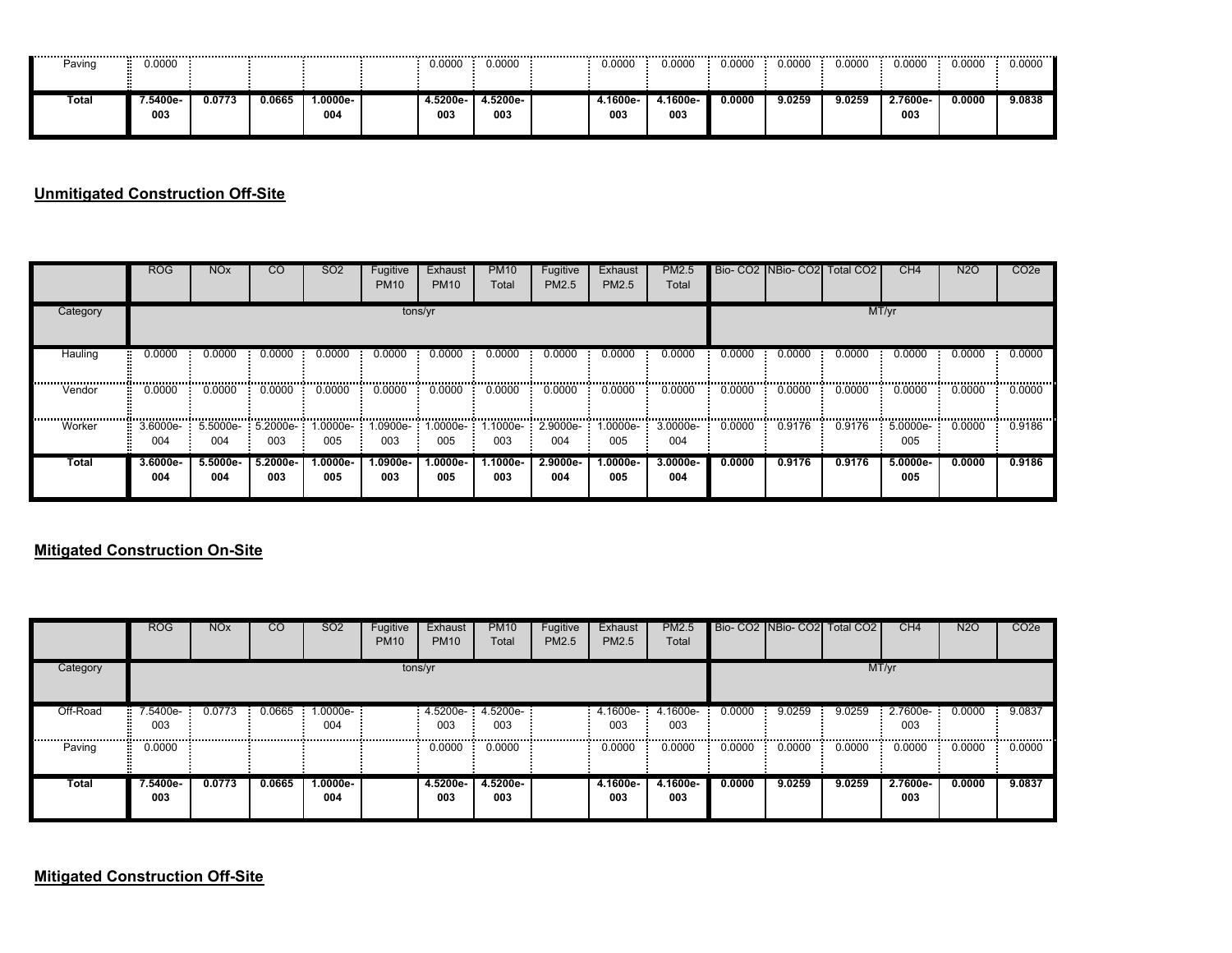| --------------------------<br>Paving | 0.0000         |        |        |                 | <br>0.0000     | <br>0.0000      | <br>0.0000      | 0.0000         | 0.0000 | <br>0.0000 | ----------<br>0.0000 | -----------<br>0.0000 | 0.0000 | -------------------------------<br>0.0000 |
|--------------------------------------|----------------|--------|--------|-----------------|----------------|-----------------|-----------------|----------------|--------|------------|----------------------|-----------------------|--------|-------------------------------------------|
| Total                                | .5400e-<br>003 | 0.0773 | 0.0665 | -0000e،،<br>004 | 4.5200e<br>003 | 4.5200e-<br>003 | 4.1600e-<br>003 | 4.1600e<br>003 | 0.0000 | 9.0259     | 9.0259               | 2.7600e-<br>003       | 0.0000 | 9.0838                                    |

### **Unmitigated Construction Off-Site**

|            | ROG               | <b>NO<sub>x</sub></b>      | <sub>CO</sub>   | SO <sub>2</sub>   | Fugitive<br><b>PM10</b> | Exhaust<br><b>PM10</b>     | <b>PM10</b><br>Total | Fugitive<br><b>PM2.5</b> | Exhaust<br>PM2.5  | <b>PM2.5</b><br>Total |        |        | Bio- CO2 INBio- CO2 Total CO2 | CH <sub>4</sub>   | <b>N2O</b> | CO <sub>2</sub> e |
|------------|-------------------|----------------------------|-----------------|-------------------|-------------------------|----------------------------|----------------------|--------------------------|-------------------|-----------------------|--------|--------|-------------------------------|-------------------|------------|-------------------|
| Category   |                   |                            |                 |                   | tons/yr                 |                            |                      |                          |                   |                       |        |        | MT/yr                         |                   |            |                   |
| Hauling    | 0.0000            | 0.0000                     | 0.0000          | 0.0000            | 0.0000                  | 0.0000                     | 0.0000               | 0.0000                   | 0.0000            | 0.0000                | 0.0000 | 0.0000 | 0.0000                        | 0.0000            | 0.0000     | 0.0000            |
| Vendor     | 0.0000            | 0.0000                     | 0.0000          | 0.0000            | 0.0000                  | 0.0000                     | 0.0000               | 0.0000                   | 0.0000            | 0.0000                | 0.0000 | 0.0000 | 0.0000                        | 0.0000            | 0.0000     | 0.0000            |
| <br>Worker | 3.6000e-<br>004   | $5.5000e-5.2000e-1$<br>004 | 003             | 1.0000e-<br>005   | 003                     | 1.0900e- 1.0000e- 1<br>005 | 003                  | $.1000e-2.9000e-$<br>004 | 1.0000e-<br>005   | 3.0000e-<br>004       | 0.0000 | 0.9176 | 0.9176                        | 5.0000e-<br>005   | 0.0000     | <br>0.9186        |
| Total      | $3.6000e-$<br>004 | $5.5000e-$<br>004          | 5.2000e-<br>003 | $1.0000e-$<br>005 | $1.0900e-$<br>003       | $1.0000e-$<br>005          | 1.1000e-<br>003      | 2.9000e-<br>004          | $1.0000e-$<br>005 | $3.0000e -$<br>004    | 0.0000 | 0.9176 | 0.9176                        | $5.0000e-$<br>005 | 0.0000     | 0.9186            |

#### **Mitigated Construction On-Site**

|            | <b>ROG</b>      | <b>NO<sub>x</sub></b> | $\overline{C}$ | <b>SO2</b>        | Fugitive<br><b>PM10</b> | Exhaust<br><b>PM10</b>     | <b>PM10</b><br>Total | Fugitive<br>PM2.5 | Exhaust<br>PM2.5 | <b>PM2.5</b><br>Total |        |        | Bio- CO2 NBio- CO2 Total CO2 | CH4             | <b>N2O</b> | CO <sub>2</sub> e |
|------------|-----------------|-----------------------|----------------|-------------------|-------------------------|----------------------------|----------------------|-------------------|------------------|-----------------------|--------|--------|------------------------------|-----------------|------------|-------------------|
| Category   |                 |                       |                |                   | tons/yr                 |                            |                      |                   |                  |                       |        |        |                              | MT/yr           |            |                   |
| Off-Road   | 7.5400e-<br>003 | 0.0773                | 0.0665         | $1.0000e-$<br>004 |                         | $4.5200e - 4.5200e$<br>003 | 003                  |                   | 4.1600e-<br>003  | 4.1600e-<br>003       | 0.0000 | 9.0259 | 9.0259                       | 2.7600e-<br>003 | 0.0000     | 9.0837            |
| <br>Paving | 0.0000          |                       |                |                   |                         | 0.0000                     | 0.0000               |                   | 0.0000           | 0.0000                | 0.0000 | 0.0000 | 0.0000                       | 0.0000          | 0.0000     | 0.0000            |
| Total      | 7.5400e-<br>003 | 0.0773                | 0.0665         | 1.0000e-<br>004   |                         | 4.5200e-<br>003            | 4.5200e-<br>003      |                   | 4.1600e-<br>003  | 4.1600e-<br>003       | 0.0000 | 9.0259 | 9.0259                       | 2.7600e-<br>003 | 0.0000     | 9.0837            |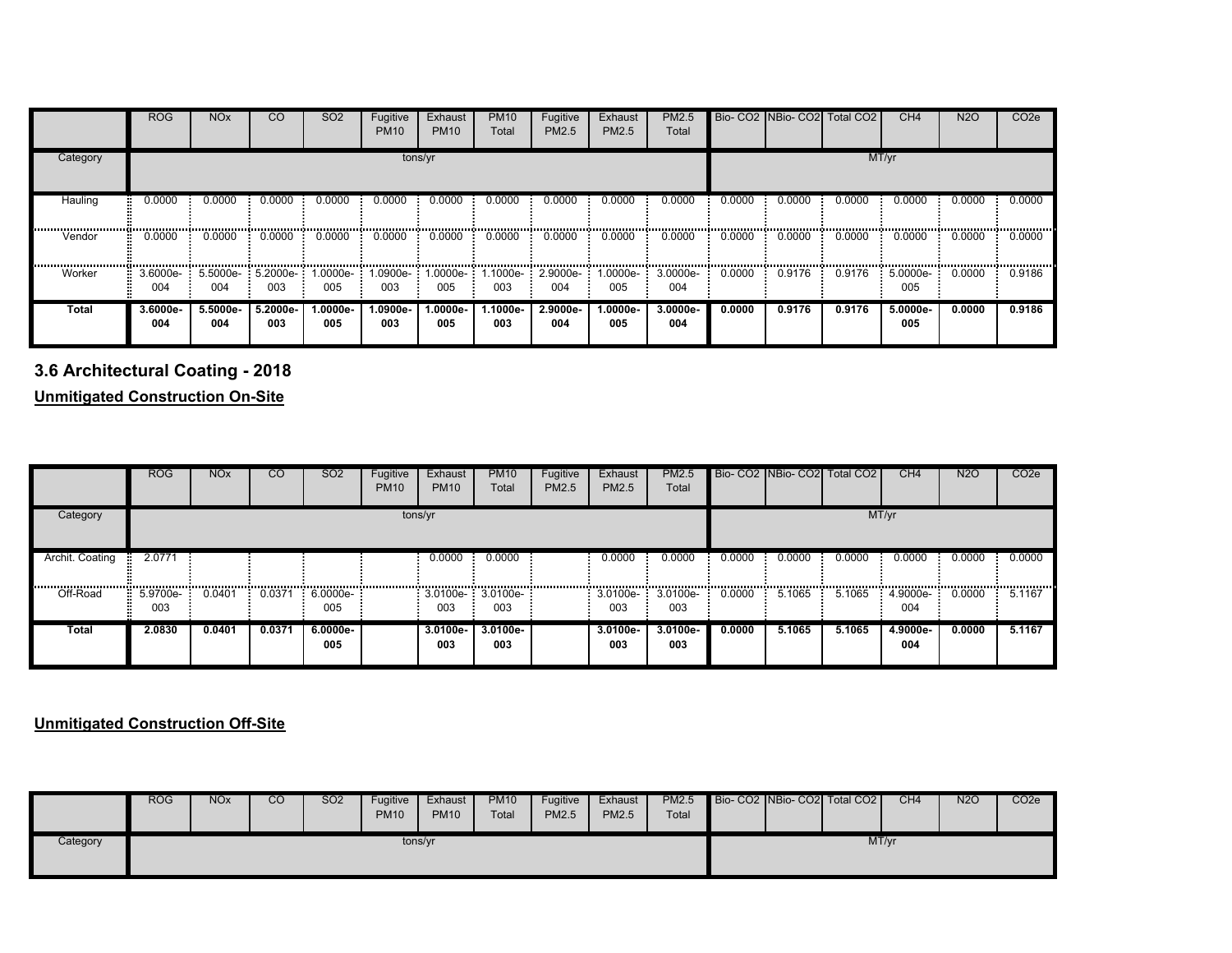|              | <b>ROG</b>      | <b>NO<sub>x</sub></b> | <b>CO</b>                  | SO <sub>2</sub> | Fugitive<br><b>PM10</b> | Exhaust<br><b>PM10</b>    | <b>PM10</b><br>Total | Fugitive<br>PM2.5        | Exhaust<br>PM2.5 | <b>PM2.5</b><br>Total |        | Bio- CO2 NBio- CO2 | Total CO <sub>2</sub> | CH <sub>4</sub> | <b>N2O</b> | CO <sub>2e</sub> |
|--------------|-----------------|-----------------------|----------------------------|-----------------|-------------------------|---------------------------|----------------------|--------------------------|------------------|-----------------------|--------|--------------------|-----------------------|-----------------|------------|------------------|
| Category     |                 |                       |                            |                 |                         | tons/yr                   |                      |                          |                  |                       |        |                    |                       | MT/yr           |            |                  |
| Hauling      | 0.0000          | 0.0000                | 0.0000                     | 0.0000          | 0.0000                  | 0.0000                    | 0.0000               | 0.0000                   | 0.0000           | 0.0000                | 0.0000 | 0.0000             | 0.0000                | 0.0000          | 0.0000     | 0.0000           |
| Vendor       | 0.0000          | 0.0000                | 0.0000                     | 0.0000          | 0.0000                  | 0.0000                    | 0.0000               | 0.0000                   | 0.0000           | 0.0000                | 0.0000 | 0.0000             | 0.0000                | 0.0000          | 0.0000     | 0.0000           |
| Worker       | 3.6000e-<br>004 | 004                   | $5.5000e-5.2000e-1$<br>003 | -.0000e.<br>005 | 003                     | .0900e- 1.0000e- 1<br>005 | 003                  | 1.1000e- 2.9000e-<br>004 | 1.0000e-<br>005  | 3.0000e-<br>004       | 0.0000 | 0.9176             | 0.9176                | 5.0000e-<br>005 | 0.0000     | 0.9186           |
| <b>Total</b> | 3.6000e-<br>004 | 5.5000e-<br>004       | 5.2000e-<br>003            | 1.0000e-<br>005 | 1.0900e-<br>003         | -.0000e.<br>005           | 1.1000e-<br>003      | 2.9000e-<br>004          | 1.0000e-<br>005  | 3.0000e-<br>004       | 0.0000 | 0.9176             | 0.9176                | 5.0000e-<br>005 | 0.0000     | 0.9186           |

**3.6 Architectural Coating - 2018**

**Unmitigated Construction On-Site**

|                 | <b>ROG</b>           | <b>NO<sub>x</sub></b> | <sub>CO</sub> | SO <sub>2</sub>        | Fugitive<br><b>PM10</b> | Exhaust<br><b>PM10</b> | <b>PM10</b><br>Total                   | Fugitive<br><b>PM2.5</b> | Exhaust<br>PM2.5             | PM2.5<br>Total     |        | Bio- CO2 INBio- CO2 Total CO2 |        | CH <sub>4</sub>   | <b>N2O</b> | CO <sub>2</sub> e     |
|-----------------|----------------------|-----------------------|---------------|------------------------|-------------------------|------------------------|----------------------------------------|--------------------------|------------------------------|--------------------|--------|-------------------------------|--------|-------------------|------------|-----------------------|
| Category        |                      |                       |               |                        | tons/yr                 |                        |                                        |                          |                              |                    |        |                               |        | MT/yr             |            |                       |
| Archit. Coating | 2.0771<br>ш.         |                       |               |                        |                         | 0.0000                 | 0.0000                                 |                          | 0.0000                       | 0.0000             | 0.0000 | 0.0000                        | 0.0000 | 0.0000            | 0.0000     | 0.0000                |
| Off-Road        | $: 5.9700e-1$<br>003 | 0.0401                |               | 0.0371 6.0000e-<br>005 |                         | 003                    | $: 3.0100e - 3.0100e - 3.0100e$<br>003 |                          | $3.0100e - 3.0100e -$<br>003 | 003                | 0.0000 | 5.1065                        | 5.1065 | $4.9000e-$<br>004 | 0.0000     | 5.1167<br><b>Burn</b> |
| Total           | 2.0830               | 0.0401                | 0.0371        | $6.0000e-$<br>005      |                         | $3.0100e -$<br>003     | $3.0100e-$<br>003                      |                          | $3.0100e -$<br>003           | $3.0100e -$<br>003 | 0.0000 | 5.1065                        | 5.1065 | 4.9000e-<br>004   | 0.0000     | 5.1167                |

**Unmitigated Construction Off-Site**

|          | <b>ROG</b> | <b>NO<sub>x</sub></b> | CO | <b>SO2</b> | Fugitive<br><b>PM10</b> | Exhaust<br><b>PM10</b> | <b>PM10</b><br>Total | Fugitive<br><b>PM2.5</b> | Exhaust<br><b>PM2.5</b> | <b>PM2.5</b><br>Total |  | Bio-CO2 NBio-CO2 Total CO2 | CH4 | <b>N2O</b> | CO <sub>2</sub> e |
|----------|------------|-----------------------|----|------------|-------------------------|------------------------|----------------------|--------------------------|-------------------------|-----------------------|--|----------------------------|-----|------------|-------------------|
| Category |            |                       |    |            | tons/yr                 |                        |                      |                          |                         |                       |  | MT/yr                      |     |            |                   |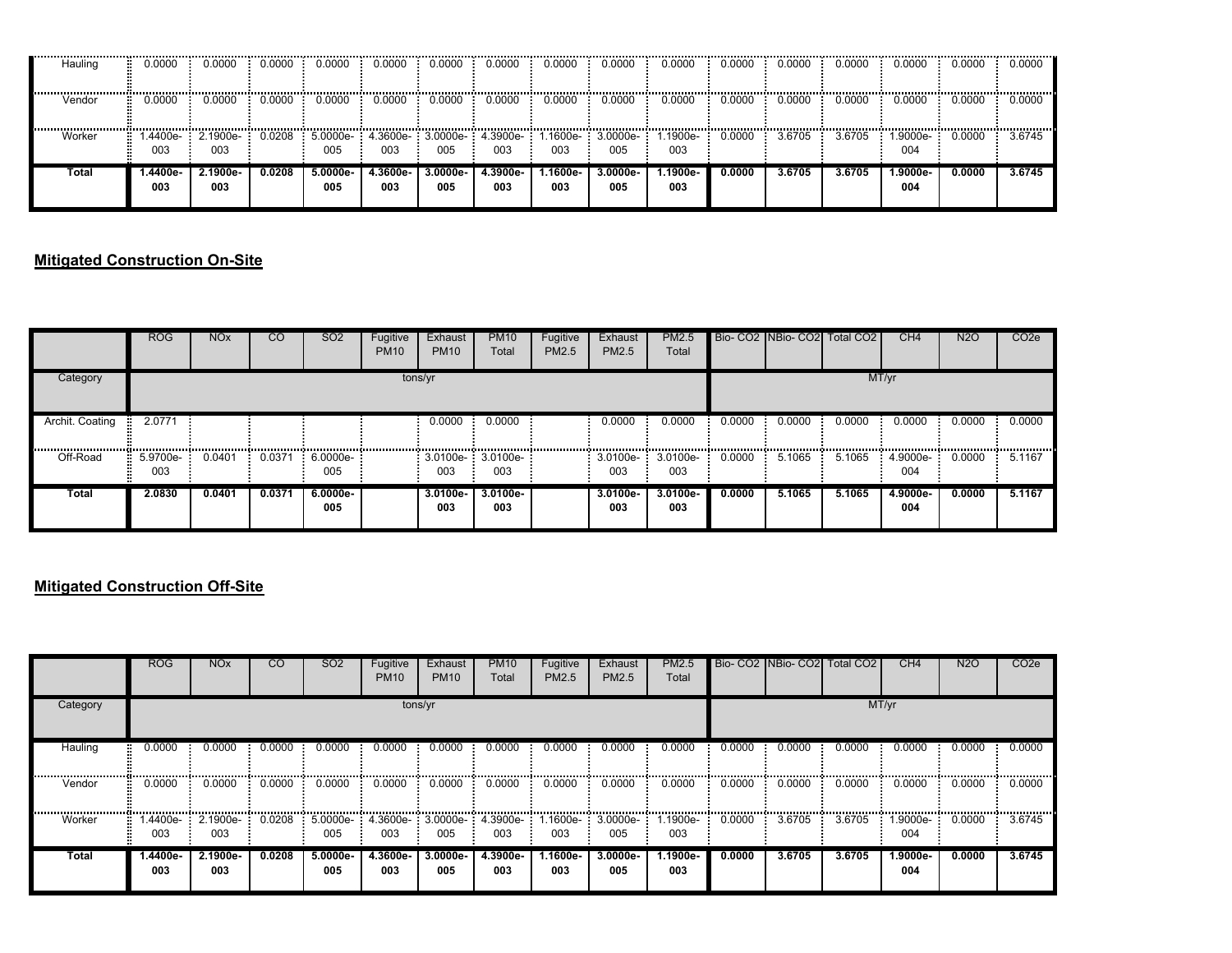| Hauling | 0.0000         | 0.0000          | 0.0000 | 0.0000          | 0.0000          | 0.0000                   | 0.0000                  | 0.0000          | 0.0000                  | 0.0000          | 0.0000 | 0.0000 | 0.0000 | 0.0000          | 0.0000 | 0.0000 |
|---------|----------------|-----------------|--------|-----------------|-----------------|--------------------------|-------------------------|-----------------|-------------------------|-----------------|--------|--------|--------|-----------------|--------|--------|
| Vendor  | 0.0000         | 0.0000          | 0.0000 | 0.0000          | 0.0000          | 0.0000                   | 0.0000                  | 0.0000          | 0.0000                  | 0.0000          | 0.0000 | 0.0000 | 0.0000 | 0.0000          | 0.0000 | 0.0000 |
| Worker  | .4400e-<br>003 | 2.1900e-<br>003 | 0.0208 | 5.0000e-<br>005 | 003             | 4.3600e- 3.0000e-<br>005 | $\cdot$ 4.3900e-<br>003 | .1600e-<br>003  | $\cdot$ 3.0000e-<br>005 | .1900e-<br>003  | 0.0000 | 3.6705 | 3.6705 | 1.9000e-<br>004 | 0.0000 | 3.6745 |
| Total   | -.4400e<br>003 | 2.1900e-<br>003 | 0.0208 | 5.0000e-<br>005 | 4.3600e-<br>003 | 3.0000e-<br>005          | 4.3900e-<br>003         | l.1600e-<br>003 | 3.0000e-<br>005         | 1.1900e-<br>003 | 0.0000 | 3.6705 | 3.6705 | 1.9000e-<br>004 | 0.0000 | 3.6745 |

### **Mitigated Construction On-Site**

|                           | <b>ROG</b>        | <b>NO<sub>x</sub></b> | <sub>CO</sub> | <b>SO2</b>      | Fugitive<br><b>PM10</b> | Exhaust<br><b>PM10</b>     | <b>PM10</b><br>Total | Fugitive<br>PM2.5 | Exhaust<br><b>PM2.5</b> | <b>PM2.5</b><br>Total |        |        | Bio- CO2 INBio- CO2 Total CO2 | CH <sub>4</sub>           | N <sub>2</sub> | CO <sub>2</sub> e |
|---------------------------|-------------------|-----------------------|---------------|-----------------|-------------------------|----------------------------|----------------------|-------------------|-------------------------|-----------------------|--------|--------|-------------------------------|---------------------------|----------------|-------------------|
| Category                  |                   |                       |               |                 | tons/yr                 |                            |                      |                   |                         |                       |        |        |                               | MT/yr                     |                |                   |
| Archit. Coating<br>п.<br> | 2.0771            |                       |               |                 |                         | 0.0000                     | 0.0000               |                   | 0.0000                  | 0.0000                | 0.0000 | 0.0000 | 0.0000                        | 0.0000<br>,,,,,,,,,,,,,,, | 0.0000         | 0.0000            |
| Off-Road                  | $5.9700e-$<br>003 | 0.0401                | 0.0371        | 6.0000e-<br>005 |                         | $3.0100e - 3.0100e$<br>003 | 003                  |                   | 3.0100e-<br>003         | 3.0100e-<br>003       | 0.0000 | 5.1065 | 5.1065                        | 4.9000e-<br>004           | 0.0000         | 5.1167            |
| Total                     | 2.0830            | 0.0401                | 0.0371        | 6.0000e-<br>005 |                         | 3.0100e-<br>003            | $3.0100e-$<br>003    |                   | 3.0100e-<br>003         | $3.0100e -$<br>003    | 0.0000 | 5.1065 | 5.1065                        | 4.9000e-<br>004           | 0.0000         | 5.1167            |

### **Mitigated Construction Off-Site**

|          | <b>ROG</b>      | <b>NO<sub>x</sub></b> | <sub>CO</sub> | <b>SO2</b>                                          | Fugitive<br><b>PM10</b> | Exhaust<br><b>PM10</b> | <b>PM10</b><br>Total | Fugitive<br><b>PM2.5</b> | Exhaust<br><b>PM2.5</b>    | PM2.5<br>Total  |        |        | Bio- CO2 NBio- CO2 Total CO2 | CH <sub>4</sub> | <b>N2O</b> | CO <sub>2</sub> e |
|----------|-----------------|-----------------------|---------------|-----------------------------------------------------|-------------------------|------------------------|----------------------|--------------------------|----------------------------|-----------------|--------|--------|------------------------------|-----------------|------------|-------------------|
| Category |                 |                       |               |                                                     | tons/yr                 |                        |                      |                          |                            |                 |        |        |                              | MT/yr           |            |                   |
| Hauling  | 0.0000          | 0.0000                | 0.0000        | 0.0000                                              | 0.0000                  | 0.0000                 | 0.0000               | 0.0000                   | 0.0000                     | 0.0000          | 0.0000 | 0.0000 | 0.0000                       | 0.0000          | 0.0000     | 0.0000            |
| Vendor   | 0.0000          | 0.0000                | 0.0000        | 0.0000                                              | 0.0000                  | 0.0000                 | 0.0000               | 0.0000                   | 0.0000                     | 0.0000          | 0.0000 | 0.0000 | 0.0000                       | 0.0000          | 0.0000     | 0.0000            |
| Worker   | 003             | 003                   |               | $0.0208$ 5.0000e- 4.3600e- 3.0000e- 4.3900e-<br>005 | 003                     | 005                    | 003                  | 003                      | 1.1600e-: 3.0000e-:<br>005 | 1.1900e-<br>003 | 0.0000 | 3.6705 | 3.6705                       | 1.9000e-<br>004 | 0.0000     | 3.6745            |
| Total    | 1.4400e-<br>003 | 2.1900e-<br>003       | 0.0208        | 5.0000e-<br>005                                     | 4.3600e-<br>003         | 3.0000e-<br>005        | 4.3900e-<br>003      | l.1600e-<br>003          | 3.0000e-<br>005            | 1.1900e-<br>003 | 0.0000 | 3.6705 | 3.6705                       | 1.9000e-<br>004 | 0.0000     | 3.6745            |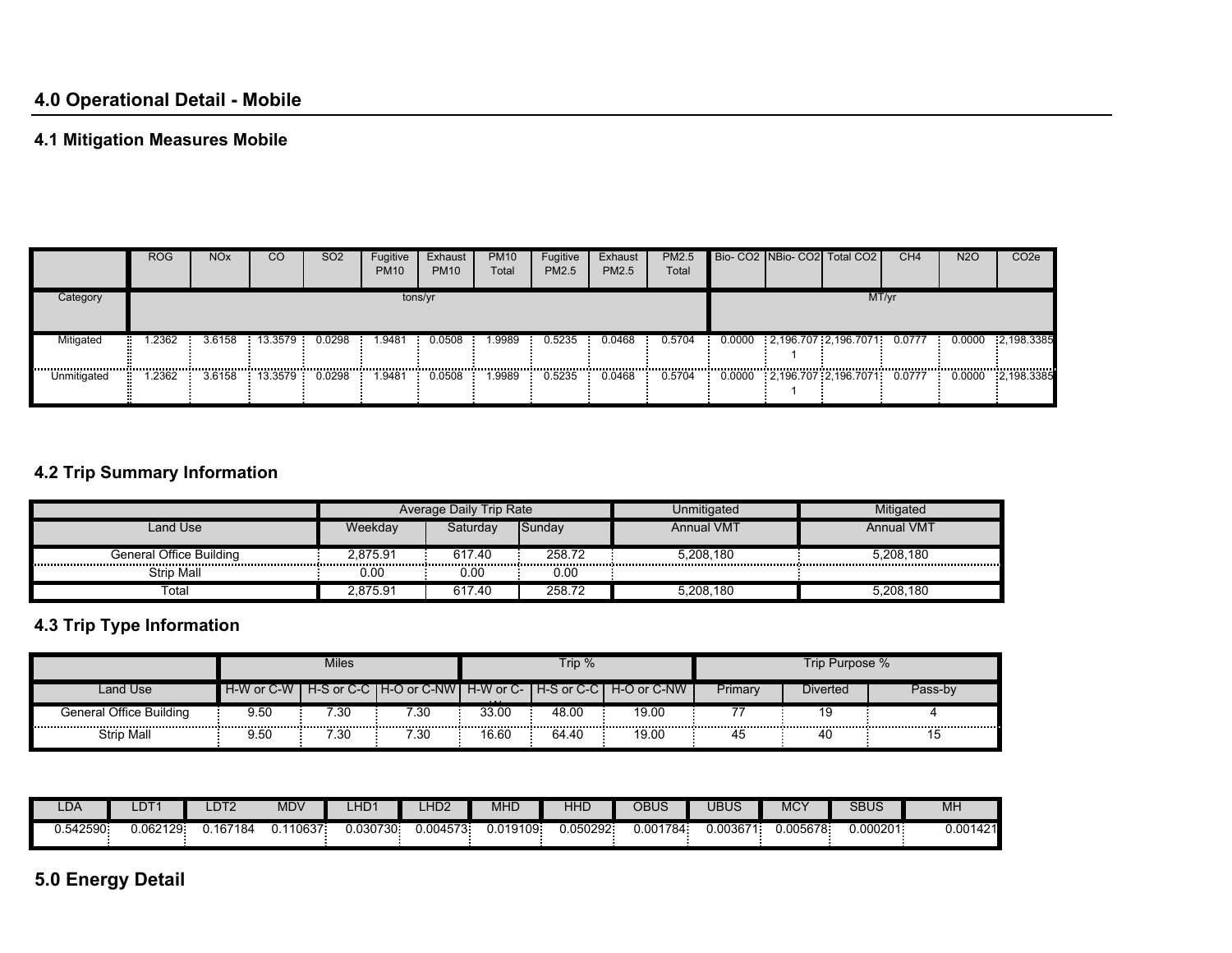## **4.1 Mitigation Measures Mobile**

|                 | <b>ROG</b> | NO <sub>x</sub> | CO      | SO <sub>2</sub> | Fugitive<br><b>PM10</b> | Exhaust<br><b>PM10</b> | <b>PM10</b><br>Total | Fugitive<br>PM2.5 | Exhaust<br><b>PM2.5</b> | <b>PM2.5</b><br>Total |              | Bio- CO2 NBio- CO2 Total CO2       | CH <sub>4</sub> | <b>N2O</b> | CO <sub>2</sub> e |
|-----------------|------------|-----------------|---------|-----------------|-------------------------|------------------------|----------------------|-------------------|-------------------------|-----------------------|--------------|------------------------------------|-----------------|------------|-------------------|
| Category        |            |                 |         |                 | tons/yr                 |                        |                      |                   |                         |                       |              |                                    | MT/yr           |            |                   |
| Mitigated       | .2362      | 3.6158          | 13.3579 | 0.0298          | .9481                   | 0.0508                 | .9989                | 0.5235            | 0.0468                  | 0.5704                | <b>COLOR</b> | 0.0000 2,196.707 2,196.7071        | 0.0777          | 0.0000     | $-2,198.3385$     |
| <br>Unmitigated | .2362      | 3.6158          | 13.3579 | 0.0298          | <br>.9481               | <br>0.0508             | <br>.9989            | 0.5235            | 0.0468                  | 0.5704                |              | 0.0000 2.196.707 2.196.7071 0.0777 |                 | 0.0000     | 2,198.3385        |

# **4.2 Trip Summary Information**

|                         |          | Average Daily Trip Rate |        | Unmitigated       | Mitigated         |
|-------------------------|----------|-------------------------|--------|-------------------|-------------------|
| Land Use                | Weekdav  | Saturdav                | Sunday | <b>Annual VMT</b> | <b>Annual VMT</b> |
| General Office Building | 2.875.91 | 617.40                  | 258.72 | 5.208.180         | 5.208.180         |
| Strip Mall              | 0.00     | 0.00                    | 0.00   |                   |                   |
| Total                   | 2,875.91 | 617.40                  | 258.72 | 5,208,180         | 5,208,180         |

### **4.3 Trip Type Information**

|                         |            | <b>Miles</b> |      |          | Trip % |                                                                 |         | Trip Purpose % |         |
|-------------------------|------------|--------------|------|----------|--------|-----------------------------------------------------------------|---------|----------------|---------|
| Land Use                | H-W or C-W |              |      | $\cdots$ |        | H-S or C-C   H-O or C-NW   H-W or C-   H-S or C-C   H-O or C-NW | Primary | Diverted       | Pass-bv |
| General Office Building | 9.50       | 7.30         | 7.30 | 33.00    | 48.00  | 19.00                                                           |         |                |         |
| Strip Mall              | 9.50       | 7.30         | 7.30 | 16.60    | 64.40  | 19.00                                                           | 45      | 40             | כ ו     |

| LDA      | LDT′     | DT2      | <b>MDV</b> | LHD1     | 11D2<br>-⊓∟∠ | MHD      | HHL      | OBUS     | UBUS     | MC <sup>\</sup> | <b>SBUS</b> | <b>MH</b>                           |
|----------|----------|----------|------------|----------|--------------|----------|----------|----------|----------|-----------------|-------------|-------------------------------------|
| 0.542590 | 0.062129 | u.167184 | .110637    | 0.030730 | 0.004573.    | 0.019109 | 0.050292 | 0.001784 | 0.00367' | .005678         | 0.000201    | ገ በበ1 <i>ለ</i> 21<br>142 II<br>v.vv |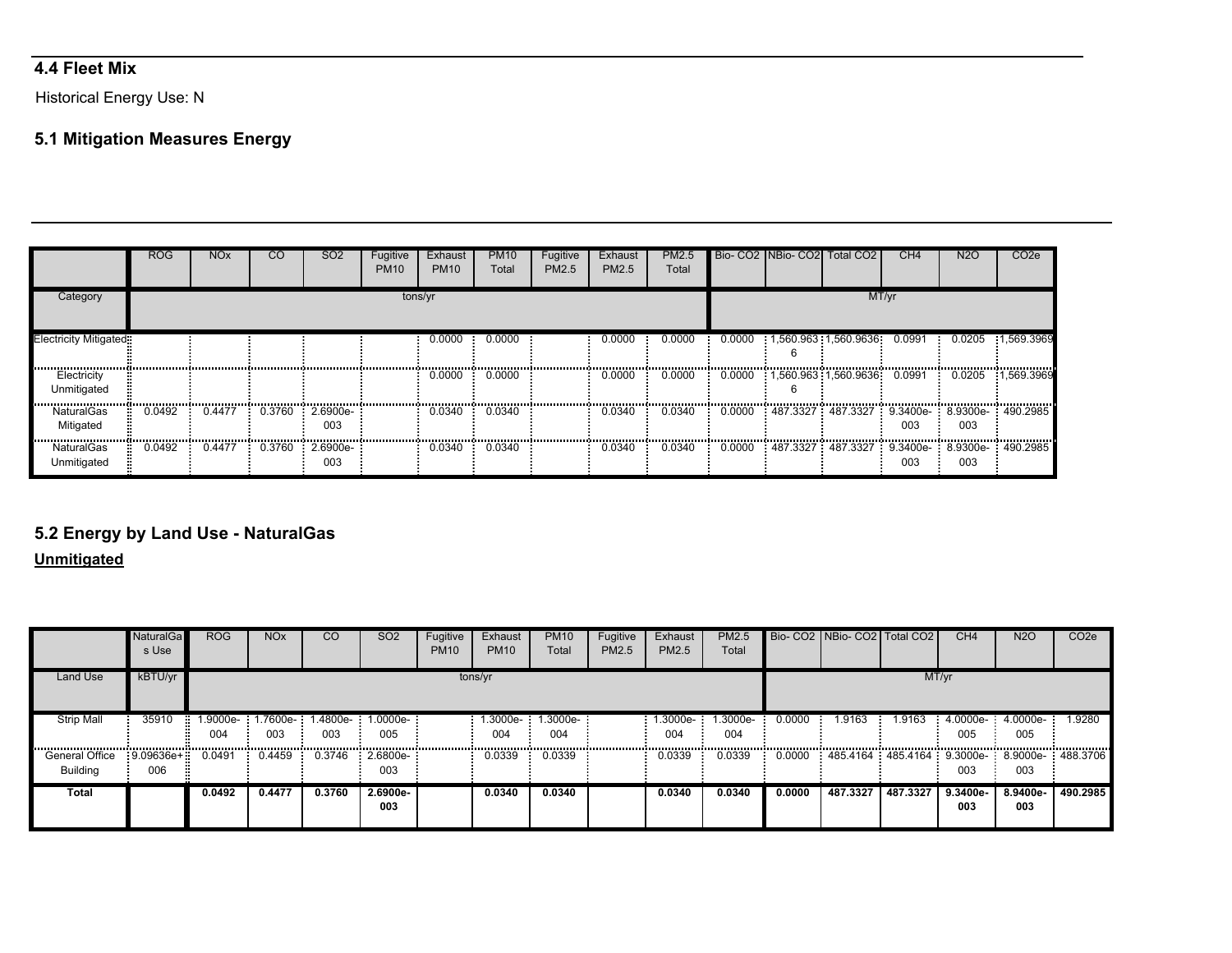# **4.4 Fleet Mix**

Historical Energy Use: N

# **5.1 Mitigation Measures Energy**

|                            | <b>ROG</b> | <b>NO<sub>x</sub></b> | CO     | SO <sub>2</sub>        | Fugitive<br><b>PM10</b> | Exhaust<br><b>PM10</b> | <b>PM10</b><br>Total | Fugitive<br><b>PM2.5</b> | Exhaust<br>PM2.5 | PM2.5<br>Total |        | Bio- CO2 NBio- CO2 Total CO2                   | CH <sub>4</sub> | N2O                  | CO2e       |
|----------------------------|------------|-----------------------|--------|------------------------|-------------------------|------------------------|----------------------|--------------------------|------------------|----------------|--------|------------------------------------------------|-----------------|----------------------|------------|
| Category                   |            |                       |        |                        | tons/yr                 |                        |                      |                          |                  |                |        |                                                | MT/yr           |                      |            |
| Electricity Mitigated:     |            |                       |        |                        |                         | 0.0000                 | 0.0000               |                          | 0.0000           | 0.0000         | 0.0000 | 1,560.963 1,560.9636                           | 0.0991          | 0.0205               | 1.569.3969 |
| Electricity<br>Unmitigated |            |                       |        |                        |                         | 0.0000                 | 0.0000               |                          | 0.0000           | 0.0000         | 0.0000 | <br>1,560.963 1,560.9636                       | .<br>0.0991     | 0.0205               | 1.569.3969 |
| NaturalGas<br>Mitigated    | 0.0492     | 0.4477                |        | 0.3760 2.6900e-<br>003 |                         | 0.0340                 | 0.0340               |                          | 0.0340           | 0.0340         | 0.0000 | $487.3327$ 487.3327 9.3400e- 8.9300e- 490.2985 | <br>003         | ,,,,,,,,,,,,,<br>003 | .          |
| NaturalGas<br>Unmitigated  | 0.0492     | 0.4477                | 0.3760 | 2.6900e-<br>003        |                         | 0.0340                 | 0.0340               |                          | 0.0340           | 0.0340         | 0.0000 | 487.3327 487.3327 9.3400e- 8.9300e- 490.2985   | 003             | 003                  |            |

# **5.2 Energy by Land Use - NaturalGas**

#### **Unmitigated**

|                                   | <b>NaturalGa</b><br>s Use | <b>ROG</b>                      | <b>NO<sub>x</sub></b> | <sub>CO</sub> | SO <sub>2</sub>      | Fugitive<br><b>PM10</b> | Exhaust<br><b>PM10</b> | <b>PM10</b><br>Total | Fugitive<br>PM2.5 | Exhaust<br>PM2.5 | <b>PM2.5</b><br>Total |        | Bio- CO2 NBio- CO2   Total CO2               |          | CH <sub>4</sub>   | <b>N2O</b>               | CO <sub>2e</sub> |
|-----------------------------------|---------------------------|---------------------------------|-----------------------|---------------|----------------------|-------------------------|------------------------|----------------------|-------------------|------------------|-----------------------|--------|----------------------------------------------|----------|-------------------|--------------------------|------------------|
| <b>Land Use</b>                   | kBTU/vr                   |                                 |                       |               |                      |                         | tons/yr                |                      |                   |                  |                       |        |                                              |          | MT/yr             |                          |                  |
| <b>Strip Mall</b>                 | 35910                     | 1.9000e-1.7600e-1.4800e-<br>004 | 003                   | 003           | $1.0000e-$<br>005    |                         | 1.3000e-<br>004        | 1.3000e-<br>004      |                   | 1.3000e-<br>004  | $.3000e-$<br>004      | 0.0000 | 1.9163                                       | 1.9163   | 005               | 4.0000e- 4.0000e-<br>005 | 1.9280           |
| <b>General Office</b><br>Building | $-9.09636e+$<br>006       | 0.0491                          | 0.4459                | 0.3746        | $: 2.6800e-1$<br>003 |                         | 0.0339                 | 0.0339               |                   | 0.0339           | 0.0339                | 0.0000 | 485.4164 485.4164 9.3000e- 8.9000e- 488.3706 |          | 003               | 003                      |                  |
| Total                             |                           | 0.0492                          | 0.4477                | 0.3760        | $2.6900e-$<br>003    |                         | 0.0340                 | 0.0340               |                   | 0.0340           | 0.0340                | 0.0000 | 487.3327                                     | 487.3327 | $9.3400e-$<br>003 | 8.9400e-<br>003          | 490.2985         |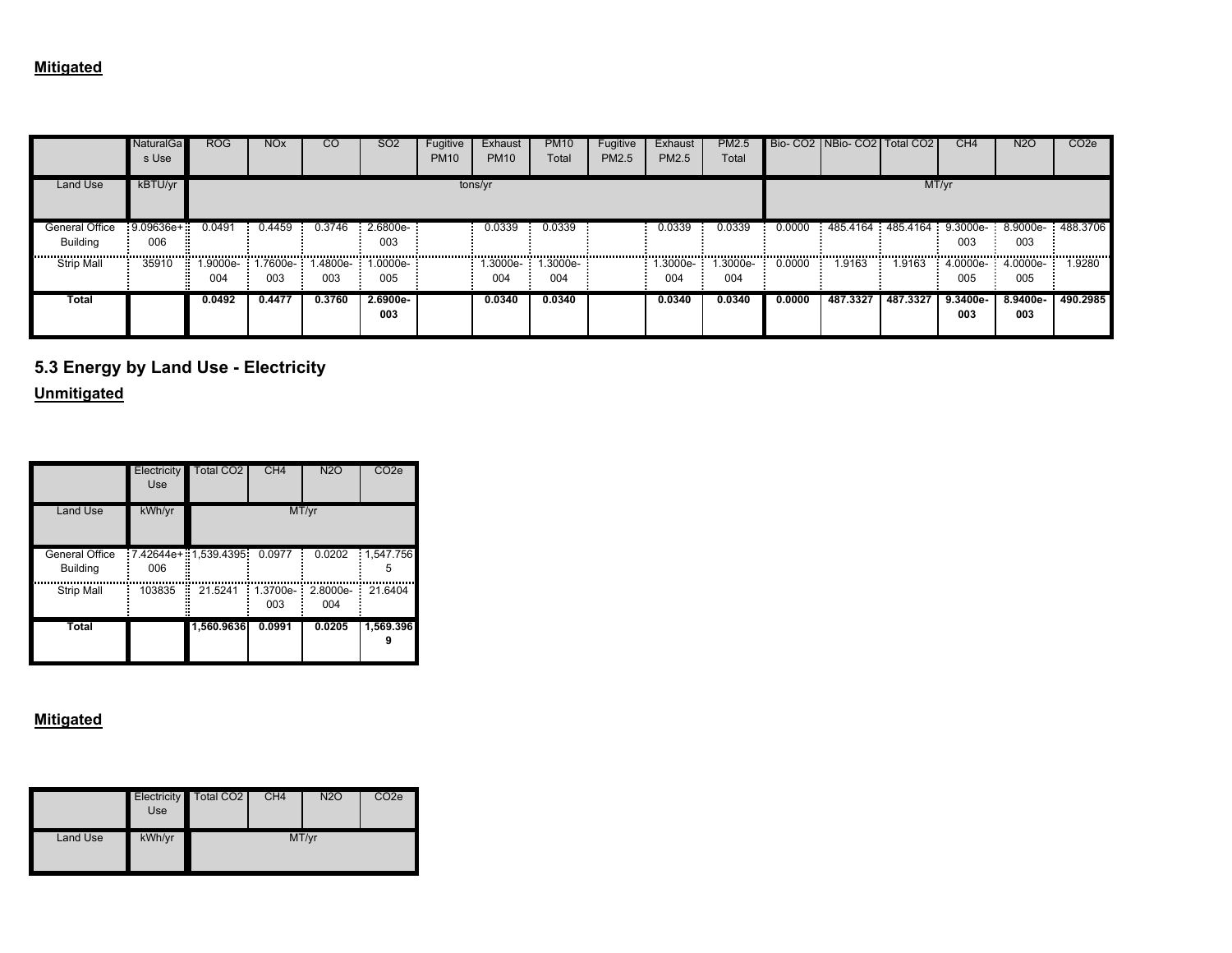|                            | NaturalGal<br>s Use | ROG    | NO <sub>x</sub> | CΟ     | SO <sub>2</sub>                            | Fugitive<br><b>PM10</b> | Exhaust<br><b>PM10</b> | <b>PM10</b><br>Total | Fugitive<br>PM2.5 | Exhaust<br>PM2.5    | <b>PM2.5</b><br>Total |        | Bio- CO2 INBio- CO2 I Total CO2 I                         |          | CH <sub>4</sub>            | N <sub>2</sub> O | CO <sub>2</sub> e |
|----------------------------|---------------------|--------|-----------------|--------|--------------------------------------------|-------------------------|------------------------|----------------------|-------------------|---------------------|-----------------------|--------|-----------------------------------------------------------|----------|----------------------------|------------------|-------------------|
| Land Use                   | kBTU/yr             |        |                 |        |                                            |                         | tons/yr                |                      |                   |                     |                       |        |                                                           |          | MT/yr                      |                  |                   |
| General Office<br>Building | $-9.09636e+$<br>006 | 0.0491 | 0.4459          | 0.3746 | $2.6800e-$<br>003                          |                         | 0.0339                 | 0.0339               |                   | 0.0339<br>.         | 0.0339                | 0.0000 | $-485.4164$ $-485.4164$ $-9.3000e$ $-8.9000e$ $-488.3706$ |          | 003                        | 003              |                   |
| <br><b>Strip Mall</b>      | 35910               | 004    | 003             | 003    | 1.9000e- 1.7600e- 1.4800e- 1.0000e-<br>005 |                         | 1.3000e- 1<br>004      | 1.3000e-<br>004      |                   | $: 1.3000e-$<br>004 | .3000e-<br>004        | 0.0000 | 1.9163                                                    | 1.9163   | $4.0000e-74.0000e-$<br>005 | 005              | <br>1.9280        |
| Total                      |                     | 0.0492 | 0.4477          | 0.3760 | 2.6900e-<br>003                            |                         | 0.0340                 | 0.0340               |                   | 0.0340              | 0.0340                | 0.0000 | 487.3327                                                  | 487.3327 | 9.3400e-<br>003            | 8.9400e-<br>003  | 490.2985          |

**5.3 Energy by Land Use - Electricity**

**Unmitigated**

|                                   | Electricity<br>Use | <b>Total CO2</b>     | CH <sub>4</sub>    | <b>N2O</b>        | CO <sub>2</sub> e    |
|-----------------------------------|--------------------|----------------------|--------------------|-------------------|----------------------|
| <b>Land Use</b>                   | kWh/yr             |                      |                    | MT/yr             |                      |
| General Office<br><b>Building</b> | 006                | 7.42644e+ 1,539.4395 | 0.0977             | 0.0202            | 1,547.756<br>Ē.<br>5 |
| <b>Strip Mall</b>                 | 103835             | 21.5241<br>н         | $1.3700e -$<br>003 | $2.8000e-$<br>004 | 21.6404              |
| <b>Total</b>                      |                    | 1,560.9636           | 0.0991             | 0.0205            | 1,569.396            |

|          | <b>Electricity</b><br>Use | Total CO <sub>2</sub> | CH <sub>4</sub> | <b>N2O</b> | CO <sub>2</sub> e |
|----------|---------------------------|-----------------------|-----------------|------------|-------------------|
| Land Use | kWh/yr                    |                       |                 | MT/yr      |                   |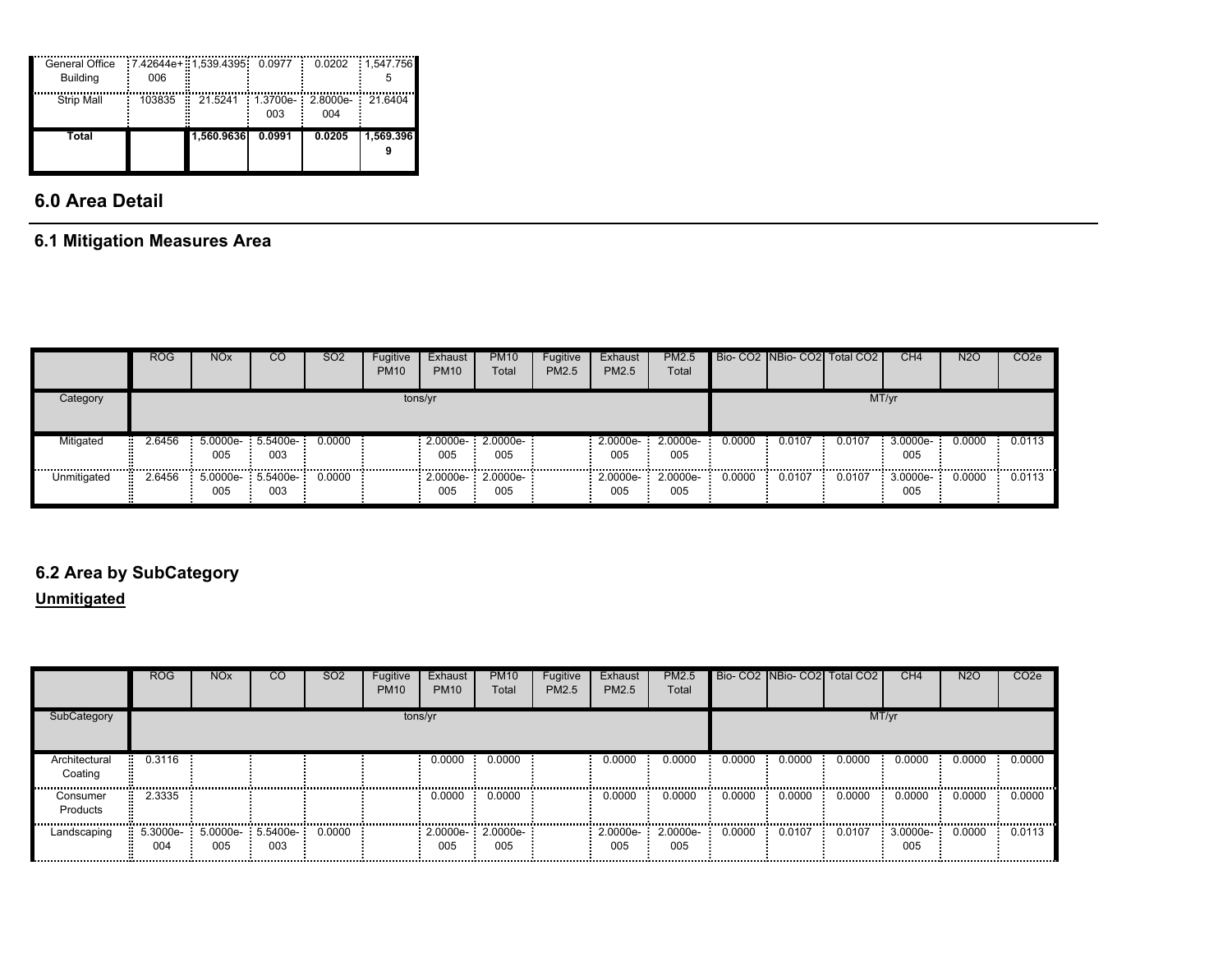| General Office<br><b>Building</b> | 006         | 7.42644e+ 1,539.4395 0.0977 |        | 0.0202                   | 1.547.756<br>÷. |
|-----------------------------------|-------------|-----------------------------|--------|--------------------------|-----------------|
| <b>Strip Mall</b>                 | 103835<br>F | 21.5241                     | 003    | 1.3700e- 2.8000e-<br>004 | 21.6404         |
| Total                             |             | 1.560.9636                  | 0.0991 | 0.0205                   | 1.569.396       |

# **6.0 Area Detail**

### **6.1 Mitigation Measures Area**

|             | <b>ROG</b> | <b>NO<sub>x</sub></b> | CO                       | <b>SO2</b> | Fugitive<br><b>PM10</b> | Exhaust<br><b>PM10</b> | <b>PM10</b><br>Total      | Fugitive<br>PM2.5 | Exhaust<br><b>PM2.5</b> | PM2.5<br>Total    |        |                                        | Bio- CO2 NBio- CO2 Total CO2 | CH4                | <b>N2O</b> | CO <sub>2</sub> e |
|-------------|------------|-----------------------|--------------------------|------------|-------------------------|------------------------|---------------------------|-------------------|-------------------------|-------------------|--------|----------------------------------------|------------------------------|--------------------|------------|-------------------|
| Category    |            |                       |                          |            | tons/yr                 |                        |                           |                   |                         |                   |        |                                        |                              | MT/yr              |            |                   |
| Mitigated   | 2.6456     | 005                   | 5.0000e- 5.5400e-<br>003 | 0.0000     |                         | 005                    | $2.0000e-2.0000e-$<br>005 |                   | 2.0000e-<br>005         | $2.0000e-$<br>005 | 0.0000 | 0.0107<br>---------------------------- | 0.0107<br>                   | $3.0000e-$<br>005  | 0.0000     | 0.0113            |
| Unmitigated | 2.6456     | 005                   | 5.0000e- 5.5400e-<br>003 | 0.0000     |                         | 005                    | 2.0000e-: 2.0000e-<br>005 |                   | 2.0000e-<br>005         | 2.0000e-<br>005   | 0.0000 | 0.0107                                 | 0.0107                       | $3.0000e -$<br>005 | 0.0000     | 0.0113            |

# **6.2 Area by SubCategory**

# **Unmitigated**

|                          | <b>ROG</b>                                            | <b>NO<sub>x</sub></b> | CO. | <b>SO2</b> | Fugitive<br>PM <sub>10</sub> | Exhaust<br><b>PM10</b>    | <b>PM10</b><br>Total | Fugitive<br><b>PM2.5</b> | Exhaust<br>PM2.5 | <b>PM2.5</b><br>Total    |        |        | Bio- CO2 NBio- CO2 Total CO2 | CH4             | N <sub>2</sub> O | CO <sub>2</sub> e |
|--------------------------|-------------------------------------------------------|-----------------------|-----|------------|------------------------------|---------------------------|----------------------|--------------------------|------------------|--------------------------|--------|--------|------------------------------|-----------------|------------------|-------------------|
| SubCategory              |                                                       |                       |     |            |                              | tons/yr                   |                      |                          |                  |                          |        |        |                              | MT/yr           |                  |                   |
| Architectural<br>Coating | 0.3116<br>. .                                         |                       |     |            |                              | 0.0000                    | 0.0000               |                          | 0.0000           | 0.0000                   | 0.0000 | 0.0000 | 0.0000                       | 0.0000          | 0.0000           | 0.0000            |
| Consumer<br>Products     | 2.3335                                                |                       |     |            |                              |                           | $0.0000$ $0.0000$    |                          | 0.0000           | 0.0000                   | 0.0000 | 0.0000 | 0.0000                       | 0.0000          | 0.0000           | 0.0000<br>        |
| Landscaping              | $\frac{1}{2}$ 5.3000e- : 5.0000e- : 5.5400e- :<br>004 | 005                   | 003 | 0.0000     |                              | 2.0000e-: 2.0000e-<br>005 | 005                  |                          | 005              | 2.0000e- 2.0000e-<br>005 | 0.0000 | 0.0107 | 0.0107                       | 3.0000e-<br>005 | 0.0000           | 0.0113            |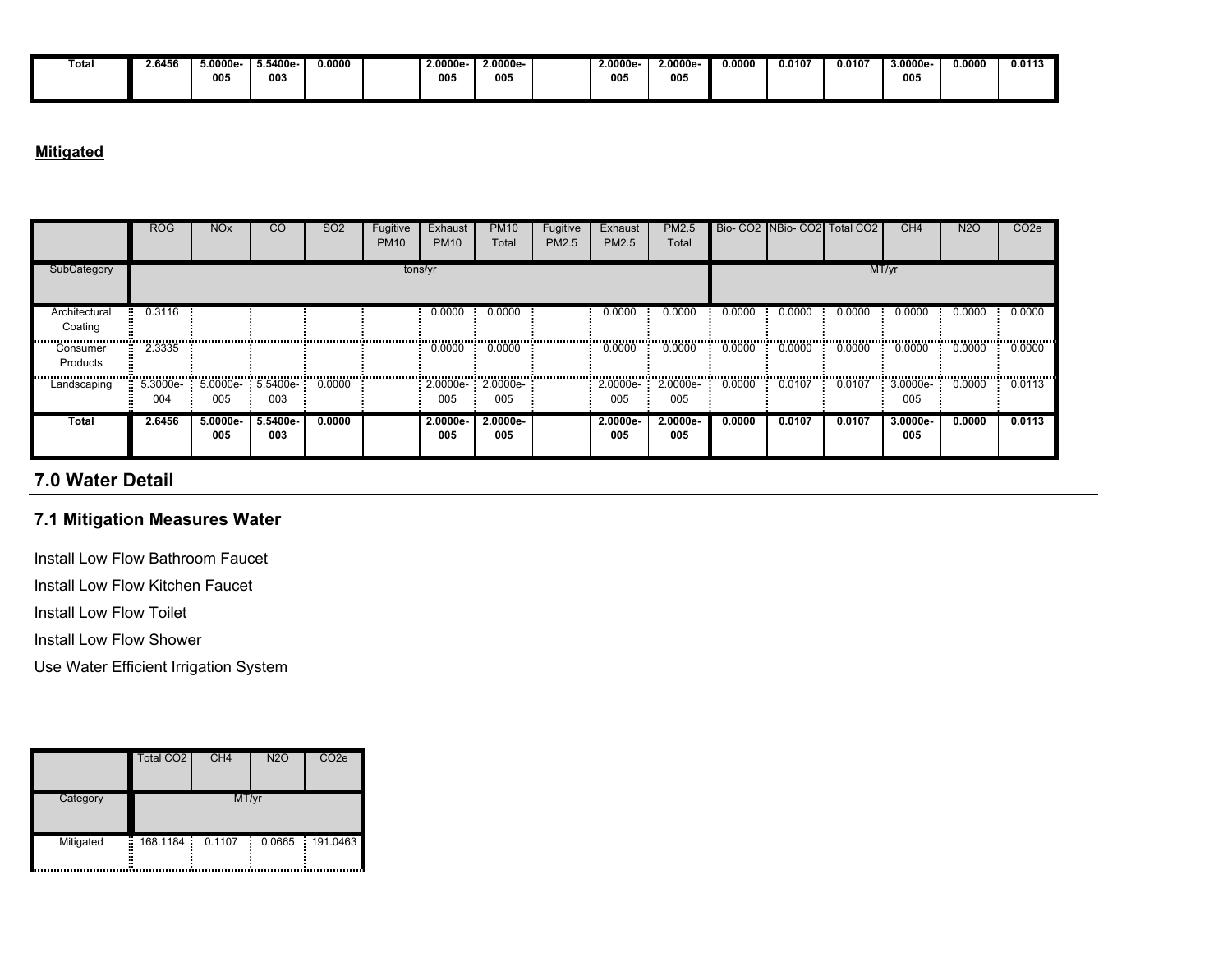| Total | 6456 | $5.0000e -$ | .5400e- | 0.0000 | 2.0000e | 0000e | 2.0000e | 2.0000e- | 0.0000 | J.0107 | 0.0107 | $3.0000e-$ | 0.0000 | 0.0113 |
|-------|------|-------------|---------|--------|---------|-------|---------|----------|--------|--------|--------|------------|--------|--------|
|       |      |             |         |        |         |       |         |          |        |        |        |            |        |        |
|       |      | 005         | 003     |        | 005     | 005   | 005     | 005      |        |        |        | 005        |        |        |
|       |      |             |         |        |         |       |         |          |        |        |        |            |        |        |
|       |      |             |         |        |         |       |         |          |        |        |        |            |        |        |
|       |      |             |         |        |         |       |         |          |        |        |        |            |        |        |

### **Mitigated**

|                          | <b>ROG</b>      | <b>NO<sub>x</sub></b> | <sub>CO</sub>                | SO <sub>2</sub> | Fugitive<br><b>PM10</b> | Exhaust<br><b>PM10</b>   | <b>PM10</b><br>Total | Fugitive<br>PM2.5 | Exhaust<br>PM2.5   | PM2.5<br>Total     |        | Bio-CO2 NBio-CO2 | Total CO <sub>2</sub> | CH <sub>4</sub> | <b>N2O</b> | CO <sub>2e</sub> |
|--------------------------|-----------------|-----------------------|------------------------------|-----------------|-------------------------|--------------------------|----------------------|-------------------|--------------------|--------------------|--------|------------------|-----------------------|-----------------|------------|------------------|
| SubCategory              |                 |                       |                              |                 | tons/yr                 |                          |                      |                   |                    |                    |        |                  |                       | MT/yr           |            |                  |
| Architectural<br>Coating | 0.3116          |                       |                              |                 |                         | 0.0000                   | 0.0000               |                   | 0.0000             | 0.0000             | 0.0000 | 0.0000           | 0.0000                | 0.0000          | 0.0000     | 0.0000           |
| Consumer<br>Products     | 2.3335          |                       |                              |                 |                         | 0.0000                   | 0.0000               |                   | 0.0000             | 0.0000             | 0.0000 | 0.0000           | 0.0000                | 0.0000          | 0.0000     | 0.0000           |
| Landscaping              | 5.3000e-<br>004 | 005                   | 5.0000e- : 5.5400e- :<br>003 | 0.0000          |                         | 2.0000e- 2.0000e-<br>005 | 005                  |                   | 2.0000e-<br>005    | 2.0000e-<br>005    | 0.0000 | 0.0107           | 0.0107                | 3.0000e-<br>005 | 0.0000     | 0.0113           |
| Total                    | 2.6456          | 5.0000e-<br>005       | 5.5400e-<br>003              | 0.0000          |                         | 2.0000e-<br>005          | $2.0000e -$<br>005   |                   | $2.0000e -$<br>005 | $2.0000e -$<br>005 | 0.0000 | 0.0107           | 0.0107                | 3.0000e-<br>005 | 0.0000     | 0.0113           |

# **7.0 Water Detail**

### **7.1 Mitigation Measures Water**

Install Low Flow Bathroom Faucet

Install Low Flow Kitchen Faucet

Install Low Flow Toilet

Install Low Flow Shower

Use Water Efficient Irrigation System

|                     | Total CO <sub>2</sub> | CH <sub>4</sub> | <b>N2O</b> | CO <sub>2e</sub> |
|---------------------|-----------------------|-----------------|------------|------------------|
| Category            |                       | MT/yr           |            |                  |
| Mitigated<br>Ŧ.<br> | 168.1184              | 0.1107          | 0.0665     | 191.0463         |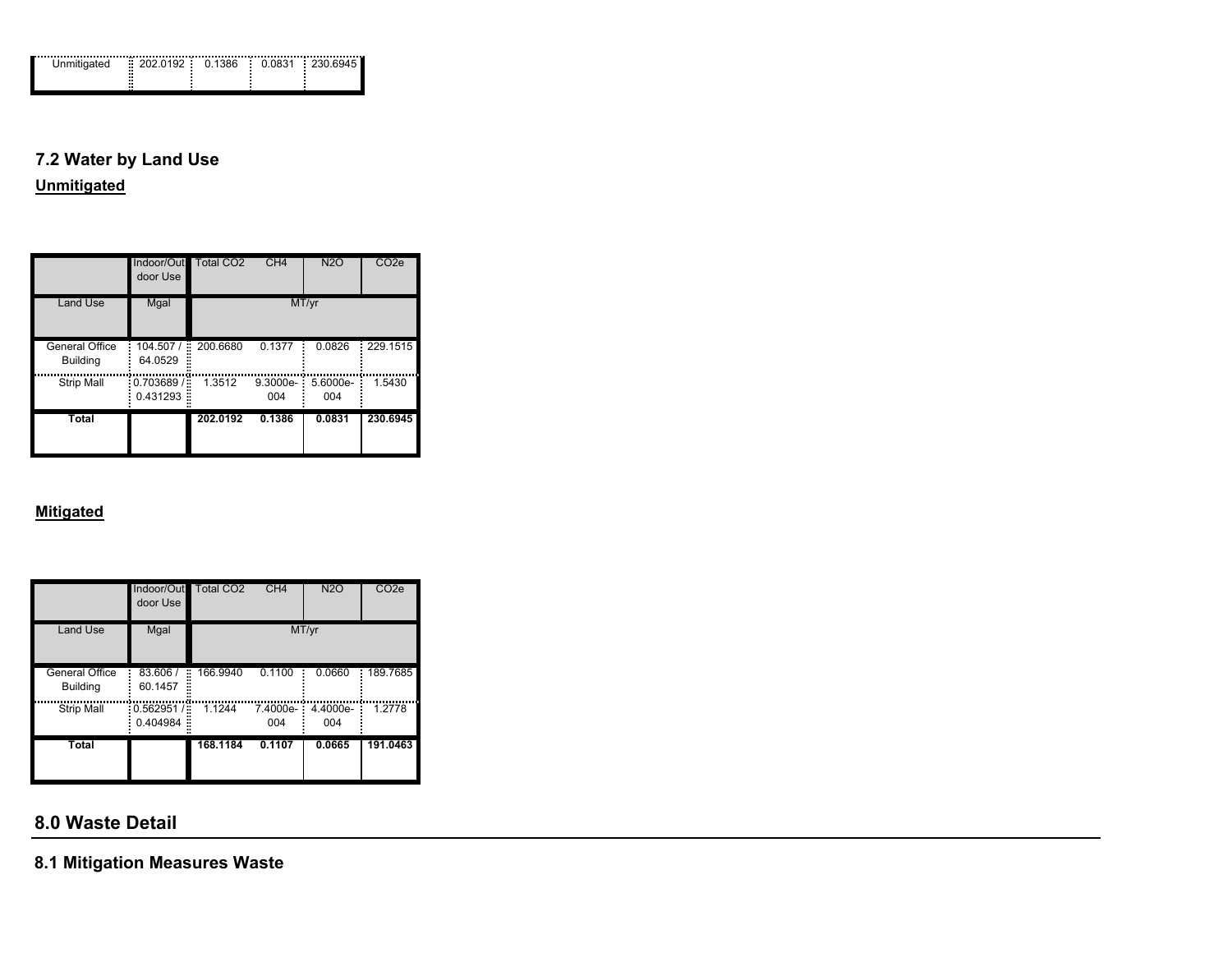| <br><br>m<br>m   |  |  |  |
|------------------|--|--|--|
| ш<br>ш<br>ш<br>ш |  |  |  |
|                  |  |  |  |

# **7.2 Water by Land Use**

**Unmitigated**

|                                   | Indoor/Out<br>door Use            | Total CO <sub>2</sub> | CH4             | N2O             | CO <sub>2e</sub> |
|-----------------------------------|-----------------------------------|-----------------------|-----------------|-----------------|------------------|
| Land Use                          | Mgal                              |                       |                 | MT/yr           |                  |
| General Office<br><b>Building</b> | 104.507/<br>×<br>64.0529          | 200.6680              | 0.1377          | 0.0826          | 229.1515         |
| <b>Strip Mall</b>                 | $-0.703689$<br>÷<br>0.431293<br>× | 1.3512                | 9.3000e-<br>004 | 5.6000e-<br>004 | 1.5430           |
| Total                             |                                   | 202.0192              | 0.1386          | 0.0831          | 230.6945         |

### **Mitigated**

|                                   | Indoor/Out<br>door Use              | <b>Total CO2</b> | CH <sub>4</sub> | <b>N2O</b>      | CO <sub>2</sub> e |
|-----------------------------------|-------------------------------------|------------------|-----------------|-----------------|-------------------|
| <b>Land Use</b>                   | Mgal                                |                  |                 | MT/yr           |                   |
| General Office<br><b>Building</b> | 83.606 /<br>÷<br>60.1457            | 166.9940         | 0.1100          | 0.0660          | 189.7685          |
| <b>Strip Mall</b>                 | $-0.562951/$<br>×<br>0.404984<br>×, | 1.1244           | 7.4000e-<br>004 | 4.4000e-<br>004 | 1.2778            |
| <b>Total</b>                      |                                     | 168.1184         | 0.1107          | 0.0665          | 191.0463          |

# **8.0 Waste Detail**

**8.1 Mitigation Measures Waste**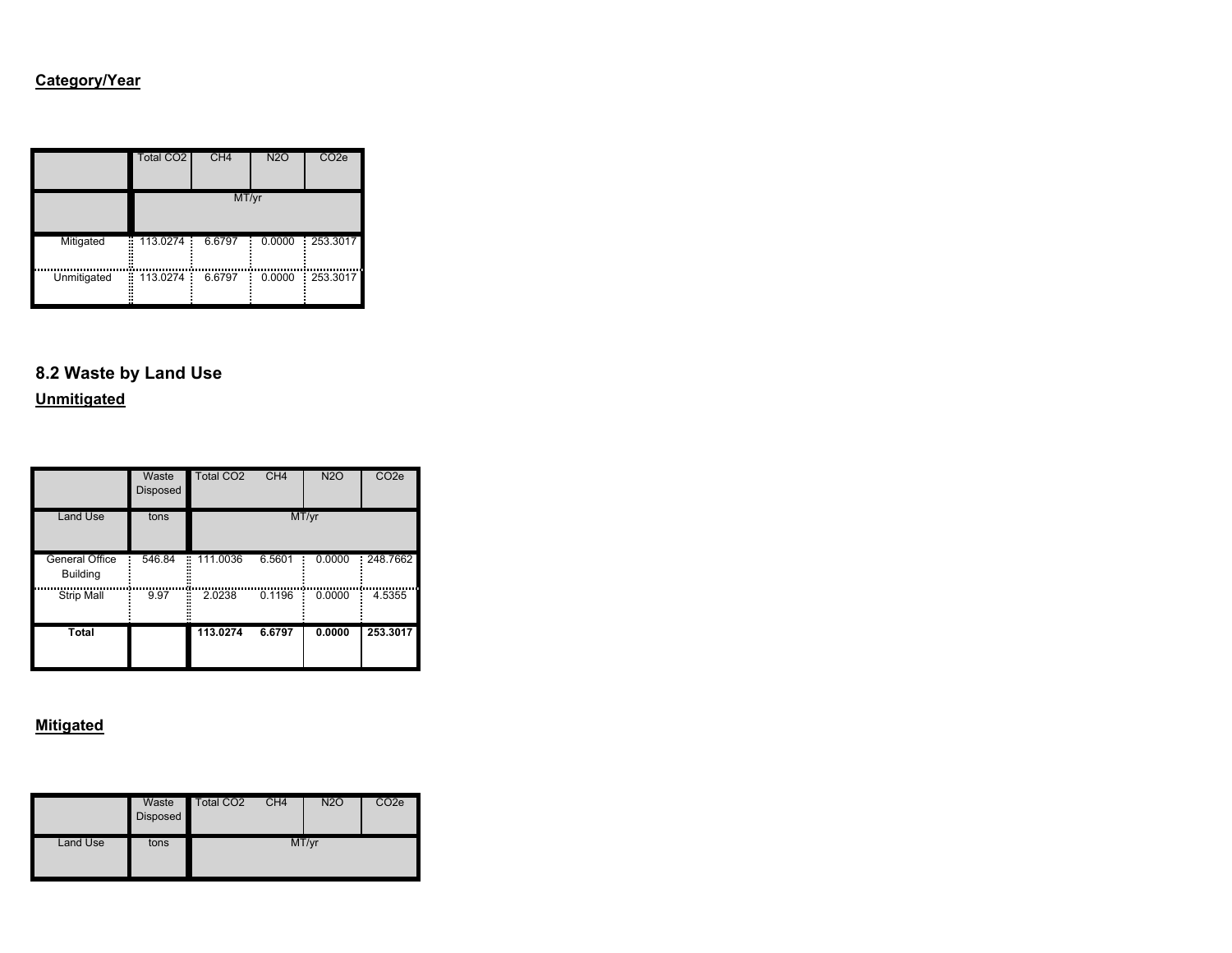### **Category/Year**

|             | <b>Total CO2</b>    | CH <sub>4</sub> | <b>N2O</b> | CO <sub>2e</sub> |  |  |
|-------------|---------------------|-----------------|------------|------------------|--|--|
|             | MT/yr               |                 |            |                  |  |  |
| Mitigated   | 113.0274<br>÷<br>ш. | 6.6797          | 0.0000     | 253.3017         |  |  |
| Unmitigated | ÷<br>113.0274       | 6.6797          | 0.0000     | 253.3017         |  |  |

# **8.2 Waste by Land Use**

**Unmitigated**

|                                          | Waste<br><b>Disposed</b> | <b>Total CO2</b> | CH <sub>4</sub> | <b>N2O</b> | CO <sub>2e</sub> |
|------------------------------------------|--------------------------|------------------|-----------------|------------|------------------|
| <b>Land Use</b>                          | tons                     |                  |                 | MT/yr      |                  |
| <b>General Office</b><br><b>Building</b> | 546.84                   | 111.0036<br>÷    | 6.5601          | 0.0000     | 248.7662         |
| <b>Strip Mall</b>                        | 9.97                     | 2.0238<br>×      | 0.1196          | 0.0000     | 4.5355           |
| <b>Total</b>                             |                          | 113.0274         | 6.6797          | 0.0000     | 253.3017         |

|          | Waste<br>Disposed | Total CO <sub>2</sub> | CH <sub>4</sub> | <b>N2O</b> | CO <sub>2</sub> e |
|----------|-------------------|-----------------------|-----------------|------------|-------------------|
| Land Use | tons              |                       |                 | MT/yr      |                   |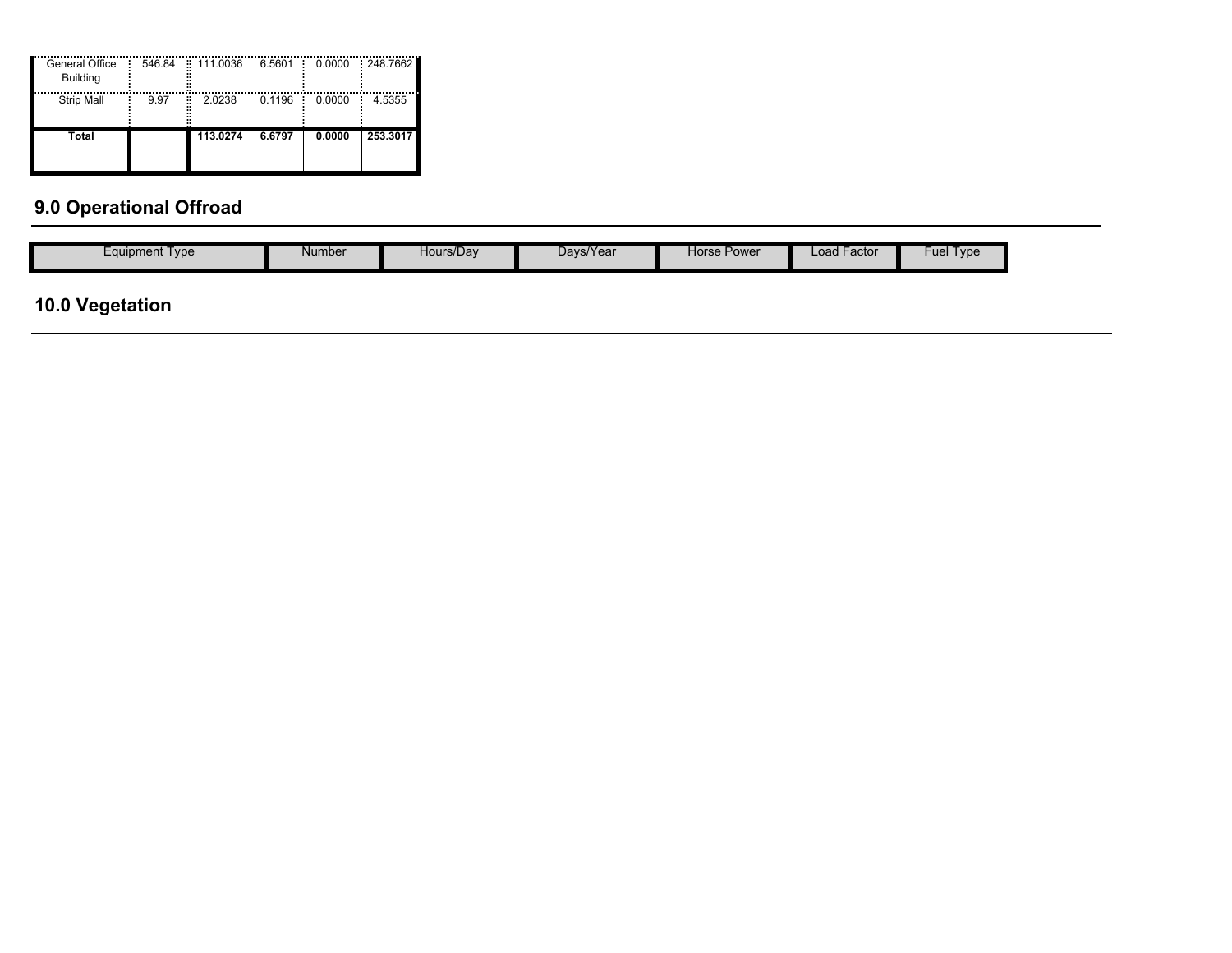| General Office<br><b>Building</b> | 546.84     | 111.0036<br>H. | 6.5601 | 0.0000 | 248.7662 |
|-----------------------------------|------------|----------------|--------|--------|----------|
| <b>Strip Mall</b>                 | ř,<br>9.97 | 2.0238         | 0.1196 | 0.0000 | 4.5355   |
| Total                             |            | 113.0274       | 6.6797 | 0.0000 | 253.3017 |

# **9.0 Operational Offroad**

| $\overline{\phantom{0}}$<br>Davs/Year<br>Fuel<br>Horse Power<br>∟oad Factor<br>Hours/Day<br>Number<br>$\epsilon$ quipment Type<br>Type |
|----------------------------------------------------------------------------------------------------------------------------------------|
|----------------------------------------------------------------------------------------------------------------------------------------|

# **10.0 Vegetation**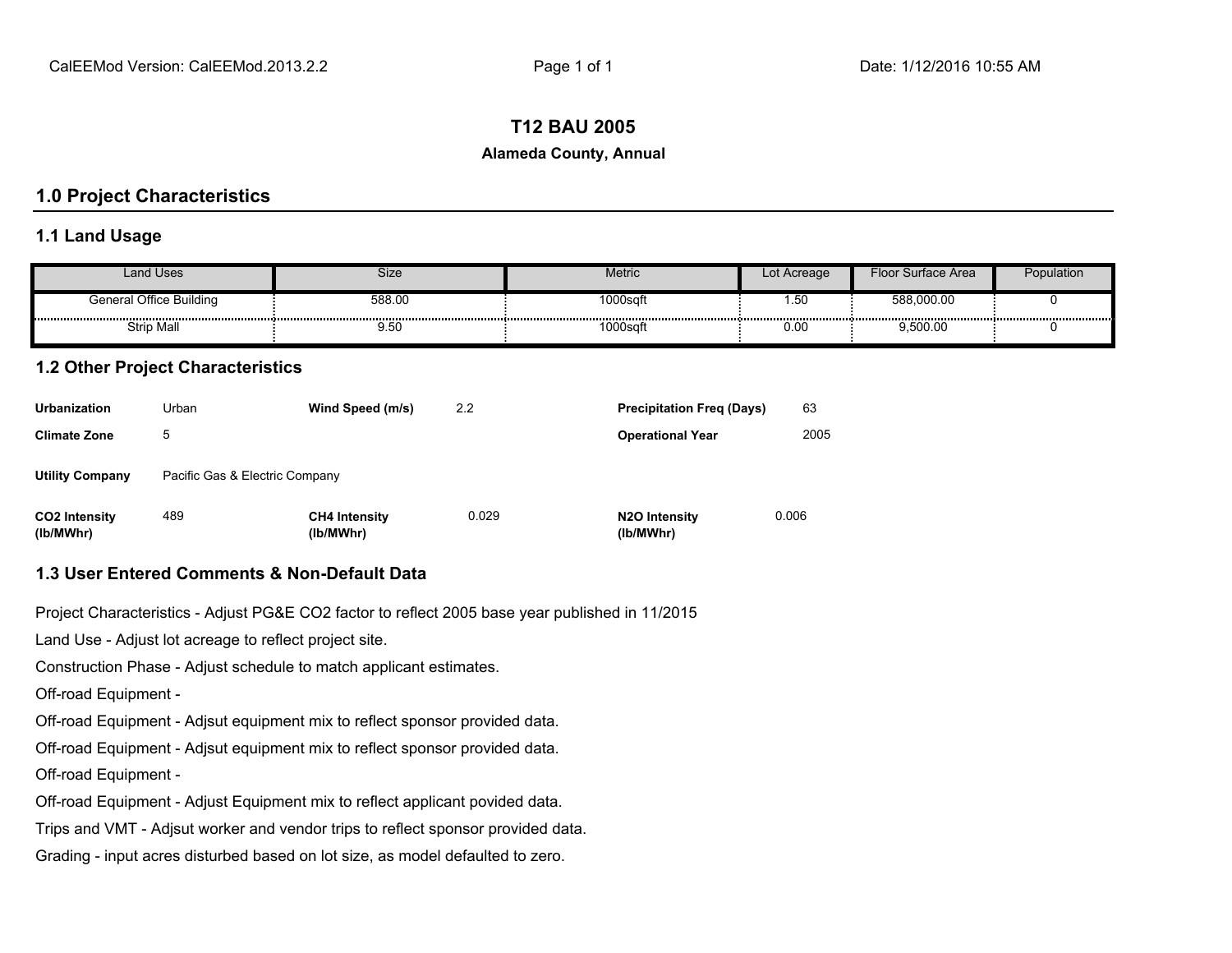#### **T12 BAU 2005**

#### **Alameda County, Annual**

#### **1.0 Project Characteristics**

#### **1.1 Land Usage**

| and Uses                | Size   | Metric  | Lot Acreage | Floor Surface Area | Population |
|-------------------------|--------|---------|-------------|--------------------|------------|
| General Office Building | 588.00 | 1000sqf | . . ບບ      | 588,000.00         |            |
| <b>Strip Mall</b>       | ษ. วเ  | 1000sq  | 0.00        | 9,500.00           |            |

#### **1.2 Other Project Characteristics**

| <b>Urbanization</b>               | Urban                          | Wind Speed (m/s)                  | 2.2   | <b>Precipitation Freg (Days)</b>        | 63    |  |
|-----------------------------------|--------------------------------|-----------------------------------|-------|-----------------------------------------|-------|--|
| <b>Climate Zone</b>               | 5                              |                                   |       | <b>Operational Year</b>                 | 2005  |  |
| <b>Utility Company</b>            | Pacific Gas & Electric Company |                                   |       |                                         |       |  |
| <b>CO2 Intensity</b><br>(lb/MWhr) | 489                            | <b>CH4 Intensity</b><br>(lb/MWhr) | 0.029 | N <sub>2</sub> O Intensity<br>(lb/MWhr) | 0.006 |  |

#### **1.3 User Entered Comments & Non-Default Data**

Project Characteristics - Adjust PG&E CO2 factor to reflect 2005 base year published in 11/2015

Land Use - Adjust lot acreage to reflect project site.

Construction Phase - Adjust schedule to match applicant estimates.

Off-road Equipment -

Off-road Equipment - Adjsut equipment mix to reflect sponsor provided data.

Off-road Equipment - Adjsut equipment mix to reflect sponsor provided data.

Off-road Equipment -

Off-road Equipment - Adjust Equipment mix to reflect applicant povided data.

Trips and VMT - Adjsut worker and vendor trips to reflect sponsor provided data.

Grading - input acres disturbed based on lot size, as model defaulted to zero.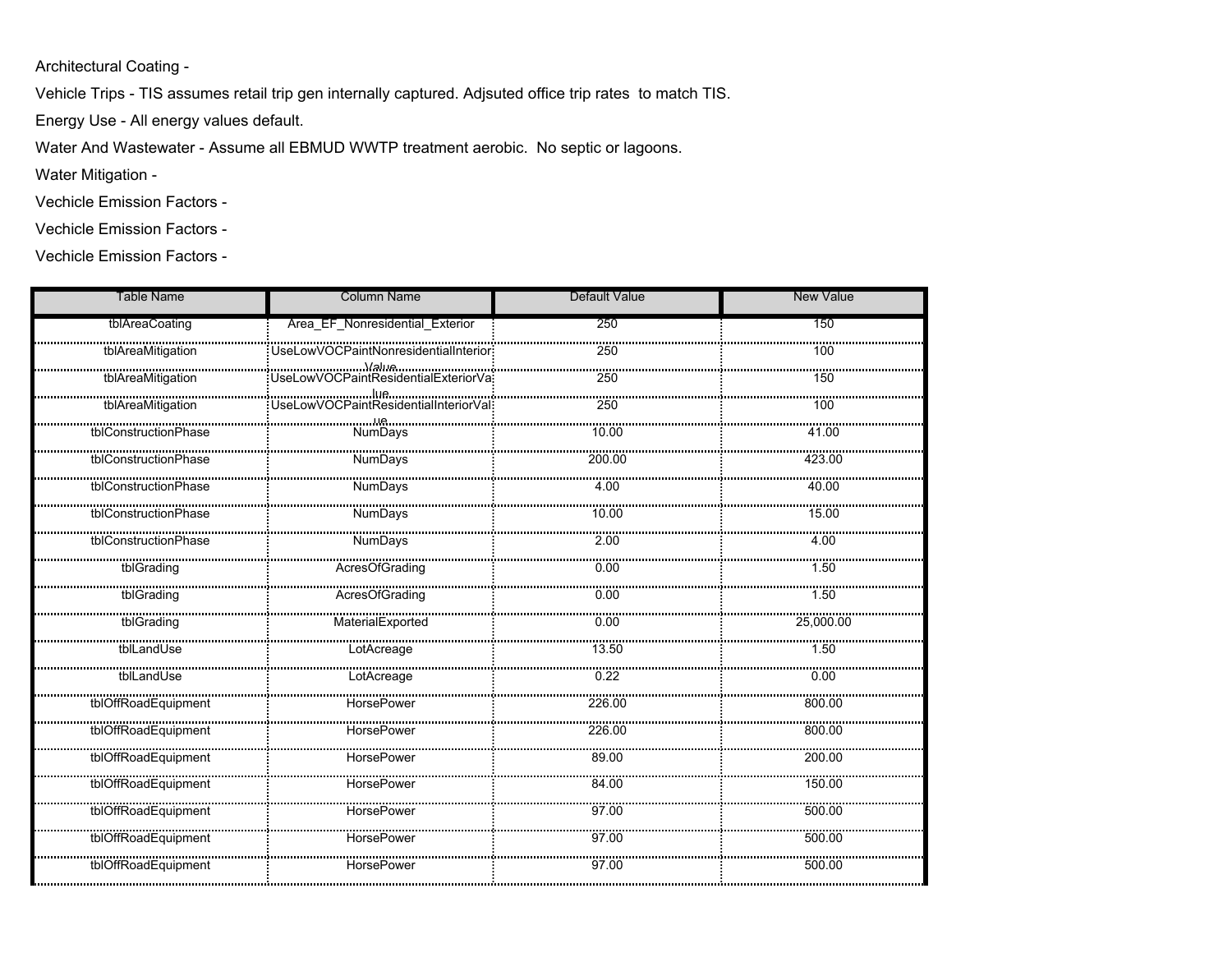Architectural Coating -

Vehicle Trips - TIS assumes retail trip gen internally captured. Adjsuted office trip rates to match TIS.

Energy Use - All energy values default.

Water And Wastewater - Assume all EBMUD WWTP treatment aerobic. No septic or lagoons.

Water Mitigation -

Vechicle Emission Factors -

Vechicle Emission Factors -

Vechicle Emission Factors -

| <b>Table Name</b>                                                                                                        | <b>Column Name</b>              | <b>Default Value</b> | <b>New Value</b> |
|--------------------------------------------------------------------------------------------------------------------------|---------------------------------|----------------------|------------------|
| tblAreaCoating                                                                                                           | Area EF Nonresidential Exterior | 250                  | 150              |
| tblAreaMitigation                                                                                                        |                                 | 250                  | 100              |
| tblAreaMitigation                                                                                                        |                                 | $\frac{1}{250}$      | 150              |
|                                                                                                                          |                                 | <br>250              | 100              |
| المستعدل المستحدث المستحدث المستحدث المستحدث المستحدث المستحدث المستحدث المستحدث المستحدث المستحدث المستحدث ا<br>NumDavs |                                 | 10.00                | 41.00            |
| tblConstructionPhase                                                                                                     | <b>NumDays</b>                  | 200.00               | 423.00           |
| tblConstructionPhase                                                                                                     | NumDays                         | 4.00                 | 40.00            |
| tblConstructionPhase                                                                                                     | <br>NumDays                     | 10.00                | 15.00            |
| tblConstructionPhase                                                                                                     | NumDays                         | 2.00                 | 4.00             |
| tblGrading                                                                                                               | AcresOfGrading                  | 0.00                 | 1.50             |
|                                                                                                                          |                                 |                      |                  |
|                                                                                                                          |                                 |                      |                  |
| tblLandUse                                                                                                               | LotAcreage                      | 13.50                | 1.50             |
| <br>tblLandUse                                                                                                           | LotAcreage                      | 0.22                 | 0.00             |
| tblOffRoadEquipment                                                                                                      | HorsePower                      | 226.00               | 800.00           |
| tblOffRoadEquipment                                                                                                      | <br>HorsePower                  | 226.00               | 800.00           |
| <br>tblOffRoadEquipment                                                                                                  |                                 | 89.00                | 200.00           |
| tblOffRoadEquipment                                                                                                      | HorsePower                      | 84.00                | 150.00           |
|                                                                                                                          |                                 |                      | 500.00           |
| tblOffRoadEquipment                                                                                                      | HorsePower                      | 97.00                | 500.00           |
| <br>tblOffRoadEquipment                                                                                                  | <b>HorsePower</b>               | 97.00                | 500.00           |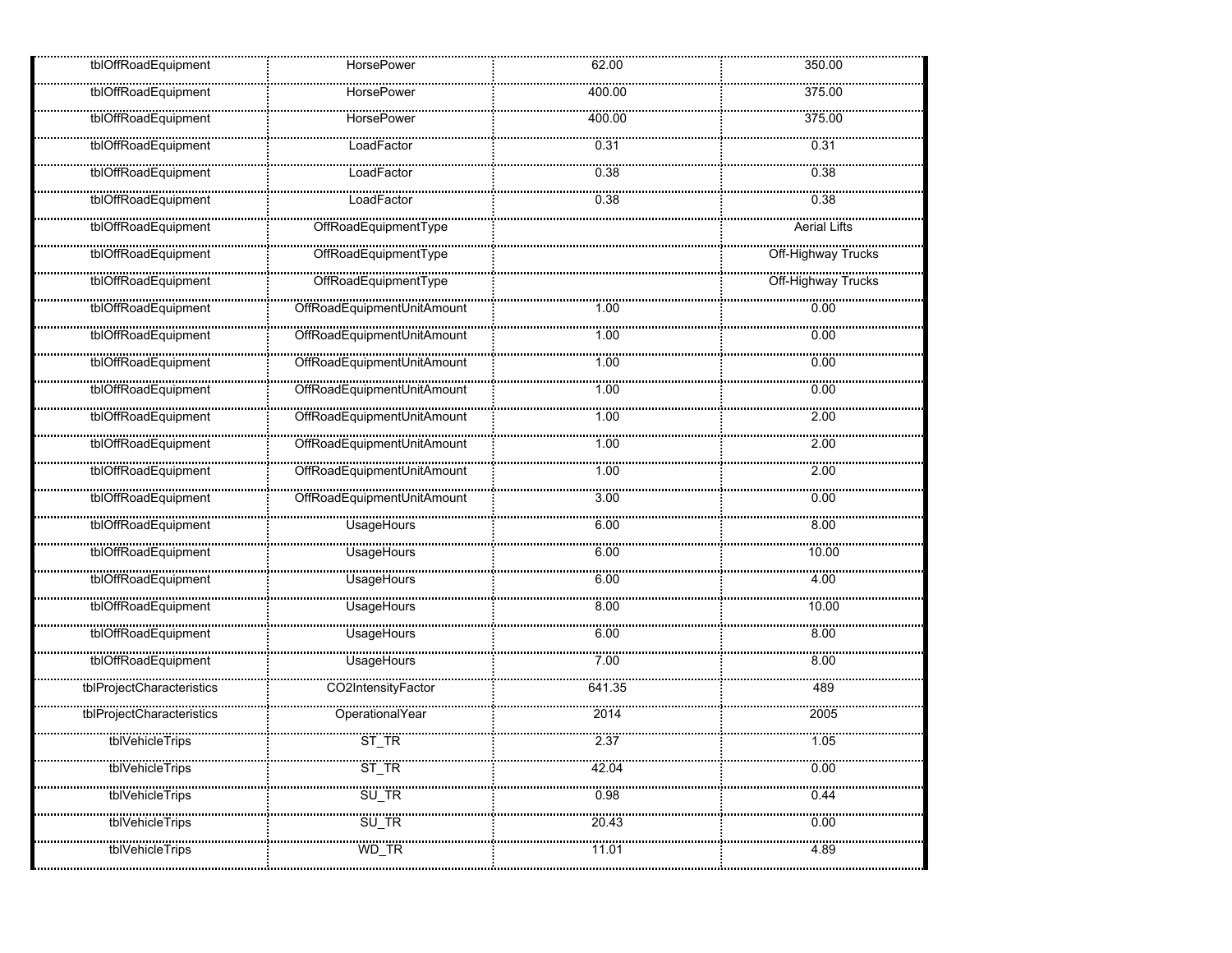| tblOffRoadEquipment       | <b>HorsePower</b>          | 62.00    | 350.00                 |
|---------------------------|----------------------------|----------|------------------------|
| tblOffRoadEquipment       | <b>HorsePower</b>          | 400.00   | 375.00                 |
| <br>tblOffRoadEquipment   | HorsePower                 | 400.00   | 375.00                 |
| tblOffRoadEquipment       | LoadFactor                 | 0.31     | 0.31                   |
| tblOffRoadEquipment       | <br>LoadFactor             | 0.38     | 0.38                   |
| tblOffRoadEquipment       | LoadFactor                 | 0.38     | 0.38                   |
| tblOffRoadEquipment       | <br>OffRoadEquipmentType   |          | <b>Aerial Lifts</b>    |
| tblOffRoadEquipment       | <br>OffRoadEquipmentType   |          | <br>Off-Highway Trucks |
| tblOffRoadEquipment       | OffRoadEquipmentType       |          | Off-Highway Trucks     |
| tblOffRoadEquipment       |                            | 1.00     | 0.00                   |
| tblOffRoadEquipment       |                            | 1.00     | 0.00                   |
| tblOffRoadEquipment       |                            | 1.00     | 0.00                   |
| tblOffRoadEquipment       |                            | 1.00     | 0.00                   |
| tblOffRoadEquipment       | OffRoadEquipmentUnitAmount | 1.00     | 2.00                   |
| <br>tblOffRoadEquipment   |                            | 1.00     | 2.00                   |
| tblOffRoadEquipment       | CffRoadEquipmentUnitAmount | 1.00     | 2.00                   |
| tblOffRoadEquipment       | OffRoadEquipmentUnitAmount | 3.00     | 0.00                   |
| tblOffRoadEquipment       | <br>UsageHours             | 6.00     | 8.00                   |
| tblOffRoadEquipment       | <br>UsageHours             | 6.00     | 10.00                  |
| tblOffRoadEquipment       | <br>UsageHours             | <br>6.00 | <br>4.00               |
| tblOffRoadEquipment       | UsageHours                 | 8.00     | 10.00                  |
| tblOffRoadEquipment       | UsageHours                 | 6.00     | 8.00                   |
| tblOffRoadEquipment       | <br>UsageHours             | 7.00     | 8.00                   |
| tblProjectCharacteristics | CO2IntensityFactor         | 641.35   | 489                    |
| tblProjectCharacteristics | <br>OperationalYear        | 2014     | 2005                   |
| tblVehicleTrips           | $ST_TR$                    | 2.37     | 1.05                   |
| tblVehicleTrips           | <br>St_tr                  | 42.04    | 0.00                   |
| tblVehicleTrips           | <br>SU_TR                  | <br>0.98 | 0.44                   |
| tblVehicleTrips           | SU_TR                      | 20.43    | 0.00                   |
| tblVehicleTrips           | WD_TR                      | 11.01    | 4.89                   |
|                           |                            |          |                        |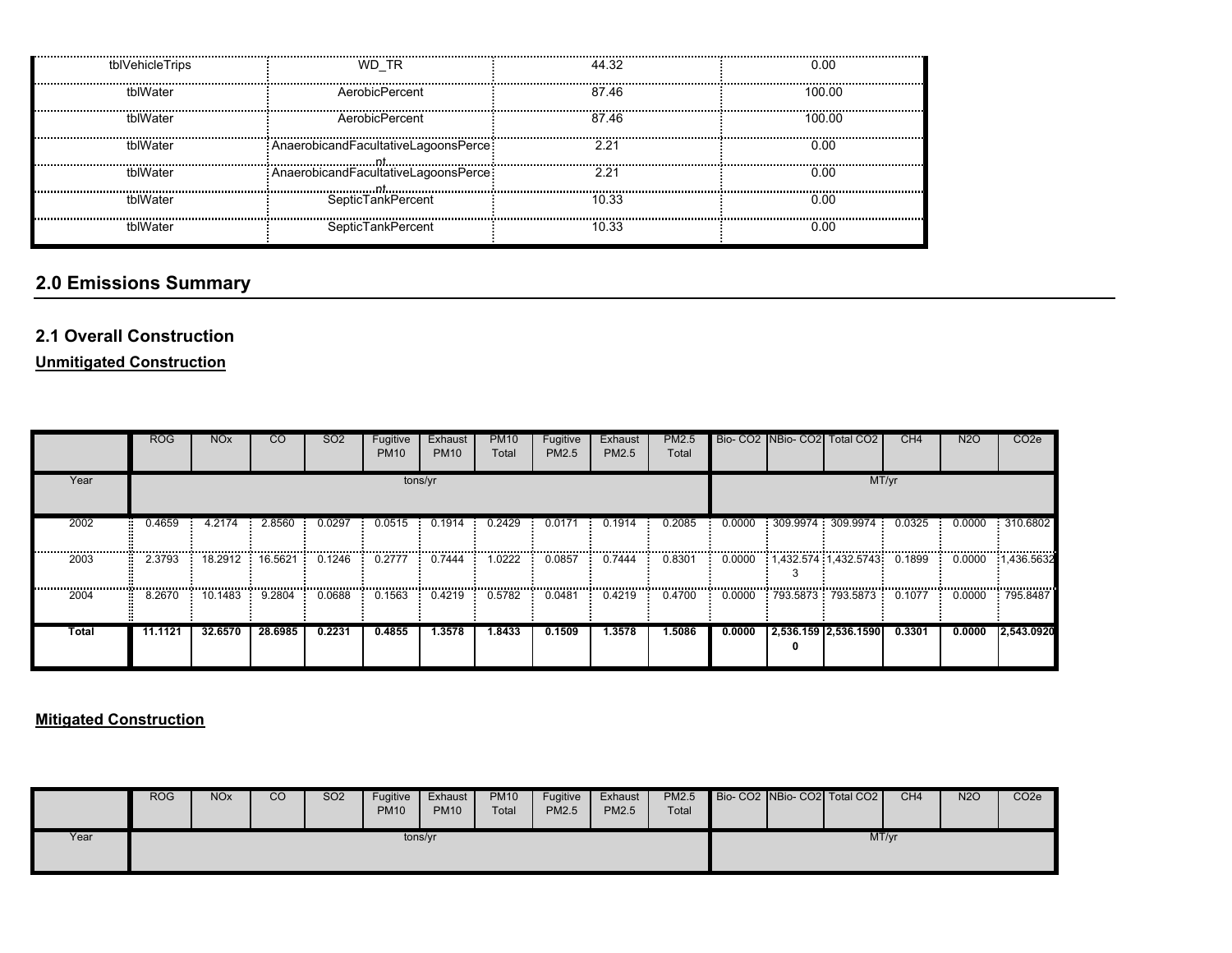| tblVehicleTrips | WD TR                                  | 44.32 | 0.00   |
|-----------------|----------------------------------------|-------|--------|
| thlWater        | AerobicPercent                         | 87.46 | 100.00 |
| tblWater        | AerobicPercent                         | 87.46 | 100.00 |
| tblWater        | : AnaerobicandFacultativeLagoonsPerce: | 221   | 0.00   |
| tblWater        | AnaerobicandFacultativeLagoonsPerce    | 2.21  | 0.00   |
| thlWater        | SepticTankPercent                      | 10.33 | 0.00   |
| thlWater        | SepticTankPercent                      | 10.33 | 0.00   |

# **2.0 Emissions Summary**

## **2.1 Overall Construction**

**Unmitigated Construction**

|       | <b>ROG</b> | <b>NO<sub>x</sub></b>                                                                   | <b>CO</b> | SO <sub>2</sub> | Fugitive<br><b>PM10</b> | Exhaust<br><b>PM10</b>                    | <b>PM10</b><br>Total | Fugitive<br>PM2.5                         | Exhaust<br><b>PM2.5</b> | PM2.5<br>Total |        | Bio- CO2 NBio- CO2 Total CO2 | CH <sub>4</sub> | <b>N2O</b>                                  | CO <sub>2</sub> e |
|-------|------------|-----------------------------------------------------------------------------------------|-----------|-----------------|-------------------------|-------------------------------------------|----------------------|-------------------------------------------|-------------------------|----------------|--------|------------------------------|-----------------|---------------------------------------------|-------------------|
| Year  |            | tons/yr<br>2.8560<br>0.0297<br>0.1914<br>0.2429<br>0.0171<br>4.2174<br>0.0515<br>0.1914 |           |                 |                         |                                           |                      |                                           |                         |                |        | MT/yr                        |                 |                                             |                   |
| 2002  | 0.4659     |                                                                                         |           |                 |                         |                                           |                      |                                           |                         | 0.2085         | 0.0000 | 309.9974 309.9974            | 0.0325          | 0.0000                                      | 310.6802          |
| 2003  | 2.3793     | 18.2912                                                                                 | 16.5621   | 0.1246          | <br>0.2777              | ,,,,,,,,,,,,,,,,,,,,,,,,,,,,,,,<br>0.7444 | 1.0222               | ,,,,,,,,,,,,,,,,,,,,,,,,,,,,,,,<br>0.0857 | 0.7444                  | .<br>0.8301    |        | 0.0000 1,432.574 1,432.5743  | 0.1899          | <br>0.0000                                  | 1.436.5632        |
| 2004  | 8.2670     | 10.1483                                                                                 | 9.2804    | 0.0688          | <br>0.1563              | 0.4219                                    | <br>0.5782           | 0.0481                                    | 0.4219                  | <br>0.4700     | 0.0000 | 793.5873 793.5873            | 0.1077          | ,,,,,,,,,,,,,,,,,,,,,,,,,,,,,,,,,<br>0.0000 | 795.8487          |
| Total | 11.1121    | 32.6570                                                                                 | 28.6985   | 0.2231          | 0.4855                  | 1.3578                                    | 1.8433               | 0.1509                                    | 1.3578                  | 1.5086         | 0.0000 | 2,536.159 2,536.1590         | 0.3301          | 0.0000                                      | 2.543.0920        |

### **Mitigated Construction**

|      | <b>ROG</b> | <b>NOx</b> | CO | <b>SO2</b> | Fugitive<br><b>PM10</b> | Exhaust<br><b>PM10</b> | <b>PM10</b><br>Total | Fugitive<br><b>PM2.5</b> | Exhaust<br>PM2.5 | <b>PM2.5</b><br>Total |  | Bio- CO2 NBio- CO2 Total CO2 | CH <sub>4</sub> | <b>N2O</b> | CO <sub>2</sub> e |
|------|------------|------------|----|------------|-------------------------|------------------------|----------------------|--------------------------|------------------|-----------------------|--|------------------------------|-----------------|------------|-------------------|
| Year |            |            |    |            | tons/yr                 |                        |                      |                          |                  |                       |  | MT/yr                        |                 |            |                   |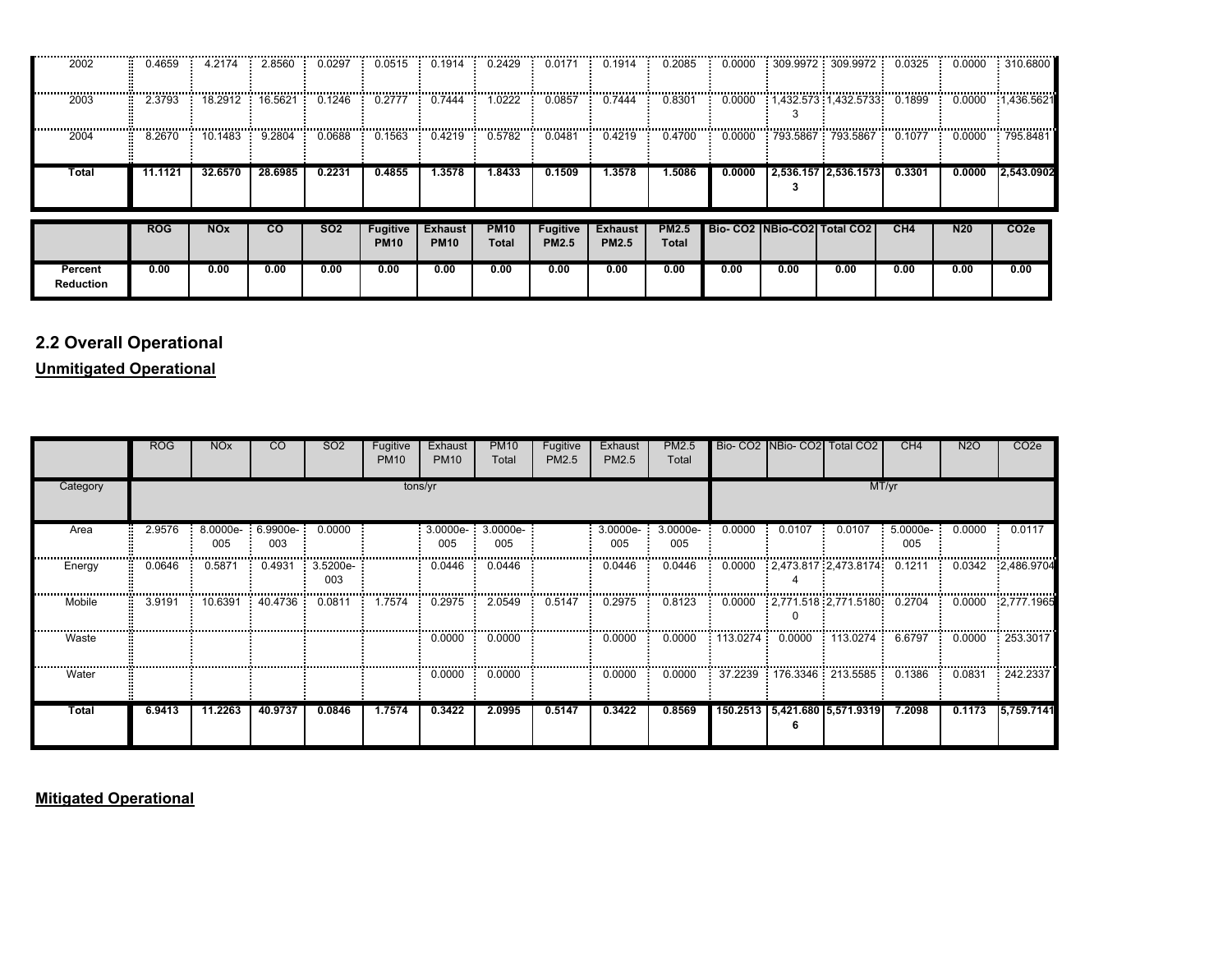| 2002                        | 0.4659     | 4.2174                | 2.8560          | 0.0297          | 0.0515                         | 0.1914                        | 0.2429               | 0.0171                          | 0.1914                         | 0.2085                | 0.0000 |      | 309.9972 : 309.9972 : 0.0325                 |        | 0.0000          | 310.6800         |
|-----------------------------|------------|-----------------------|-----------------|-----------------|--------------------------------|-------------------------------|----------------------|---------------------------------|--------------------------------|-----------------------|--------|------|----------------------------------------------|--------|-----------------|------------------|
| 2003                        | 2.3793     |                       | 18.2912 16.5621 | 0.1246          | 0.2777                         | 0.7444                        | 1.0222               | 0.0857                          | 0.7444                         | 0.8301                |        |      | $0.0000$ : 1,432.573 : 1,432.5733 : 0.1899 : |        | 0.0000          | 1,436.5621       |
| 2004                        | 8.2670     | 10.1483               | 9.2804          | 0.0688          | 0.1563                         | 0.4219                        | 0.5782               | 0.0481                          | 0.4219                         | 0.4700                |        |      | $0.0000$ 793.5867 793.5867 0.1077 0.0000     |        |                 | . 795.8481       |
| Total                       | 11.1121    | 32.6570               | 28.6985         | 0.2231          | 0.4855                         | 1.3578                        | 1.8433               | 0.1509                          | 1.3578                         | 1.5086                | 0.0000 |      | 2,536.157 2,536.1573                         | 0.3301 | 0.0000          | 2,543.0902       |
|                             | <b>ROG</b> | <b>NO<sub>x</sub></b> | $\overline{c}$  | SO <sub>2</sub> | <b>Fugitive</b><br><b>PM10</b> | <b>Exhaust</b><br><b>PM10</b> | <b>PM10</b><br>Total | <b>Fugitive</b><br><b>PM2.5</b> | <b>Exhaust</b><br><b>PM2.5</b> | <b>PM2.5</b><br>Total |        |      | Bio-CO2 INBio-CO2 Total CO2                  | CH4    | N <sub>20</sub> | CO <sub>2e</sub> |
| Percent<br><b>Reduction</b> | 0.00       | 0.00                  | 0.00            | 0.00            | 0.00                           | 0.00                          | 0.00                 | 0.00                            | 0.00                           | 0.00                  | 0.00   | 0.00 | 0.00                                         | 0.00   | 0.00            | 0.00             |

# **2.2 Overall Operational**

**Unmitigated Operational**

|          | <b>ROG</b> | <b>NO<sub>x</sub></b> | <sub>CO</sub>       | SO <sub>2</sub> | Fugitive<br><b>PM10</b> | Exhaust<br><b>PM10</b>   | <b>PM10</b><br>Total | Fugitive<br><b>PM2.5</b> | Exhaust<br>PM2.5 | <b>PM2.5</b><br>Total |                 |        | Bio- CO2 NBio- CO2 Total CO2                  | CH4             | <b>N2O</b> | CO <sub>2</sub> e |
|----------|------------|-----------------------|---------------------|-----------------|-------------------------|--------------------------|----------------------|--------------------------|------------------|-----------------------|-----------------|--------|-----------------------------------------------|-----------------|------------|-------------------|
| Category |            |                       |                     |                 |                         | tons/yr                  |                      |                          |                  |                       |                 |        | MT/yr                                         |                 |            |                   |
| Area     | 2.9576     | 8.0000e-<br>005       | $: 6.9900e-$<br>003 | 0.0000          |                         | 3.0000e- 3.0000e-<br>005 | 005                  |                          | 3.0000e-<br>005  | 3.0000e-<br>005       | 0.0000          | 0.0107 | 0.0107                                        | 5.0000e-<br>005 | 0.0000     | 0.0117            |
| Energy   | 0.0646     | 0.5871                | 0.4931              | 3.5200e-<br>003 |                         | 0.0446                   | 0.0446               |                          | 0.0446           | 0.0446                |                 |        | 0.0000  2.473.817  2.473.8174  0.1211         |                 | 0.0342     | 2.486.9704        |
| Mobile   | 3.9191     | 10.6391               | 40.4736             | 0.0811          | 1.7574                  | 0.2975                   | 2.0549               | 0.5147                   | 0.2975           | 0.8123                |                 |        | $\frac{1}{100000}$ : 2,771.518 : 2,771.5180 : | 0.2704          | 0.0000     | 2,777.1965        |
| Waste    |            |                       |                     |                 |                         | 0.0000                   | 0.0000               |                          | 0.0000           | 0.0000                | 113.0274 0.0000 |        | 113.0274                                      | 6.6797          | 0.0000     | 253.3017          |
| Water    |            |                       |                     |                 |                         | 0.0000                   | 0.0000               |                          | 0.0000           | 0.0000                |                 |        |                                               | 0.1386          | 0.0831     | 242.2337          |
| Total    | 6.9413     | 11.2263               | 40.9737             | 0.0846          | 1.7574                  | 0.3422                   | 2.0995               | 0.5147                   | 0.3422           | 0.8569                |                 |        | 150.2513   5,421.680   5,571.9319             | 7.2098          | 0.1173     | 5,759.7141        |

**Mitigated Operational**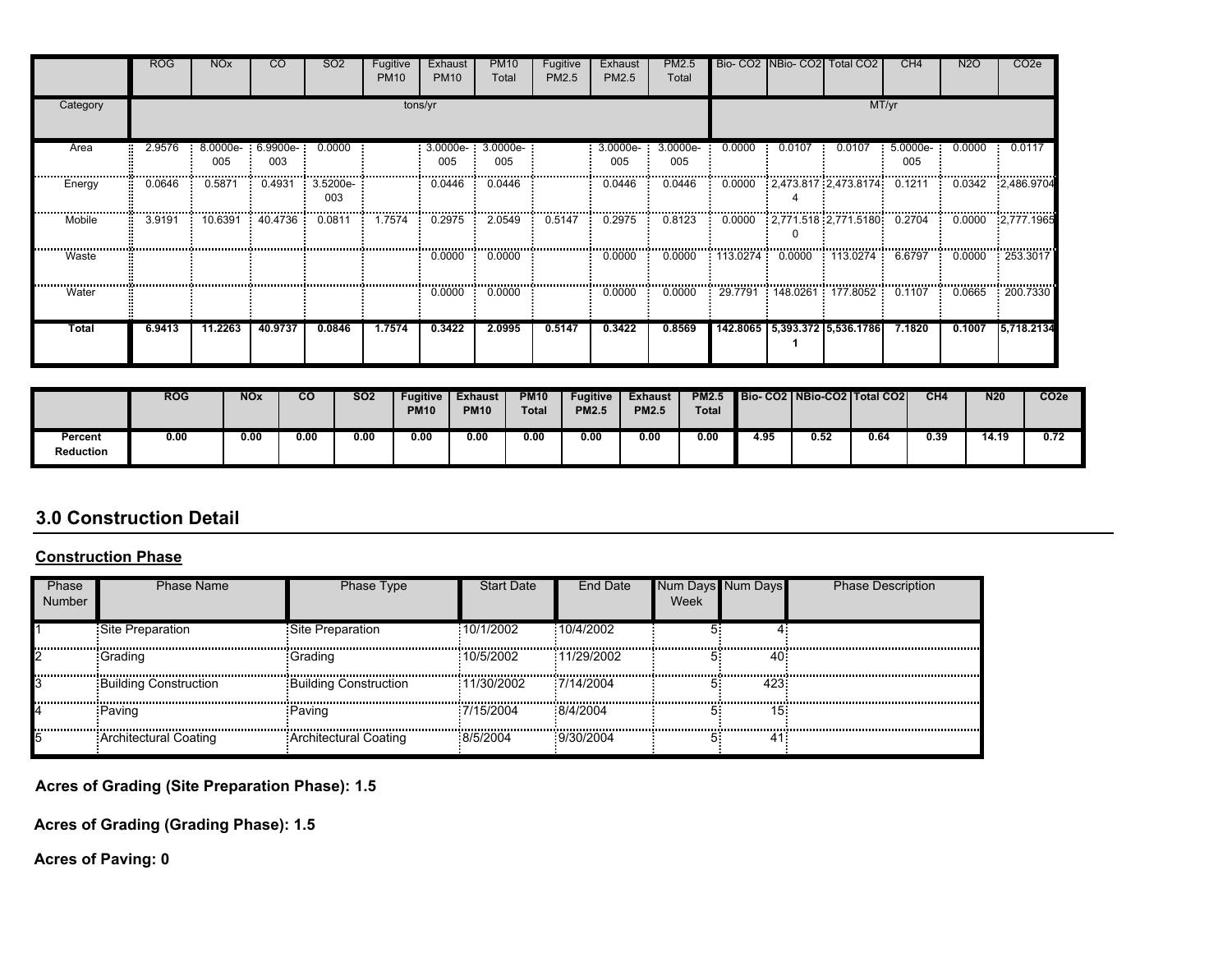|          | ROG    | <b>NO<sub>x</sub></b> | CO.             | SO <sub>2</sub> | Fugitive<br><b>PM10</b> | Exhaust<br><b>PM10</b> | <b>PM10</b><br>Total | Fugitive<br>PM2.5 | Exhaust<br>PM2.5 | PM2.5<br>Total  |        |        | Bio- CO2 NBio- CO2 Total CO2    | CH <sub>4</sub> | N <sub>2</sub> O | CO <sub>2</sub> e |
|----------|--------|-----------------------|-----------------|-----------------|-------------------------|------------------------|----------------------|-------------------|------------------|-----------------|--------|--------|---------------------------------|-----------------|------------------|-------------------|
| Category |        |                       |                 |                 |                         | tons/yr                |                      |                   |                  |                 |        |        |                                 | MT/yr           |                  |                   |
| Area     | 2.9576 | 8.0000e-<br>005       | 6.9900e-<br>003 | 0.0000          |                         | 3.0000e-<br>005        | 3.0000e-<br>005      |                   | 3.0000e-<br>005  | 3.0000e-<br>005 | 0.0000 | 0.0107 | 0.0107                          | 5.0000e-<br>005 | 0.0000           | 0.0117            |
| Energy   | 0.0646 | 0.5871                | 0.4931          | 3.5200e-<br>003 |                         | 0.0446                 | 0.0446               |                   | 0.0446           | 0.0446          |        |        | 0.0000 2.473.817 2.473.8174     | 0.1211          | 0.0342           | 2,486.9704        |
| Mobile   | 3.9191 | 10.6391               | 40.4736         | 0.0811          | 1.7574                  | 0.2975                 | 2.0549               | 0.5147            | 0.2975           | 0.8123          | 0.0000 |        | $2,771.518$ $2,771.5180$ 0.2704 |                 | 0.0000           | 2,777.1965        |
| Waste    |        |                       |                 |                 |                         | 0.0000                 | 0.0000               |                   | 0.0000           | 0.0000          |        |        | $113.0274$ 0.0000 113.0274      | 6.6797          | 0.0000           | : 253.3017        |
| Water    |        |                       |                 |                 |                         | 0.0000                 | 0.0000               |                   | 0.0000           | 0.0000          |        |        | 29.7791 148.0261 177.8052       | 0.1107          | 0.0665           | 200.7330          |
| Total    | 6.9413 | 11.2263               | 40.9737         | 0.0846          | 1.7574                  | 0.3422                 | 2.0995               | 0.5147            | 0.3422           | 0.8569          |        |        | 142.8065 5.393.372 5.536.1786   | 7.1820          | 0.1007           | 5,718.2134        |

|                             | <b>ROG</b> | <b>NOx</b> | $\overline{c}$ | <b>SO2</b> | <b>Fugitive</b><br><b>PM10</b> | <b>Exhaust</b><br><b>PM10</b> | <b>PM10</b><br><b>Total</b> | Fugitive<br><b>PM2.5</b> | <b>Exhaust</b><br><b>PM2.5</b> | <b>PM2.5</b><br><b>Total</b> |      | Bio-CO2   NBio-CO2   Total CO2 |      | CH4  | <b>N20</b> | CO <sub>2</sub> e |
|-----------------------------|------------|------------|----------------|------------|--------------------------------|-------------------------------|-----------------------------|--------------------------|--------------------------------|------------------------------|------|--------------------------------|------|------|------------|-------------------|
| Percent<br><b>Reduction</b> | 0.00       | 0.00       | 0.00           | 0.00       | 0.00                           | 0.00                          | 0.00                        | 0.00                     | 0.00                           | 0.00                         | 4.95 | 0.52                           | 0.64 | 0.39 | 14.19      | 0.72              |

# **3.0 Construction Detail**

#### **Construction Phase**

| Phase<br>Number | Phase Name                   | Phase Type                   | <b>Start Date</b> | End Date    | Week | <b>Num Davs</b> | <b>Phase Description</b> |
|-----------------|------------------------------|------------------------------|-------------------|-------------|------|-----------------|--------------------------|
|                 | Site Preparation             | Site Preparation             | 10/1/2002         | :10/4/2002  |      |                 |                          |
|                 | Grading                      | -Grading                     | 10/5/2002         | 11/29/2002  |      | 40              |                          |
|                 | Building Construction        | <b>Building Construction</b> | 11/30/2002        | 7/14/2004   |      | 423             |                          |
|                 | Paving                       | Paving                       | 7/15/2004         | $-8/4/2004$ |      | 151             |                          |
|                 | <b>Architectural Coating</b> | Architectural Coating        | 8/5/2004          | 9/30/2004   |      |                 |                          |

**Acres of Grading (Site Preparation Phase): 1.5**

**Acres of Grading (Grading Phase): 1.5**

**Acres of Paving: 0**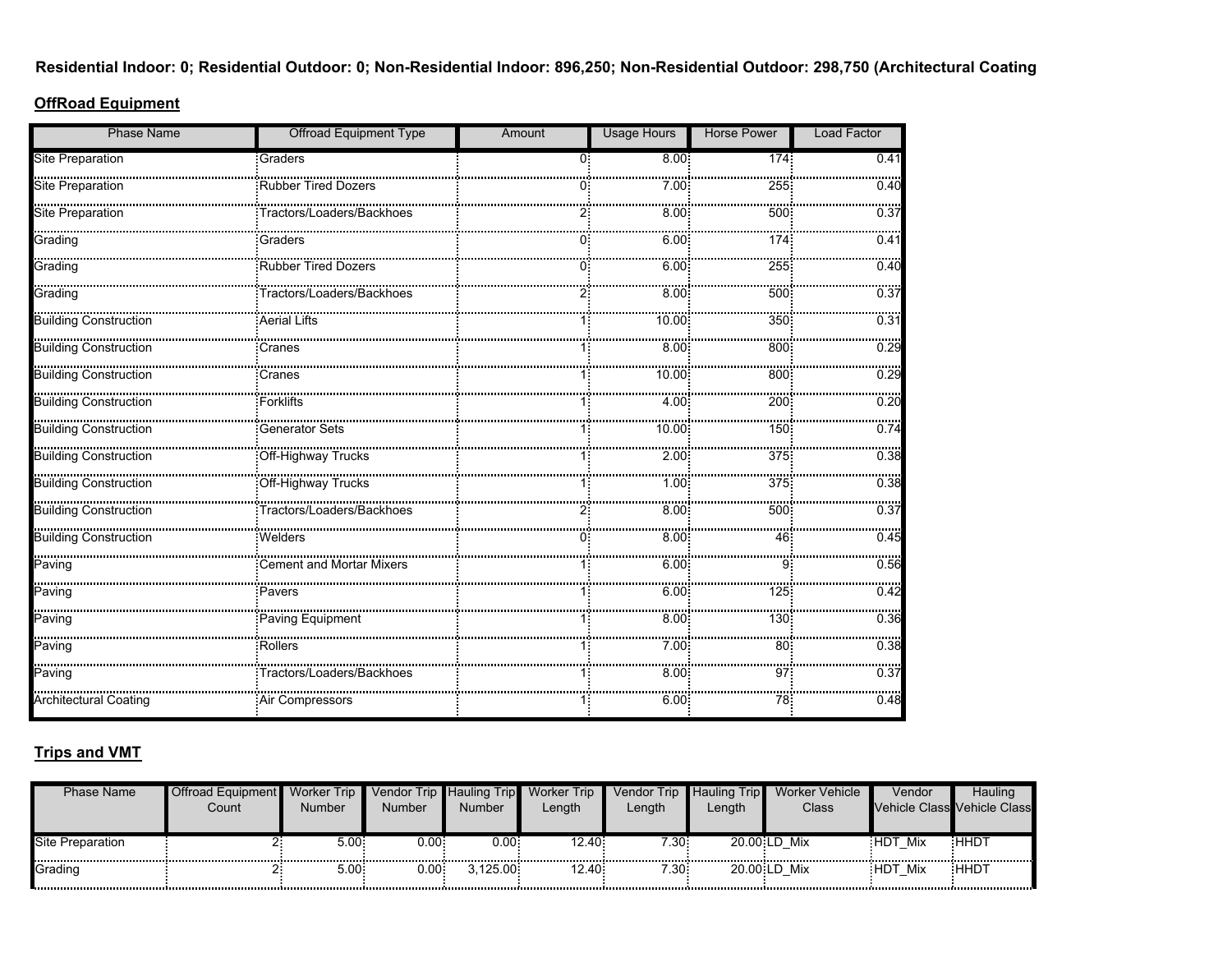**Residential Indoor: 0; Residential Outdoor: 0; Non-Residential Indoor: 896,250; Non-Residential Outdoor: 298,750 (Architectural Coating** 

#### **OffRoad Equipment**

| <b>Phase Name</b>                 | <b>Offroad Equipment Type</b> | Amount | <b>Usage Hours</b> | <b>Horse Power</b> | <b>Load Factor</b> |
|-----------------------------------|-------------------------------|--------|--------------------|--------------------|--------------------|
| Site Preparation                  | Graders                       | 0.     | 8.00:              | 174 <sup>2</sup>   | 0.41               |
| Site Preparation                  | Rubber Tired Dozers           |        | 7.00 <sup>1</sup>  | 255                | 0.40               |
| site Preparation                  | Tractors/Loaders/Backhoes     |        | $8.00^{\circ}$     | 500                | 0.37               |
| <br>Grading                       | Graders                       |        | 6.00               | 174                | 0.41               |
| Grading                           | Rubber Tired Dozers           |        | 6.00               | 255                | 0.40               |
| Grading                           |                               |        | 8.00               | 500                | 0.37               |
| .<br><b>Building Construction</b> | .<br>Aerial Lifts             |        | 10.00              | 350                | 0.31               |
|                                   |                               |        | 8.00               | 800                | <br>0.29           |
| Building Construction             | Cranes                        |        | 10.00              | 800                | 0.29               |
| <b>Building Construction</b>      | <b>Forklifts</b>              |        | 4.00               | 200                | 0.20               |
|                                   | <b>Generator Sets</b>         |        | 10.00              | 150                | 0.74               |
| Building Construction             |                               |        | 2.00:              | 375                | 0.38               |
| Building Construction             | Off-Highway Trucks            |        | 1.001              | 375                | 0.38               |
| Building Construction             |                               |        | 8.00               | 500                | 0.37               |
| <b>Building Construction</b>      | <b>Welders</b>                |        | 8.00.              | 46                 | 0.45               |
| Paving                            |                               |        | 6.00               |                    | 0.56               |
| Paving                            | Pavers                        |        | 6.00               | 125                | 0.42               |
| <br><br>Paving                    | Paving Equipment              |        | 8.00:              | 130                | 0.36               |
| Paving                            | Rollers                       |        | 7.00 <sup>1</sup>  | 80                 | 0.38               |
| Paving                            | Tractors/Loaders/Backhoes     |        | 8.00               | 97                 | 0.37               |
| <b>Architectural Coating</b>      | : Air Compressors             |        | 6.00:              | 78.                | 0.48               |

### **Trips and VMT**

| Phase Name       | ⊿ Offroad Equipment<br>Count | <b>Worker Trip</b><br>Number | <b>Number</b> | Vendor Trip Hauling Trip<br><b>Number</b> | <b>Worker Trip</b><br>Length | Length | Vendor Trip Hauling Trip<br>Length | Worker Vehicle<br>Class | Vendor      | Hauling<br>Vehicle Class Vehicle Class |
|------------------|------------------------------|------------------------------|---------------|-------------------------------------------|------------------------------|--------|------------------------------------|-------------------------|-------------|----------------------------------------|
| Site Preparation |                              | $5.00 -$<br>                 | 0.00 :        | 0.001                                     | :2.40<br>                    | 7.30   |                                    | 20.00 LD Mix            | HDT Mix     | <b>HHDT</b>                            |
| Grading          |                              | 5.00-                        | .00 C         | 3.125.00                                  | 2.40                         | 7.30:  | 20.00 LD                           | Mix                     | HDT:<br>Mix | HHDT                                   |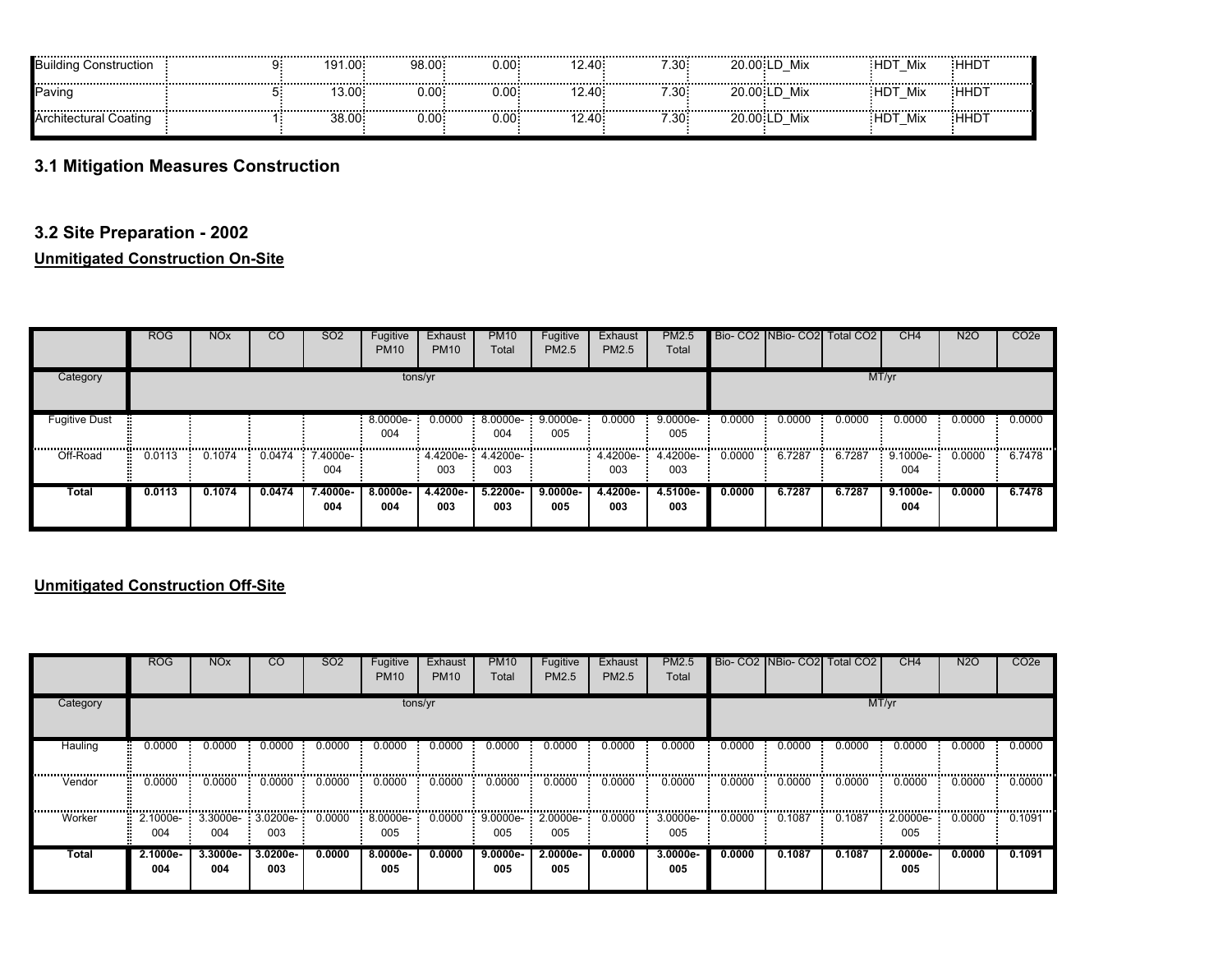| uildina<br>Construction | 191.00<br> | 98.00: | 0.001             | $2.40 -$<br>------ | 7.30:    | 20.00 LD<br>----------------------- | Mix | <br>Mix<br> | :ННDТ<br>----------- |
|-------------------------|------------|--------|-------------------|--------------------|----------|-------------------------------------|-----|-------------|----------------------|
| 'aving                  | I3.00=     | : 00.ر | . 00. ر           | $\angle 40$        | 7.30 -   | 20.00 LD                            | Mix | Mix         | <b>HHDT</b>          |
| Architectural Coating   | 38.00      | 0.00:  | ບ.00 <del>-</del> | $.40^{\circ}$      | $7.30 -$ | 20.00 LD                            | Mix | :HDT<br>Mix | <b>HHD</b>           |

# **3.1 Mitigation Measures Construction**

### **3.2 Site Preparation - 2002**

#### **Unmitigated Construction On-Site**

|                                                 | ROG         | <b>NOx</b> | CO     | SO <sub>2</sub> | Fugitive<br><b>PM10</b> | Exhaust<br><b>PM10</b>   | <b>PM10</b><br>Total | Fugitive<br><b>PM2.5</b> | Exhaust<br><b>PM2.5</b> | PM2.5<br>Total    |        |        | Bio- CO2   NBio- CO2   Total CO2 | CH <sub>4</sub> | N <sub>2</sub> O | CO <sub>2</sub> e |
|-------------------------------------------------|-------------|------------|--------|-----------------|-------------------------|--------------------------|----------------------|--------------------------|-------------------------|-------------------|--------|--------|----------------------------------|-----------------|------------------|-------------------|
| Category                                        |             |            |        |                 |                         | tons/yr                  |                      |                          |                         |                   |        |        |                                  | MT/yr           |                  |                   |
| <b>Fugitive Dust</b><br>,,,,,,,,,,,,,,,,,,,,,,, |             |            |        |                 | 8.0000e-<br>004         | 0.0000                   | $8.0000e-$<br>004    | $9.0000e-$<br>005        | 0.0000                  | $9.0000e-$<br>005 | 0.0000 | 0.0000 | 0.0000                           | 0.0000          | 0.0000           | 0.0000<br>        |
| Off-Road                                        | 0.0113<br>Ξ | 0.1074     | 0.0474 | 7.4000e-<br>004 |                         | 4.4200e- 4.4200e-<br>003 | 003                  |                          | 4.4200e-<br>003         | 4.4200e-<br>003   | 0.0000 | 6.7287 | 6.7287                           | 9.1000e-<br>004 | 0.0000           | 6.7478            |
| Total                                           | 0.0113      | 0.1074     | 0.0474 | 7.4000e-<br>004 | $8.0000e -$<br>004      | 4.4200e-<br>003          | $5.2200e-$<br>003    | $9.0000e-$<br>005        | 4.4200e-<br>003         | 4.5100e-<br>003   | 0.0000 | 6.7287 | 6.7287                           | 9.1000e-<br>004 | 0.0000           | 6.7478            |

# **Unmitigated Construction Off-Site**

|          | <b>ROG</b>      | <b>NO<sub>x</sub></b> | <sub>CO</sub>      | SO <sub>2</sub> | Fugitive<br><b>PM10</b> | Exhaust<br><b>PM10</b> | <b>PM10</b><br>Total | Fugitive<br>PM2.5 | Exhaust<br>PM2.5 | PM2.5<br>Total    |        |        | Bio- CO2 NBio- CO2 Total CO2 | CH <sub>4</sub> | N2O    | CO <sub>2</sub> e |
|----------|-----------------|-----------------------|--------------------|-----------------|-------------------------|------------------------|----------------------|-------------------|------------------|-------------------|--------|--------|------------------------------|-----------------|--------|-------------------|
| Category |                 |                       |                    |                 | tons/yr                 |                        |                      |                   |                  |                   |        |        | MT/yr                        |                 |        |                   |
| Hauling  | 0.0000          | 0.0000                | 0.0000             | 0.0000          | 0.0000                  | 0.0000                 | 0.0000               | 0.0000            | 0.0000           | 0.0000            | 0.0000 | 0.0000 | 0.0000                       | 0.0000          | 0.0000 | 0.0000            |
| Vendor   | 0.0000          | 0.0000                | 0.0000             | 0.0000          | 0.0000                  | 0.0000                 | 0.0000               | 0.0000            | 0.0000           | 0.0000            | 0.0000 | 0.0000 | 0.0000                       | 0.0000          | 0.0000 | 0.0000            |
| Worker   | 2.1000e-<br>004 | 3.3000e-<br>004       | 3.0200e-<br>003    | 0.0000          | 8.0000e-<br>005         | 0.0000                 | 9.0000e-<br>005      | 2.0000e-<br>005   | 0.0000           | 3.0000e-<br>005   | 0.0000 | 0.1087 | 0.1087                       | 2.0000e-<br>005 | 0.0000 | 0.1091            |
| Total    | 2.1000e-<br>004 | $3.3000e -$<br>004    | $3.0200e -$<br>003 | 0.0000          | $8.0000e-$<br>005       | 0.0000                 | $9.0000e -$<br>005   | 2.0000e-<br>005   | 0.0000           | $3.0000e-$<br>005 | 0.0000 | 0.1087 | 0.1087                       | 2.0000e-<br>005 | 0.0000 | 0.1091            |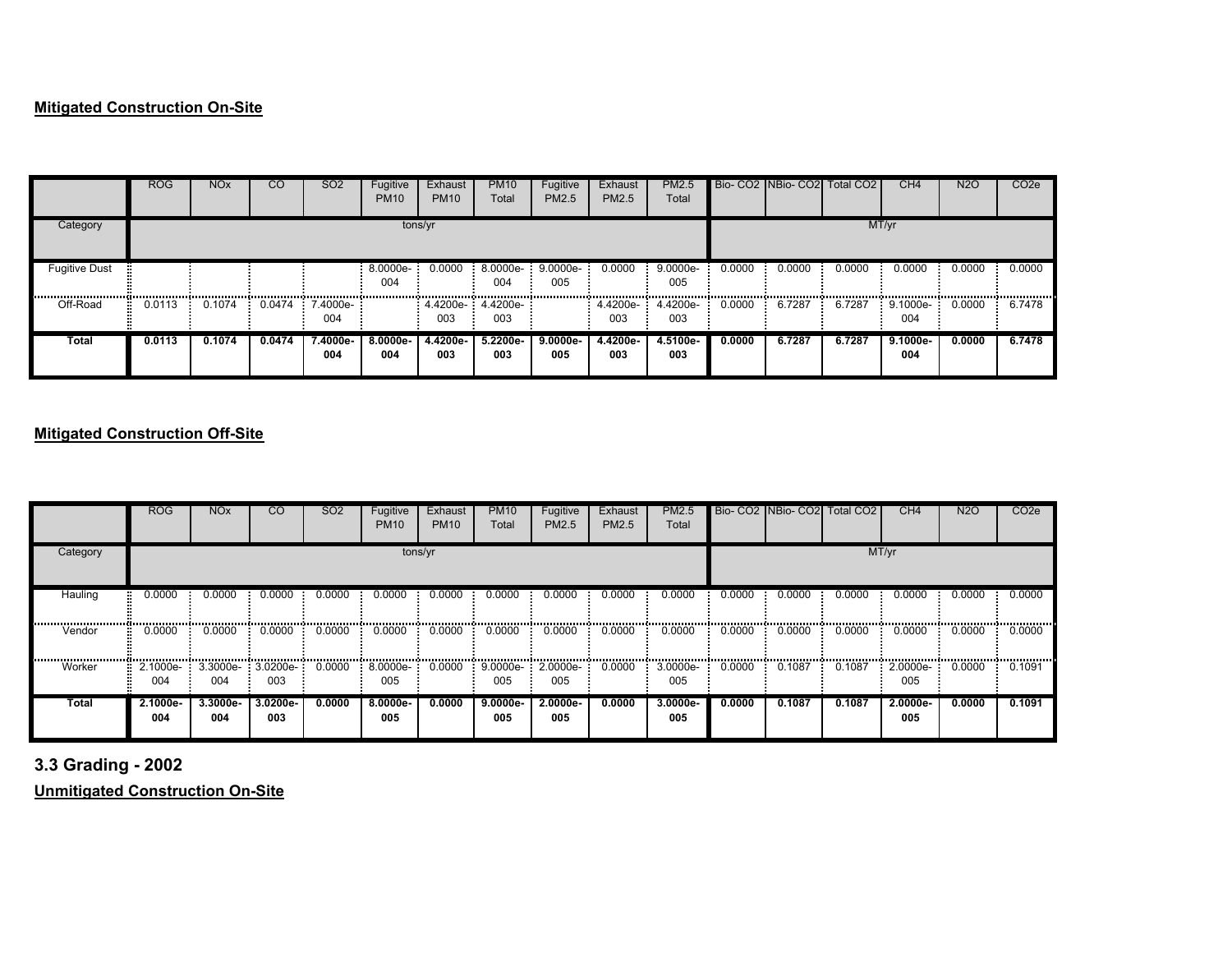### **Mitigated Construction On-Site**

|                      | <b>ROG</b> | <b>NO<sub>x</sub></b> | <sub>CO</sub> | SO <sub>2</sub>        | Fugitive<br><b>PM10</b> | Exhaust<br><b>PM10</b>   | <b>PM10</b><br>Total | Fugitive<br><b>PM2.5</b> | Exhaust<br><b>PM2.5</b> | PM2.5<br>Total  |        | Bio- CO2 INBio- CO2 Total CO2 |        | CH <sub>4</sub>   | <b>N2O</b> | CO <sub>2</sub> e |
|----------------------|------------|-----------------------|---------------|------------------------|-------------------------|--------------------------|----------------------|--------------------------|-------------------------|-----------------|--------|-------------------------------|--------|-------------------|------------|-------------------|
| Category             |            |                       |               |                        | tons/yr                 |                          |                      |                          |                         |                 |        |                               |        | MT/yr             |            |                   |
| <b>Fugitive Dust</b> |            |                       |               |                        | $8.0000e-$<br>004       | 0.0000                   | 8.0000e-<br>004      | $9.0000e-$<br>005        | 0.0000                  | 9.0000e-<br>005 | 0.0000 | 0.0000                        | 0.0000 | 0.0000            | 0.0000     | 0.0000            |
| Off-Road<br>н.       | 0.0113     | 0.1074                |               | 0.0474 7.4000e-<br>004 |                         | 4.4200e- 4.4200e-<br>003 | 003                  |                          | 4.4200e-<br>003         | 4.4200e-<br>003 | 0.0000 | 6.7287                        | 6.7287 | 9.1000e-<br>004   | 0.0000     | 6.7478            |
| Total                | 0.0113     | 0.1074                | 0.0474        | 7.4000e-<br>004        | $8.0000e-$<br>004       | 4.4200e-<br>003          | $5.2200e -$<br>003   | $9.0000e-$<br>005        | 4.4200e-<br>003         | 4.5100e-<br>003 | 0.0000 | 6.7287                        | 6.7287 | $9.1000e-$<br>004 | 0.0000     | 6.7478            |

# **Mitigated Construction Off-Site**

|             | <b>ROG</b>      | <b>NO<sub>x</sub></b> | CO                        | <b>SO2</b> | Fugitive<br><b>PM10</b>      | Exhaust<br><b>PM10</b> | <b>PM10</b><br>Total      | Fugitive<br>PM2.5 | Exhaust<br>PM2.5 | <b>PM2.5</b><br>Total |            | Bio- CO2 NBio- CO2 | Total CO <sub>2</sub> | CH <sub>4</sub> | <b>N2O</b> | CO <sub>2</sub> e |
|-------------|-----------------|-----------------------|---------------------------|------------|------------------------------|------------------------|---------------------------|-------------------|------------------|-----------------------|------------|--------------------|-----------------------|-----------------|------------|-------------------|
| Category    |                 |                       |                           |            |                              | tons/yr                |                           |                   |                  |                       |            |                    |                       | MT/yr           |            |                   |
| Hauling<br> | 0.0000          | 0.0000                | 0.0000                    | 0.0000     | 0.0000                       | 0.0000                 | 0.0000                    | 0.0000            | 0.0000           | 0.0000                | 0.0000     | 0.0000             | 0.0000<br>            | 0.0000          | 0.0000     | 0.0000<br>        |
| Vendor      | 0.0000          | <br>0.0000            | <br>0.0000                | <br>0.0000 | <br>0.0000                   | <br>0.0000             | <br>0.0000                | 0.0000            | <br>0.0000       | <br>0.0000            | <br>0.0000 | .<br>0.0000        | 0.0000                | <br>0.0000      | 0.0000     | 0.0000            |
| <br>Worker  | 2.1000e-<br>004 | 004                   | $3.3000e-3.0200e-$<br>003 | 0.0000     | 8.0000e- <del>-</del><br>005 | 0.0000                 | $9.0000e-2.0000e-$<br>005 | 005               | 0.0000           | 3.0000e-<br>005       | 0.0000     | 0.1087             | 0.1087                | 2.0000e-<br>005 | <br>0.0000 | 0.1091            |
| Total       | 2.1000e-<br>004 | 3.3000e-<br>004       | 3.0200e-<br>003           | 0.0000     | 8.0000e-<br>005              | 0.0000                 | $9.0000e -$<br>005        | 2.0000e-<br>005   | 0.0000           | $3.0000e-$<br>005     | 0.0000     | 0.1087             | 0.1087                | 2.0000e-<br>005 | 0.0000     | 0.1091            |

**3.3 Grading - 2002**

**Unmitigated Construction On-Site**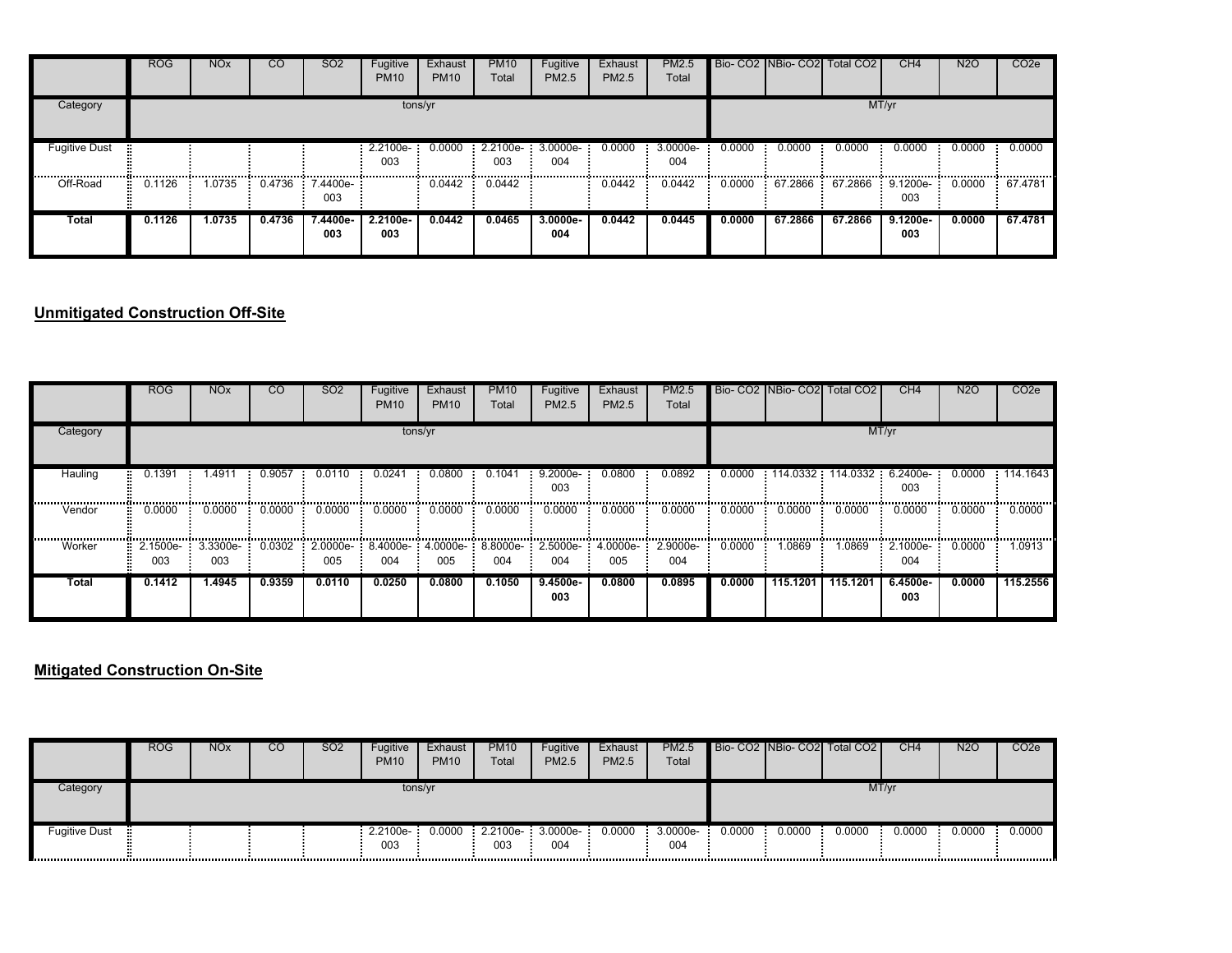|                          | <b>ROG</b> | <b>NO<sub>x</sub></b> | <sub>CO</sub> | SO <sub>2</sub> | Fugitive<br><b>PM10</b>    | Exhaust<br><b>PM10</b> | <b>PM10</b><br>Total          | Fugitive<br>PM2.5 | Exhaust<br><b>PM2.5</b> | PM2.5<br>Total  |        |         | Bio- CO2 NBio- CO2 Total CO2 | CH <sub>4</sub>               | <b>N2O</b> | CO <sub>2</sub> e |
|--------------------------|------------|-----------------------|---------------|-----------------|----------------------------|------------------------|-------------------------------|-------------------|-------------------------|-----------------|--------|---------|------------------------------|-------------------------------|------------|-------------------|
| Category                 |            |                       |               |                 |                            | tons/yr                |                               |                   |                         |                 |        |         |                              | MT/yr                         |            |                   |
| <b>Fugitive Dust</b><br> |            |                       |               |                 | 2.2100e- 0.0000<br>003<br> |                        | $2.2100e-3.0000e-$<br>003<br> | 004<br>           | 0.0000                  | 3.0000e-<br>004 | 0.0000 | 0.0000  | 0.0000                       | 0.0000                        | 0.0000     | 0.0000            |
| Off-Road                 | 0.1126     | 1.0735                | 0.4736        | 7.4400e-<br>003 |                            | 0.0442                 | 0.0442                        |                   | 0.0442                  | 0.0442          | 0.0000 |         | 67.2866 67.2866              | $\frac{1}{2}$ 9.1200e-<br>003 | 0.0000     | 67.4781           |
| Total                    | 0.1126     | 1.0735                | 0.4736        | 7.4400e-<br>003 | 2.2100e-<br>003            | 0.0442                 | 0.0465                        | $3.0000e-$<br>004 | 0.0442                  | 0.0445          | 0.0000 | 67.2866 | 67.2866                      | 9.1200e-<br>003               | 0.0000     | 67.4781           |

# **Unmitigated Construction Off-Site**

|          | <b>ROG</b> | <b>NO<sub>x</sub></b>    | <sub>CO</sub> | SO <sub>2</sub> | Fugitive<br><b>PM10</b> | Exhaust<br><b>PM10</b> | <b>PM10</b><br>Total | Fugitive<br>PM2.5 | Exhaust<br><b>PM2.5</b> | PM2.5<br>Total                                                             |        |            | Bio- CO2 INBio- CO2 Total CO2 | CH <sub>4</sub>          | <b>N2O</b> | CO <sub>2e</sub> |
|----------|------------|--------------------------|---------------|-----------------|-------------------------|------------------------|----------------------|-------------------|-------------------------|----------------------------------------------------------------------------|--------|------------|-------------------------------|--------------------------|------------|------------------|
| Category |            |                          |               |                 |                         | tons/yr                |                      |                   |                         |                                                                            |        |            |                               | MT/yr                    |            |                  |
| Hauling  | 0.1391     | 1.4911                   | 0.9057        | 0.0110          | 0.0241                  | 0.0800                 | 0.1041               | 9.2000e-<br>003   | 0.0800                  | 0.0892                                                                     | 0.0000 | 114.0332   |                               | 114.0332 6.2400e-<br>003 | 0.0000     | 114.1643         |
| Vendor   | 0.0000     | 0.0000                   | 0.0000        | 0.0000          | 0.0000                  | 0.0000                 | 0.0000               | 0.0000            | 0.0000                  | 0.0000                                                                     | 0.0000 | <br>0.0000 | 0.0000                        | 0.0000                   | 0.0000     | . 1<br>0.0000    |
| Worker   | 003        | 2.1500e- 3.3300e-<br>003 |               | 005             | 004                     | 005                    | 004                  | <br>004           | 005                     | $0.0302$ $2.0000e 8.4000e 4.0000e 8.8000e 2.5000e 4.0000e 2.9000e-$<br>004 | 0.0000 | 1.0869     | 1.0869                        | 2.1000e- 0.0000<br>004   |            | <br>1.0913       |
| Total    | 0.1412     | 1.4945                   | 0.9359        | 0.0110          | 0.0250                  | 0.0800                 | 0.1050               | $9.4500e-$<br>003 | 0.0800                  | 0.0895                                                                     | 0.0000 | 115.1201   | 115.1201                      | $6.4500e-$<br>003        | 0.0000     | 115.2556         |

### **Mitigated Construction On-Site**

|                      | ROG | <b>NO<sub>x</sub></b> | CO | SO <sub>2</sub> | Fugitive<br><b>PM10</b> | Exhaust<br><b>PM10</b> | <b>PM10</b><br>Total      | Fugitive<br><b>PM2.5</b> | Exhaust<br><b>PM2.5</b> | PM2.5<br>Total  |        |        | Bio- CO2 NBio- CO2 Total CO2 | CH4    | <b>N2O</b> | CO <sub>2</sub> e |
|----------------------|-----|-----------------------|----|-----------------|-------------------------|------------------------|---------------------------|--------------------------|-------------------------|-----------------|--------|--------|------------------------------|--------|------------|-------------------|
| Category             |     |                       |    |                 | tons/yr                 |                        |                           |                          |                         | MT/yr           |        |        |                              |        |            |                   |
| <b>Fugitive Dust</b> |     |                       |    |                 | $2.2100e-$<br>003       | 0.0000                 | $2.2100e-3.0000e-$<br>003 | 004                      | 0.0000                  | 3.0000e-<br>004 | 0.0000 | 0.0000 | 0.0000                       | 0.0000 | 0.0000     | 0.0000            |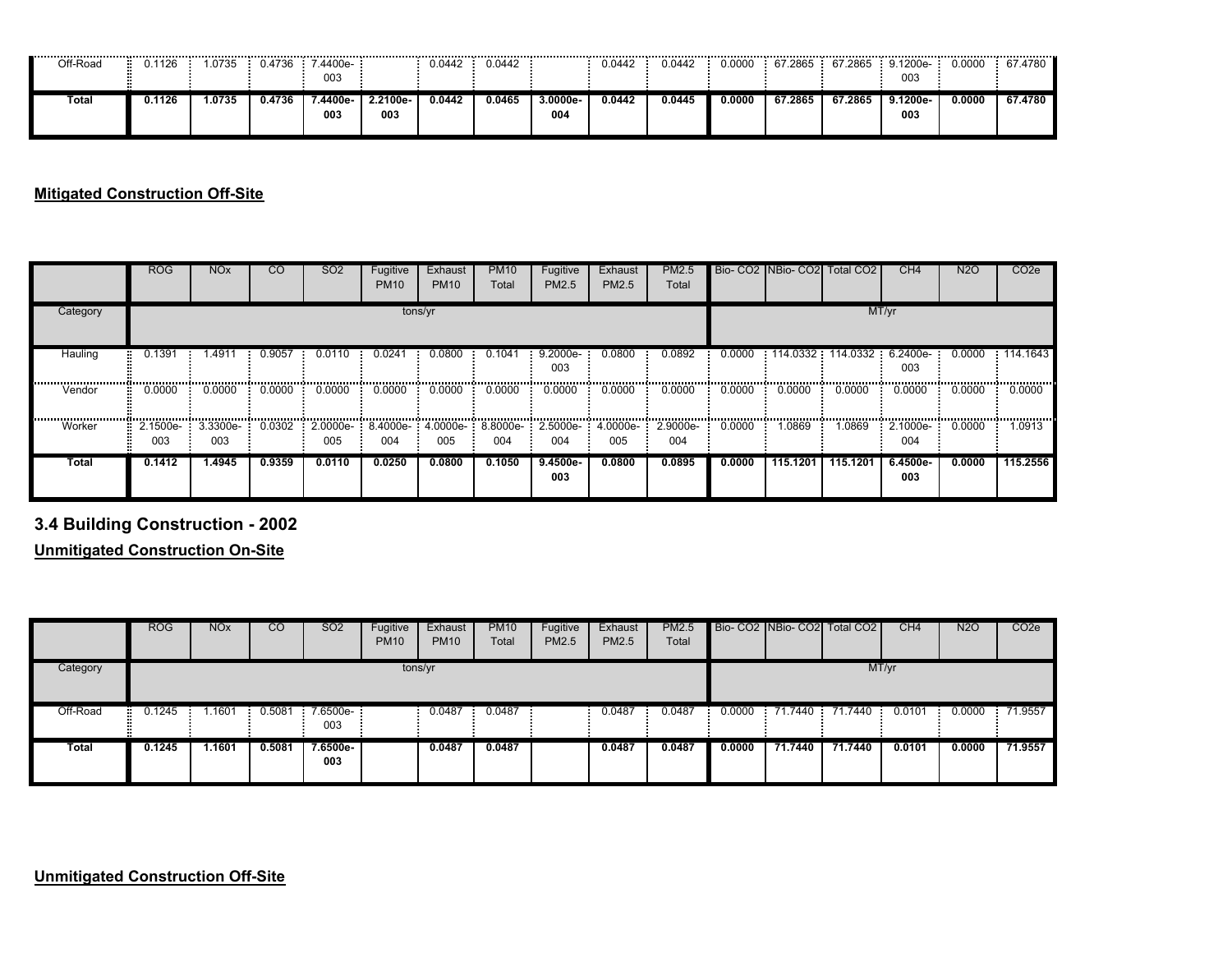| <br>Off-Road | ----------------------------------<br>.1126 | .0735  | 0.4736 | 4400e-<br>003  |                 | 0.0442 | 0.0442 |                | <br>0.0442 | -----------------------------<br>0.0442 | 0.0000 | 67.2865 | <b>S7.2865</b> | 9.1200e-<br>003 | 0.0000 | <br>67.4780 |
|--------------|---------------------------------------------|--------|--------|----------------|-----------------|--------|--------|----------------|------------|-----------------------------------------|--------|---------|----------------|-----------------|--------|-------------|
| Total        | 0.1126                                      | 1.0735 | 0.4736 | /.4400e<br>003 | 2.2100e-<br>003 | 0.0442 | 0.0465 | 3.0000e<br>004 | 0.0442     | 0.0445                                  | 0.0000 | 67.2865 | 67.2865        | 9.1200e-<br>003 | 0.0000 | 67.4780     |

### **Mitigated Construction Off-Site**

|          | <b>ROG</b>      | <b>NO<sub>x</sub></b> | <b>CO</b> | SO <sub>2</sub> | Fugitive<br><b>PM10</b> | Exhaust<br><b>PM10</b> | <b>PM10</b><br>Total | Fugitive<br>PM2.5                          | Exhaust<br>PM2.5 | <b>PM2.5</b><br>Total |        |          | Bio- CO2 INBio- CO2 Total CO2 | CH4               | <b>N2O</b> | CO <sub>2e</sub> |
|----------|-----------------|-----------------------|-----------|-----------------|-------------------------|------------------------|----------------------|--------------------------------------------|------------------|-----------------------|--------|----------|-------------------------------|-------------------|------------|------------------|
| Category |                 |                       |           |                 |                         | tons/yr                |                      |                                            |                  |                       |        |          |                               | MT/yr             |            |                  |
| Hauling  | 0.1391          | .4911                 | 0.9057    | 0.0110          | 0.0241                  | 0.0800                 | 0.1041               | $9.2000e-$<br>003                          | 0.0800           | 0.0892                | 0.0000 | 114.0332 |                               | 003               | 0.0000     | : 114.1643       |
| Vendor   | 0.0000          | 0.0000                | 0.0000    | 0.0000          | 0.0000                  | 0.0000                 | 0.0000               | 0.0000                                     | 0.0000           | 0.0000                | 0.0000 | 0.0000   | 0.0000                        | 0.0000            | 0.0000     | 0.0000           |
| Worker   | 2.1500e-<br>003 | 3.3300e-<br>003       | 0.0302    | 2.0000e-<br>005 | 004                     | 005                    | 004                  | 8.4000e- 4.0000e- 8.8000e- 2.5000e-<br>004 | 4.0000e-<br>005  | 2.9000e-<br>004       | 0.0000 | .0869    | 1.0869                        | 2.1000e-<br>004   | 0.0000     | 1.0913           |
| Total    | 0.1412          | 1.4945                | 0.9359    | 0.0110          | 0.0250                  | 0.0800                 | 0.1050               | $9.4500e-$<br>003                          | 0.0800           | 0.0895                | 0.0000 | 115.1201 | 115.1201                      | $6.4500e-$<br>003 | 0.0000     | 115.2556         |

**3.4 Building Construction - 2002**

**Unmitigated Construction On-Site**

|          | <b>ROG</b>  | <b>NO<sub>x</sub></b> | $\overline{c}$ | <b>SO2</b>      | Fugitive<br><b>PM10</b> | Exhaust<br><b>PM10</b> | <b>PM10</b><br>Total | Fugitive<br>PM2.5 | Exhaust<br>PM2.5 | <b>PM2.5</b><br>Total |        |         | Bio-CO2 NBio-CO2 Total CO2 | CH4    | <b>N2O</b> | CO <sub>2</sub> e |
|----------|-------------|-----------------------|----------------|-----------------|-------------------------|------------------------|----------------------|-------------------|------------------|-----------------------|--------|---------|----------------------------|--------|------------|-------------------|
| Category |             |                       |                |                 | tons/yr                 |                        |                      |                   |                  |                       |        |         | MT/yr                      |        |            |                   |
| Off-Road | 0.1245<br>× | .1601                 | 0.5081         | 7.6500e-<br>003 |                         | 0.0487                 | 0.0487               |                   | 0.0487           | 0.0487                | 0.0000 |         | 71.7440 71.7440            | 0.0101 | 0.0000     | : 71.9557         |
| Total    | 0.1245      | .1601                 | 0.5081         | 7.6500e-<br>003 |                         | 0.0487                 | 0.0487               |                   | 0.0487           | 0.0487                | 0.0000 | 71.7440 | 71.7440                    | 0.0101 | 0.0000     | 71.9557           |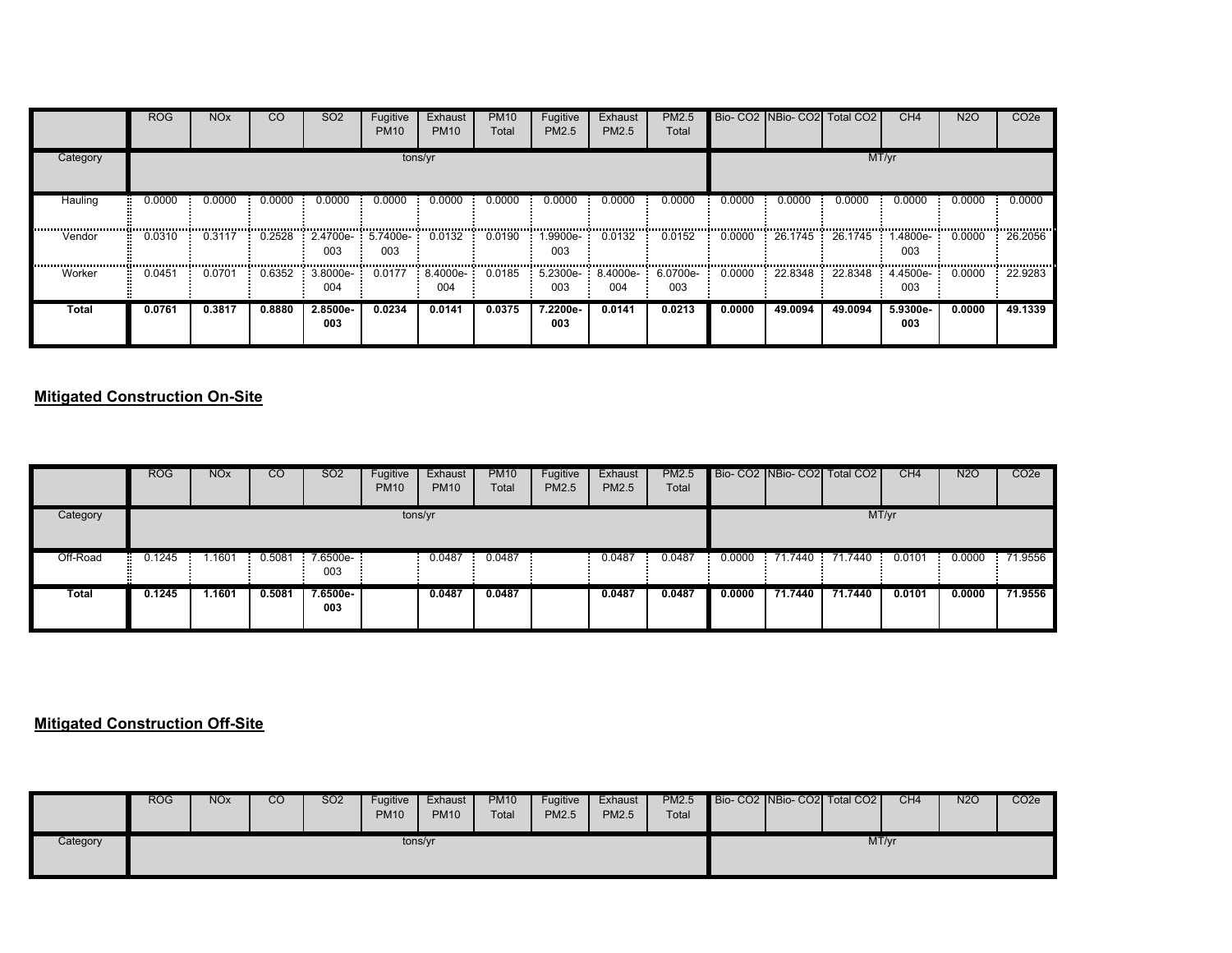|          | <b>ROG</b> | <b>NO<sub>x</sub></b> | CO     | SO <sub>2</sub> | Fugitive<br><b>PM10</b> | Exhaust<br><b>PM10</b> | <b>PM10</b><br>Total | Fugitive<br>PM2.5 | Exhaust<br>PM2.5 | PM2.5<br>Total                                                                                                                                              |        | Bio- CO2 NBio- CO2 | Total CO <sub>2</sub> | CH <sub>4</sub> | <b>N2O</b> | CO <sub>2e</sub> |
|----------|------------|-----------------------|--------|-----------------|-------------------------|------------------------|----------------------|-------------------|------------------|-------------------------------------------------------------------------------------------------------------------------------------------------------------|--------|--------------------|-----------------------|-----------------|------------|------------------|
| Category |            |                       |        |                 |                         | tons/yr                |                      |                   |                  |                                                                                                                                                             |        |                    |                       | MT/yr           |            |                  |
| Hauling  | 0.0000     | 0.0000                | 0.0000 | 0.0000          | 0.0000                  | 0.0000                 | 0.0000               | 0.0000            | 0.0000           | 0.0000                                                                                                                                                      | 0.0000 | 0.0000             | 0.0000                | 0.0000          | 0.0000     | 0.0000           |
| Vendor   | 0.0310     | 0.3117                | 0.2528 | 2.4700e-<br>003 | 5.7400e-<br>003         | 0.0132                 | 0.0190               | -.9900e.<br>003   | 0.0132           | 0.0152                                                                                                                                                      | 0.0000 | 26.1745            | 26.1745               | 1.4800e-<br>003 | 0.0000     | 26.2056          |
| Worker   | 0.0451     | 0.0701                | 0.6352 | 3.8000e-<br>004 |                         | 004                    |                      | 003               | 004              | $0.0177$ $\div$ 8.4000e $\div$ 0.0185 $\div$ 5.2300e $\div$ 8.4000e $\div$ 6.0700e $\div$ 0.0000 $\div$ 22.8348 $\div$ 22.8348 $\div$ 4.4500e $\div$<br>003 |        |                    |                       | 003             | 0.0000     | 22.9283          |
| Total    | 0.0761     | 0.3817                | 0.8880 | 2.8500e-<br>003 | 0.0234                  | 0.0141                 | 0.0375               | 7.2200e-<br>003   | 0.0141           | 0.0213                                                                                                                                                      | 0.0000 | 49.0094            | 49.0094               | 5.9300e-<br>003 | 0.0000     | 49.1339          |

### **Mitigated Construction On-Site**

|          | <b>ROG</b> | <b>NO<sub>x</sub></b> | <b>CO</b> | <b>SO2</b>        | Fugitive<br><b>PM10</b> | Exhaust<br><b>PM10</b> | <b>PM10</b><br>Total | Fugitive<br><b>PM2.5</b> | Exhaust<br><b>PM2.5</b> | <b>PM2.5</b><br>Total |        |         | Bio- CO2 NBio- CO2 Total CO2 | CH4    | <b>N2O</b> | CO <sub>2</sub> e |
|----------|------------|-----------------------|-----------|-------------------|-------------------------|------------------------|----------------------|--------------------------|-------------------------|-----------------------|--------|---------|------------------------------|--------|------------|-------------------|
| Category |            |                       |           |                   | tons/yr                 |                        |                      |                          |                         |                       |        |         |                              | MT/yr  |            |                   |
| Off-Road | 0.1245     | .1601                 | 0.5081    | $7.6500e-$<br>003 |                         | 0.0487                 | 0.0487               |                          | 0.0487                  | 0.0487                | 0.0000 |         | 71.7440 71.7440 0.0101       |        | 0.0000     | 71.9556           |
| Total    | 0.1245     | 1.1601                | 0.5081    | $7.6500e-$<br>003 |                         | 0.0487                 | 0.0487               |                          | 0.0487                  | 0.0487                | 0.0000 | 71.7440 | 71.7440                      | 0.0101 | 0.0000     | 71.9556           |

### **Mitigated Construction Off-Site**

|          | <b>ROG</b> | <b>NO<sub>x</sub></b> | CO | <b>SO2</b> | Fugitive<br><b>PM10</b> | Exhaust<br><b>PM10</b> | <b>PM10</b><br>Total | Fugitive<br><b>PM2.5</b> | Exhaust<br>PM2.5 | <b>PM2.5</b><br>Total |  | Bio- CO2 NBio- CO2 Total CO2 | CH <sub>4</sub> | <b>N2O</b> | CO <sub>2</sub> e |
|----------|------------|-----------------------|----|------------|-------------------------|------------------------|----------------------|--------------------------|------------------|-----------------------|--|------------------------------|-----------------|------------|-------------------|
| Category |            |                       |    |            |                         | tons/yr                |                      |                          |                  |                       |  | MT/yr                        |                 |            |                   |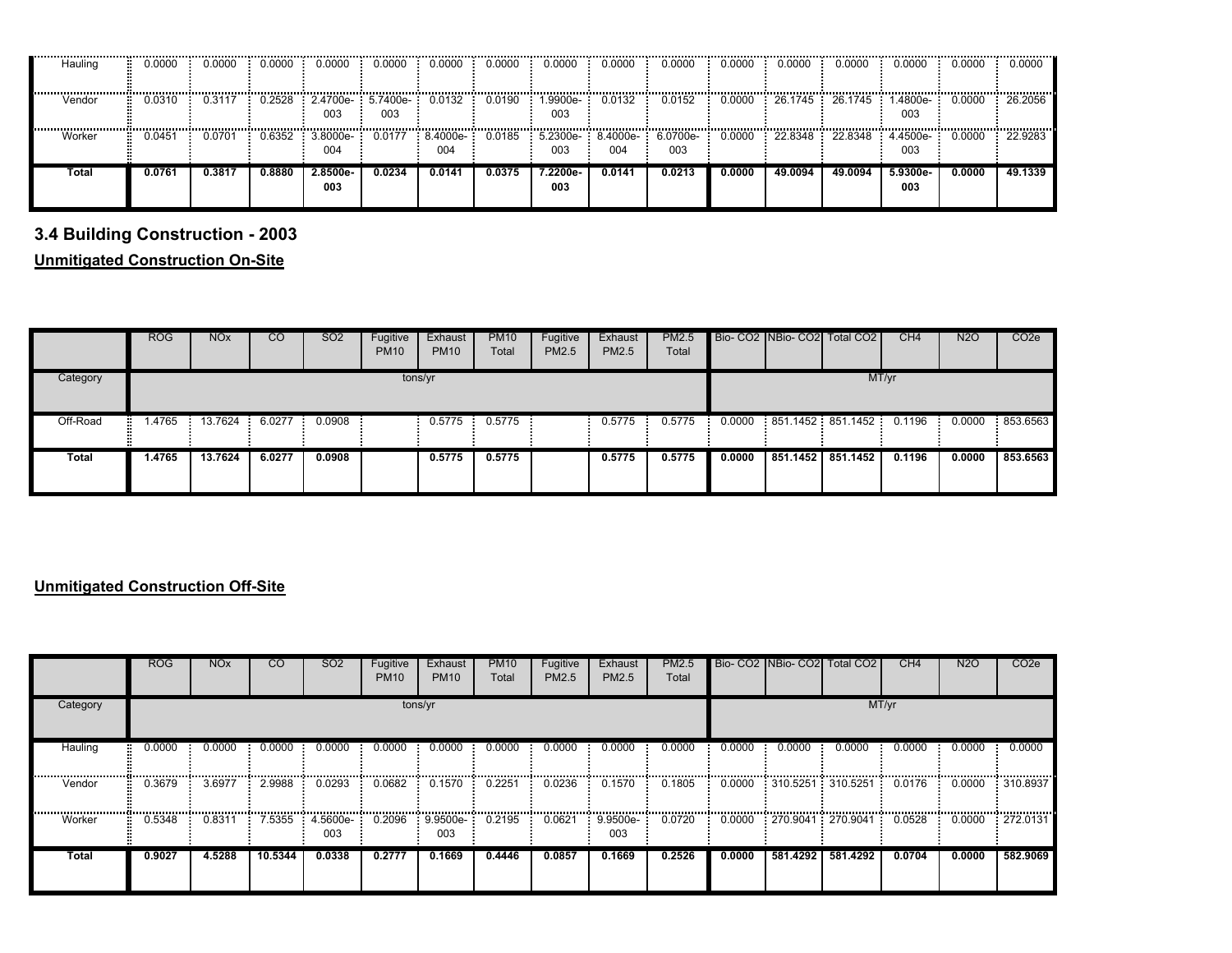| Hauling | 0.0000 | 0.0000 | 0.0000 | 0.0000                                   | 0.0000 | 0.0000             | 0.0000 | 0.0000                                | 0.0000 | 0.0000 | 0.0000 | 0.0000  | 0.0000                     | 0.0000             | 0.0000 | 0.0000    |
|---------|--------|--------|--------|------------------------------------------|--------|--------------------|--------|---------------------------------------|--------|--------|--------|---------|----------------------------|--------------------|--------|-----------|
| Vendor  | 0.0310 | 0.3117 |        | $0.2528$ 2.4700e- 5.7400e- 0.0132<br>003 | 003    |                    | 0.0190 | $1.9900e-0.0132$                      |        | 0.0152 | 0.0000 |         | $26.1745$ 26.1745 1.4800e- | 003                | 0.0000 | : 26.2056 |
| Worker  | 0451.  | 0.0701 | 0.6352 | 3.8000e-<br>004                          | 0.0177 | $-8.4000e-$<br>004 | 0.0185 | $-5.2300e - 8.4000e - 6.0700e$<br>003 | 004    | 003    | 0.0000 | 22.8348 | 22.8348                    | $-4.4500e-$<br>003 | 0.0000 | 22.9283   |
| Total   | 0.0761 | 0.3817 | 0.8880 | 2.8500e-<br>003                          | 0.0234 | 0.0141             | 0.0375 | 7.2200e-<br>003                       | 0.0141 | 0.0213 | 0.0000 | 49.0094 | 49.0094                    | 5.9300e-<br>003    | 0.0000 | 49.1339   |

# **3.4 Building Construction - 2003**

**Unmitigated Construction On-Site**

|          | <b>ROG</b> | <b>NO<sub>x</sub></b> | <sub>CO</sub> | SO <sub>2</sub> | Fugitive<br><b>PM10</b> | Exhaust<br><b>PM10</b> | <b>PM10</b><br>Total | Fugitive<br>PM2.5 | Exhaust<br>PM2.5 | PM2.5<br>Total |        | Bio- CO2 NBio- CO2 Total CO2             | CH <sub>4</sub> | N2O    | CO <sub>2</sub> e |
|----------|------------|-----------------------|---------------|-----------------|-------------------------|------------------------|----------------------|-------------------|------------------|----------------|--------|------------------------------------------|-----------------|--------|-------------------|
| Category |            |                       |               |                 | tons/yr                 |                        |                      |                   |                  |                |        |                                          | MT/yr           |        |                   |
| Off-Road |            | 1.4765 13.7624        | 6.0277        | 0.0908          |                         |                        | $0.5775$ : 0.5775    |                   | 0.5775           | 0.5775         |        | $0.0000$ 851.1452 851.1452 0.1196 0.0000 |                 |        | 853.6563          |
| Total    | 1.4765     | 13.7624               | 6.0277        | 0.0908          |                         | 0.5775                 | 0.5775               |                   | 0.5775           | 0.5775         | 0.0000 | 851.1452 851.1452                        | 0.1196          | 0.0000 | 853,6563          |

### **Unmitigated Construction Off-Site**

|              | <b>ROG</b> | <b>NO<sub>x</sub></b> | <sub>CO</sub> | SO <sub>2</sub>        | Fugitive<br><b>PM10</b> | Exhaust<br><b>PM10</b>         | <b>PM10</b><br>Total | Fugitive<br><b>PM2.5</b> | Exhaust<br>PM2.5  | PM2.5<br>Total |        |          | Bio- CO2 NBio- CO2 Total CO2 | CH4    | N <sub>2</sub> O | CO <sub>2e</sub> |
|--------------|------------|-----------------------|---------------|------------------------|-------------------------|--------------------------------|----------------------|--------------------------|-------------------|----------------|--------|----------|------------------------------|--------|------------------|------------------|
| Category     |            |                       |               |                        |                         | tons/yr                        |                      |                          |                   |                |        |          |                              | MT/yr  |                  |                  |
| Hauling      | 0.0000     | 0.0000                | 0.0000        | 0.0000                 | 0.0000                  | 0.0000                         | 0.0000               | 0.0000                   | 0.0000            | 0.0000         | 0.0000 | 0.0000   | 0.0000                       | 0.0000 | 0.0000           | 0.0000           |
| Vendor       | 0.3679     | 3.6977                | 2.9988        | 0.0293                 | 0.0682                  | 0.1570                         | 0.2251               | 0.0236                   | 0.1570            | 0.1805         | 0.0000 |          | 310.5251 310.5251            | 0.0176 | 0.0000           | 310.8937         |
| Worker       | 0.5348     | 0.8311                |               | 7.5355 4.5600e-<br>003 |                         | 0.2096  9.9500e  0.2195<br>003 |                      | 0.0621                   | $9.9500e-$<br>003 | 0.0720         |        |          | 0.0000 270.9041 270.9041     | 0.0528 | 0.0000           | 272.0131         |
| <b>Total</b> | 0.9027     | 4.5288                | 10.5344       | 0.0338                 | 0.2777                  | 0.1669                         | 0.4446               | 0.0857                   | 0.1669            | 0.2526         | 0.0000 | 581.4292 | 581.4292                     | 0.0704 | 0.0000           | 582.9069         |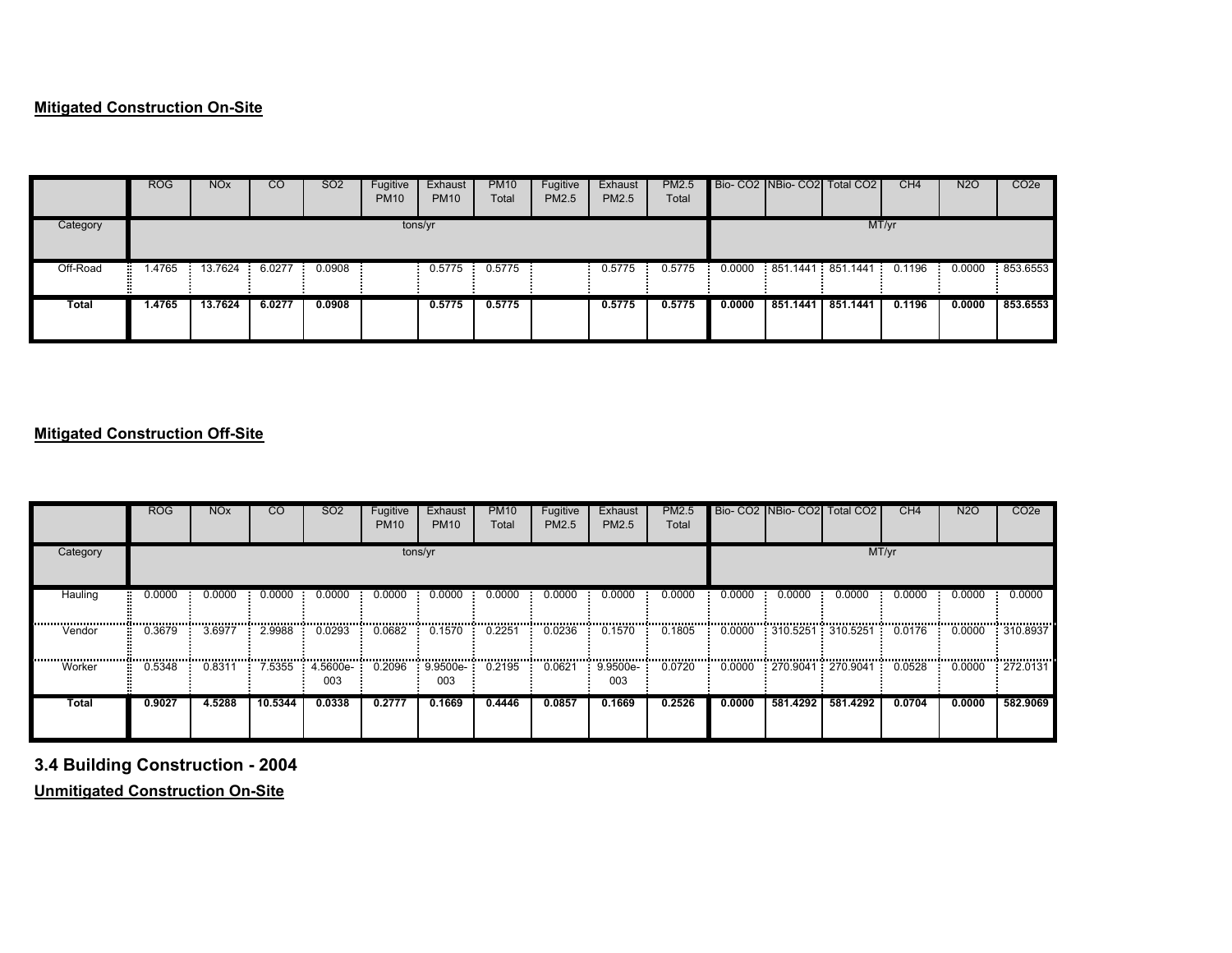### **Mitigated Construction On-Site**

|              | <b>ROG</b>     | <b>NO<sub>x</sub></b> | <sub>CO</sub> | SO <sub>2</sub> | Fugitive<br><b>PM10</b> | Exhaust<br><b>PM10</b> | <b>PM10</b><br>Total | Fugitive<br>PM2.5 | Exhaust<br><b>PM2.5</b> | PM2.5<br>Total |        |          | Bio-CO2 NBio-CO2 Total CO2        | CH <sub>4</sub> | N2O    | CO <sub>2</sub> e |
|--------------|----------------|-----------------------|---------------|-----------------|-------------------------|------------------------|----------------------|-------------------|-------------------------|----------------|--------|----------|-----------------------------------|-----------------|--------|-------------------|
| Category     |                |                       |               |                 |                         | tons/yr                |                      |                   |                         |                |        |          |                                   | MT/yr           |        |                   |
| Off-Road     | $\sqrt{.4765}$ | 13.7624               | 6.0277        | 0.0908          |                         | 0.5775                 | 0.5775               |                   | 0.5775                  | 0.5775         |        |          | $0.0000$ 851.1441 851.1441 0.1196 |                 | 0.0000 | 853.6553          |
| <b>Total</b> | 1.4765         | 13.7624               | 6.0277        | 0.0908          |                         | 0.5775                 | 0.5775               |                   | 0.5775                  | 0.5775         | 0.0000 | 851.1441 | 851.1441                          | 0.1196          | 0.0000 | 853.6553          |

# **Mitigated Construction Off-Site**

|          | <b>ROG</b> | <b>NO<sub>x</sub></b> | $\overline{c}$ | <b>SO2</b>      | Fugitive<br><b>PM10</b> | Exhaust<br><b>PM10</b> | <b>PM10</b><br>Total | Fugitive<br>PM2.5 | Exhaust<br>PM2.5  | <b>PM2.5</b><br>Total |        |          | Bio- CO2 INBio- CO2 Total CO2    | CH4    | <b>N2O</b>               | CO <sub>2</sub> e |
|----------|------------|-----------------------|----------------|-----------------|-------------------------|------------------------|----------------------|-------------------|-------------------|-----------------------|--------|----------|----------------------------------|--------|--------------------------|-------------------|
| Category |            |                       |                |                 |                         | tons/yr                |                      |                   |                   |                       |        |          |                                  | MT/yr  |                          |                   |
| Hauling  | 0.0000     | 0.0000                | 0.0000         | 0.0000          | 0.0000                  | 0.0000<br>             | 0.0000               | 0.0000            | 0.0000            | 0.0000                | 0.0000 | 0.0000   | 0.0000                           | 0.0000 | 0.0000                   | 0.0000            |
| Vendor   | 0.3679     | 3.6977                | 2.9988         | 0.0293          | 0.0682                  | 0.1570                 | 0.2251               | 0.0236            | 0.1570            | 0.1805                | 0.0000 |          | : 310.5251 : 310.5251 :          | 0.0176 | ,,,,,,,,,,,,,,<br>0.0000 | 310.8937          |
| Worker   | 0.5348     | 0.8311                | 7.5355         | 4.5600e-<br>003 | 0.2096                  | $: 9.9500e-1$<br>003   | 0.2195               | 0.0621            | $9.9500e-$<br>003 | 0.0720                |        |          | $0.0000$ : 270.9041 : 270.9041 : | 0.0528 | 0.0000                   | $-272.0131$       |
| Total    | 0.9027     | 4.5288                | 10.5344        | 0.0338          | 0.2777                  | 0.1669                 | 0.4446               | 0.0857            | 0.1669            | 0.2526                | 0.0000 | 581.4292 | 581.4292                         | 0.0704 | 0.0000                   | 582.9069          |

**3.4 Building Construction - 2004**

**Unmitigated Construction On-Site**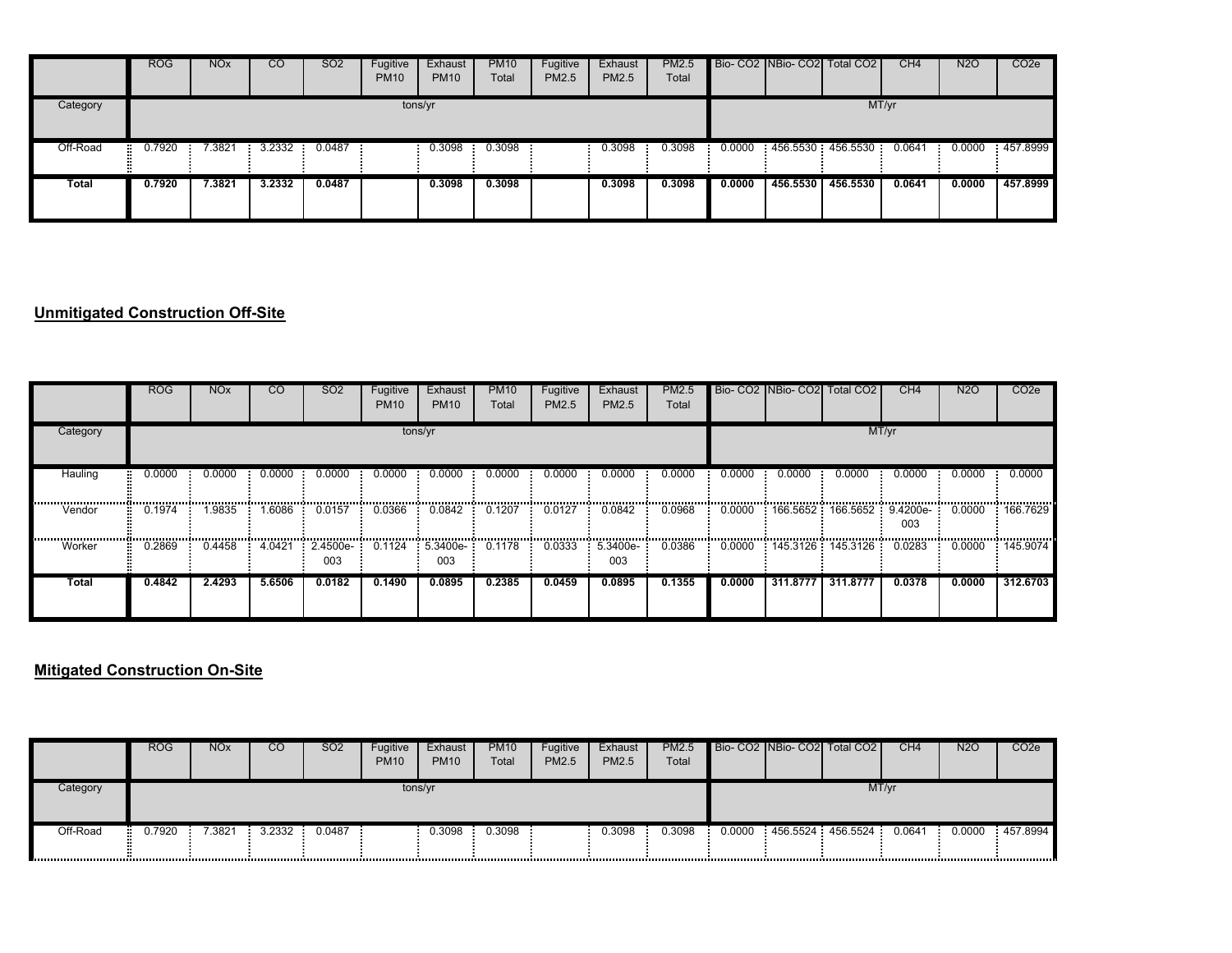|              | <b>ROG</b> | <b>NO<sub>x</sub></b> | $\overline{c}$ | <b>SO2</b> | Fugitive<br><b>PM10</b> | Exhaust<br><b>PM10</b> | <b>PM10</b><br>Total | Fugitive<br>PM2.5 | Exhaust<br><b>PM2.5</b> | <b>PM2.5</b><br>Total |        |          | Bio- CO2 NBio- CO2 Total CO2 | CH4    | <b>N2O</b> | CO <sub>2</sub> e |
|--------------|------------|-----------------------|----------------|------------|-------------------------|------------------------|----------------------|-------------------|-------------------------|-----------------------|--------|----------|------------------------------|--------|------------|-------------------|
| Category     |            |                       |                |            |                         | tons/yr                |                      |                   |                         |                       |        |          |                              | MT/yr  |            |                   |
| Off-Road     | 0.7920     | 7.3821                | 3.2332         | 0.0487     |                         | 0.3098                 | 0.3098               |                   | 0.3098                  | 0.3098                | 0.0000 |          | 456.5530 456.5530            | 0.0641 | 0.0000     | 457.8999          |
| <b>Total</b> | 0.7920     | 7.3821                | 3.2332         | 0.0487     |                         | 0.3098                 | 0.3098               |                   | 0.3098                  | 0.3098                | 0.0000 | 456,5530 | 456,5530                     | 0.0641 | 0.0000     | 457.8999          |

### **Unmitigated Construction Off-Site**

|                | <b>ROG</b> | <b>NO<sub>x</sub></b> | <sub>CO</sub> | SO <sub>2</sub>    | Fugitive<br><b>PM10</b> | Exhaust<br><b>PM10</b>        | <b>PM10</b><br>Total | Fugitive<br><b>PM2.5</b> | Exhaust<br>PM2.5    | PM2.5<br>Total |        |          | Bio- CO2 NBio- CO2 Total CO2 | CH <sub>4</sub> | <b>N2O</b> | CO <sub>2</sub> e |
|----------------|------------|-----------------------|---------------|--------------------|-------------------------|-------------------------------|----------------------|--------------------------|---------------------|----------------|--------|----------|------------------------------|-----------------|------------|-------------------|
| Category       |            |                       |               |                    |                         | tons/yr                       |                      |                          |                     |                |        |          |                              | MT/yr           |            |                   |
| Hauling        | 0.0000     | 0.0000                | 0.0000        | 0.0000             | 0.0000                  | 0.0000                        | 0.0000               | 0.0000                   | 0.0000              | 0.0000         | 0.0000 | 0.0000   | 0.0000                       | 0.0000          | 0.0000     | 0.0000            |
| <br>Vendor<br> | 0.1974     | .9835                 | 1.6086        | 0.0157             | 0.0366                  | 0.0842                        | 0.1207               | 0.0127                   | 0.0842              | 0.0968         | 0.0000 |          | 166.5652 166.5652            | 9.4200e-<br>003 | 0.0000     | 166.7629          |
| Worker         | 0.2869     | 0.4458                | 4.0421        | $2.4500e-7$<br>003 |                         | 0.1124 5.3400e- 0.1178<br>003 |                      | 0.0333                   | $: 5.3400e-$<br>003 | 0.0386         |        |          | $0.0000$ 145.3126 145.3126 1 | 0.0283          | 0.0000     | <br>145.9074      |
| Total          | 0.4842     | 2.4293                | 5.6506        | 0.0182             | 0.1490                  | 0.0895                        | 0.2385               | 0.0459                   | 0.0895              | 0.1355         | 0.0000 | 311.8777 | 311.8777                     | 0.0378          | 0.0000     | 312.6703          |

### **Mitigated Construction On-Site**

|          | <b>ROG</b> | <b>NO<sub>x</sub></b> | CO     | <b>SO2</b> | Fugitive<br><b>PM10</b> | Exhaust<br><b>PM10</b> | <b>PM10</b><br>Total | Fugitive<br>PM2.5 | Exhaust<br>PM2.5 | PM2.5<br>Total |        | Bio- CO2 NBio- CO2 Total CO2 | CH4    | N <sub>2</sub> O | CO <sub>2</sub> e |
|----------|------------|-----------------------|--------|------------|-------------------------|------------------------|----------------------|-------------------|------------------|----------------|--------|------------------------------|--------|------------------|-------------------|
| Category |            |                       |        |            | tons/yr                 |                        |                      |                   |                  |                |        |                              | MT/yr  |                  |                   |
| Off-Road | 0.7920     | .3821                 | 3.2332 | 0.0487     |                         | 0.3098                 | 0.3098               |                   | 0.3098           | 0.3098         | 0.0000 | 456.5524 456.5524            | 0.0641 | 0.0000           | 457.8994          |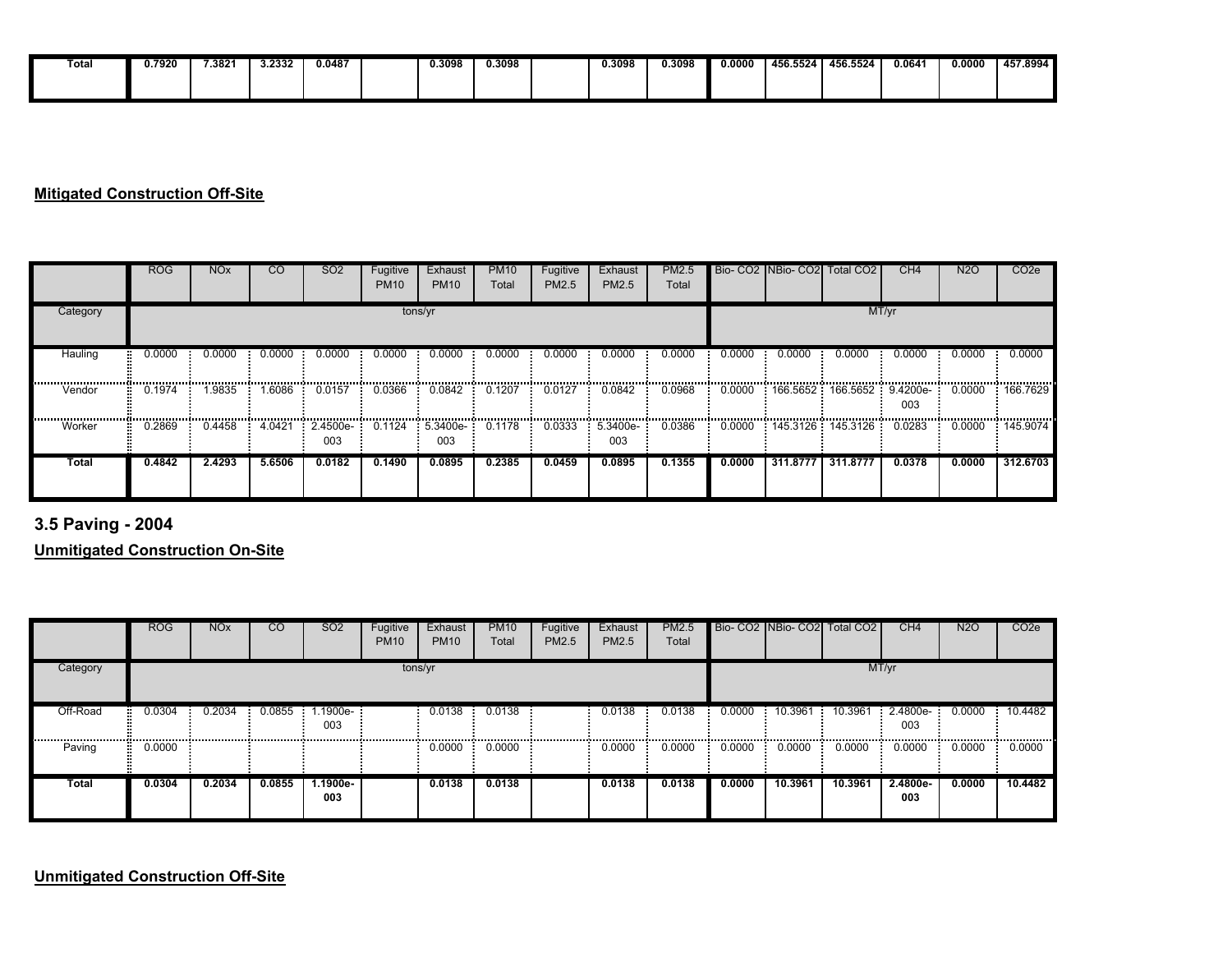| Total | .7920 | 7.3821 | 3.2332 | 0.0487 | 0.3098 | 0.3098 | 0.3098 | J.3098 | 0.0000 | 456.5524 | 456.5524 | 0.064' | 0.0000 | 457.8994 |
|-------|-------|--------|--------|--------|--------|--------|--------|--------|--------|----------|----------|--------|--------|----------|
|       |       |        |        |        |        |        |        |        |        |          |          |        |        |          |

### **Mitigated Construction Off-Site**

|          | <b>ROG</b> | <b>NO<sub>x</sub></b> | <sub>CO</sub> | SO <sub>2</sub>   | Fugitive<br><b>PM10</b> | Exhaust<br><b>PM10</b>     | <b>PM10</b><br>Total | Fugitive<br><b>PM2.5</b> | Exhaust<br>PM2.5  | PM2.5<br>Total |        |            | Bio- CO2 INBio- CO2 Total CO2      | CH4    | <b>N2O</b> | CO <sub>2e</sub> |
|----------|------------|-----------------------|---------------|-------------------|-------------------------|----------------------------|----------------------|--------------------------|-------------------|----------------|--------|------------|------------------------------------|--------|------------|------------------|
| Category |            |                       |               |                   | tons/yr                 |                            |                      |                          |                   |                |        |            | MT/yr                              |        |            |                  |
| Hauling  | 0.0000     | 0.0000                | 0.0000        | 0.0000            | 0.0000                  | 0.0000                     | 0.0000               | 0.0000                   | 0.0000            | 0.0000         | 0.0000 | 0.0000     | 0.0000                             | 0.0000 | 0.0000     | 0.0000           |
| Vendor   | 0.1974     | 1.9835                | .6086         | 0.0157            | 0.0366                  | 0.0842                     | 0.1207               | 0.0127                   | 0.0842            | 0.0968         | 0.0000 |            | 166.5652  166.5652  9.4200e-       | 003    | 0.0000     | 166.7629         |
| Worker   | 0.2869     | 0.4458                | 4.0421        | $2.4500e-$<br>003 |                         | $0.1124 - 5.3400e-$<br>003 | 0.1178               | 0.0333                   | $5.3400e-$<br>003 | 0.0386         |        |            | 0.0000  145.3126  145.3126  0.0283 |        | 0.0000     | 145,9074         |
| Total    | 0.4842     | 2.4293                | 5.6506        | 0.0182            | 0.1490                  | 0.0895                     | 0.2385               | 0.0459                   | 0.0895            | 0.1355         | 0.0000 | 311.8777 I | 311.8777                           | 0.0378 | 0.0000     | 312.6703         |

**3.5 Paving - 2004**

**Unmitigated Construction On-Site**

|             | <b>ROG</b> | <b>NO<sub>x</sub></b> | CO         | SO <sub>2</sub> | Fugitive<br><b>PM10</b> | Exhaust<br><b>PM10</b> | <b>PM10</b><br>Total | Fugitive<br><b>PM2.5</b> | Exhaust<br>PM2.5 | PM2.5<br>Total |        |             | Bio- CO2 NBio- CO2 Total CO2 | CH4                | <b>N2O</b> | CO <sub>2e</sub> |
|-------------|------------|-----------------------|------------|-----------------|-------------------------|------------------------|----------------------|--------------------------|------------------|----------------|--------|-------------|------------------------------|--------------------|------------|------------------|
| Category    |            |                       |            |                 | tons/yr                 |                        |                      |                          |                  |                |        |             | MT/yr                        |                    |            |                  |
| Off-Road    | 0.0304     | 0.2034<br>            | $0.0855$ : | 1.1900e-<br>003 |                         | $0.0138$ :<br>         | 0.0138<br>           |                          | 0.0138           | 0.0138<br>     | 0.0000 | 10.3961     | 10.3961                      | $2.4800e -$<br>003 | 0.0000     | 10.4482          |
| .<br>Paving | 0.0000     |                       |            |                 |                         | 0.0000                 | 0.0000               |                          | 0.0000           | 0.0000         | 0.0000 | .<br>0.0000 | .<br>0.0000                  | <br>0.0000         | 0.0000     | .<br>0.0000      |
| Total       | 0.0304     | 0.2034                | 0.0855     | 1.1900e-<br>003 |                         | 0.0138                 | 0.0138               |                          | 0.0138           | 0.0138         | 0.0000 | 10.3961     | 10.3961                      | 2.4800e-<br>003    | 0.0000     | 10.4482          |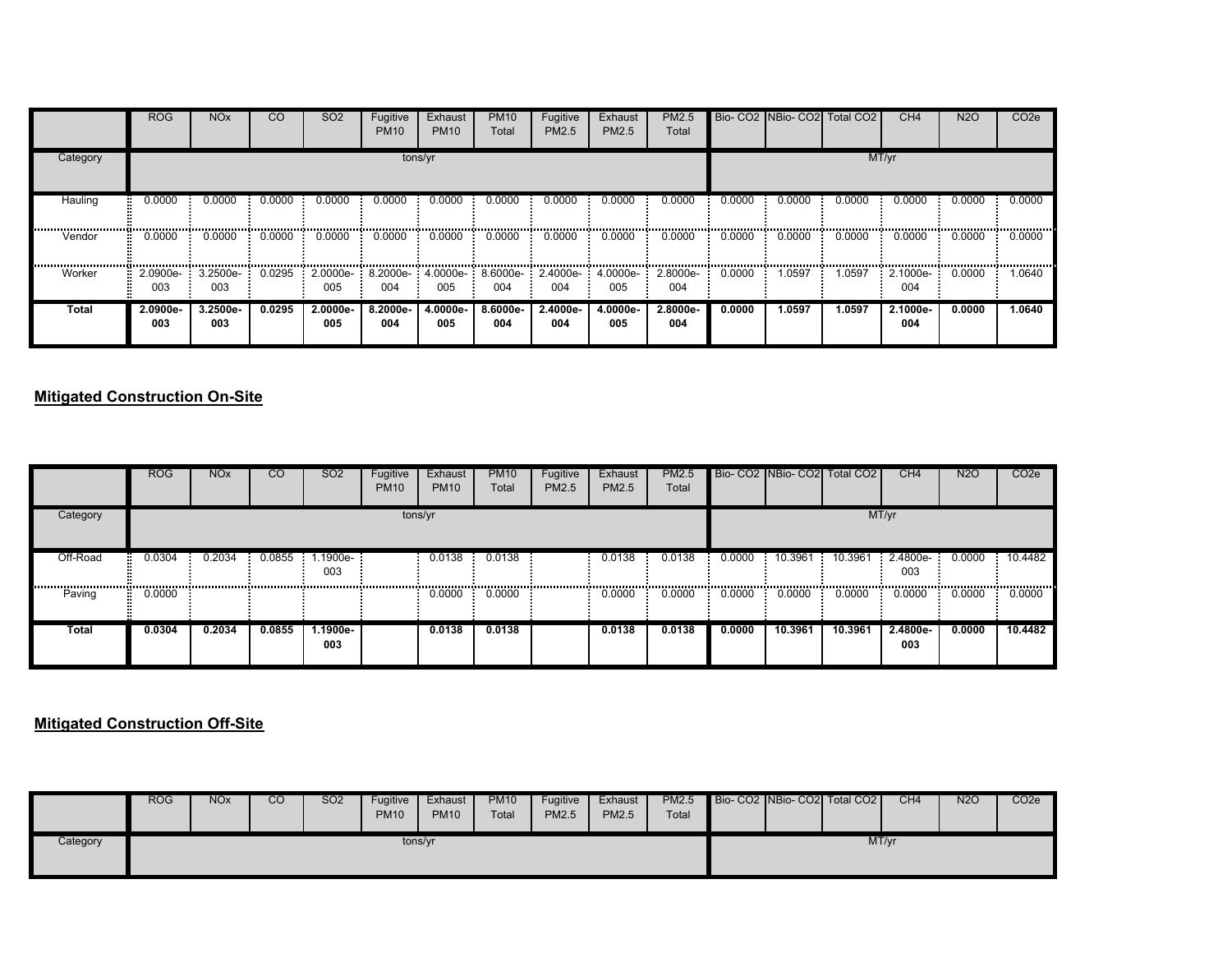|              | <b>ROG</b>      | <b>NO<sub>x</sub></b>     | <b>CO</b> | SO <sub>2</sub> | Fugitive<br><b>PM10</b> | Exhaust<br><b>PM10</b> | <b>PM10</b><br>Total | Fugitive<br>PM2.5 | Exhaust<br>PM2.5 | PM2.5<br>Total                                                               |        | Bio- CO2 NBio- CO2 | Total CO <sub>2</sub> | CH <sub>4</sub>                           | <b>N2O</b> | CO <sub>2e</sub> |
|--------------|-----------------|---------------------------|-----------|-----------------|-------------------------|------------------------|----------------------|-------------------|------------------|------------------------------------------------------------------------------|--------|--------------------|-----------------------|-------------------------------------------|------------|------------------|
| Category     |                 |                           |           |                 |                         | tons/yr                |                      |                   |                  |                                                                              |        |                    |                       | MT/yr                                     |            |                  |
| Hauling      | 0.0000          | 0.0000                    | 0.0000    | 0.0000          | 0.0000                  | 0.0000                 | 0.0000               | 0.0000            | 0.0000           | 0.0000                                                                       | 0.0000 | 0.0000             | 0.0000                | 0.0000                                    | 0.0000     | 0.0000           |
| Vendor       | 0.0000          | 0.0000                    | 0.0000    | 0.0000          | 0.0000                  | 0.0000                 | 0.0000               | 0.0000            | 0.0000           | 0.0000                                                                       | 0.0000 | 0.0000             | 0.0000                | 0.0000                                    | 0.0000     | 0.0000           |
| Worker       | 003             | $2.0900e-3.2500e-$<br>003 | 0.0295    | 005             | 004                     | 005                    | 004                  | 004               | 005              | 2.0000e-: 8.2000e-: 4.0000e-: 8.6000e-: 2.4000e-: 4.0000e-: 2.8000e-:<br>004 | 0.0000 | 1.0597             | 1.0597                | $\therefore$ 2.1000e- $\therefore$<br>004 | 0.0000     | 1.0640           |
| <b>Total</b> | 2.0900e-<br>003 | 3.2500e-<br>003           | 0.0295    | 2.0000e-<br>005 | 8.2000e-<br>004         | 4.0000e-<br>005        | 8.6000e-<br>004      | 2.4000e-<br>004   | 4.0000e-<br>005  | 2.8000e-<br>004                                                              | 0.0000 | 1.0597             | 1.0597                | 2.1000e-<br>004                           | 0.0000     | 1.0640           |

### **Mitigated Construction On-Site**

|              | <b>ROG</b> | <b>NO<sub>x</sub></b> | <b>CO</b> | SO <sub>2</sub>         | Fugitive<br><b>PM10</b> | Exhaust<br><b>PM10</b> | <b>PM10</b><br>Total | Fugitive<br>PM2.5 | Exhaust<br>PM2.5 | PM2.5<br>Total |                |         | Bio- CO2 NBio- CO2 Total CO2 | CH <sub>4</sub>   | <b>N2O</b> | CO <sub>2e</sub> |
|--------------|------------|-----------------------|-----------|-------------------------|-------------------------|------------------------|----------------------|-------------------|------------------|----------------|----------------|---------|------------------------------|-------------------|------------|------------------|
| Category     |            |                       |           |                         | tons/yr                 |                        |                      |                   |                  |                |                |         | MT/yr                        |                   |            |                  |
| Off-Road     | 0.0304     | 0.2034                | 0.0855    | $1.1900e-$<br>н.<br>003 |                         | 0.0138                 | 0.0138               |                   | 0.0138           | 0.0138         | 0.0000<br>- 61 | 10.3961 | 10.3961                      | $2.4800e-$<br>003 | 0.0000     | 10.4482          |
| Paving<br>22 | 0.0000     |                       | .         |                         |                         | $0.0000$ 0.0000        |                      |                   | 0.0000           | 0.0000         | 0.0000         | 0.0000  | 0.0000                       | 0.0000            | 0.0000     | 0.0000           |
| Total        | 0.0304     | 0.2034                | 0.0855    | 1.1900e-<br>003         |                         | 0.0138                 | 0.0138               |                   | 0.0138           | 0.0138         | 0.0000         | 10.3961 | 10.3961                      | 2.4800e-<br>003   | 0.0000     | 10.4482          |

### **Mitigated Construction Off-Site**

|          | <b>ROG</b> | <b>NO<sub>x</sub></b> | CO | <b>SO2</b> | Fugitive<br><b>PM10</b> | Exhaust<br><b>PM10</b> | <b>PM10</b><br>Total | Fugitive<br><b>PM2.5</b> | Exhaust<br>PM2.5 | <b>PM2.5</b><br>Total |  | Bio- CO2 NBio- CO2 Total CO2 | CH <sub>4</sub> | <b>N2O</b> | CO <sub>2</sub> e |
|----------|------------|-----------------------|----|------------|-------------------------|------------------------|----------------------|--------------------------|------------------|-----------------------|--|------------------------------|-----------------|------------|-------------------|
| Category |            |                       |    |            |                         | tons/yr                |                      |                          |                  |                       |  | MT/yr                        |                 |            |                   |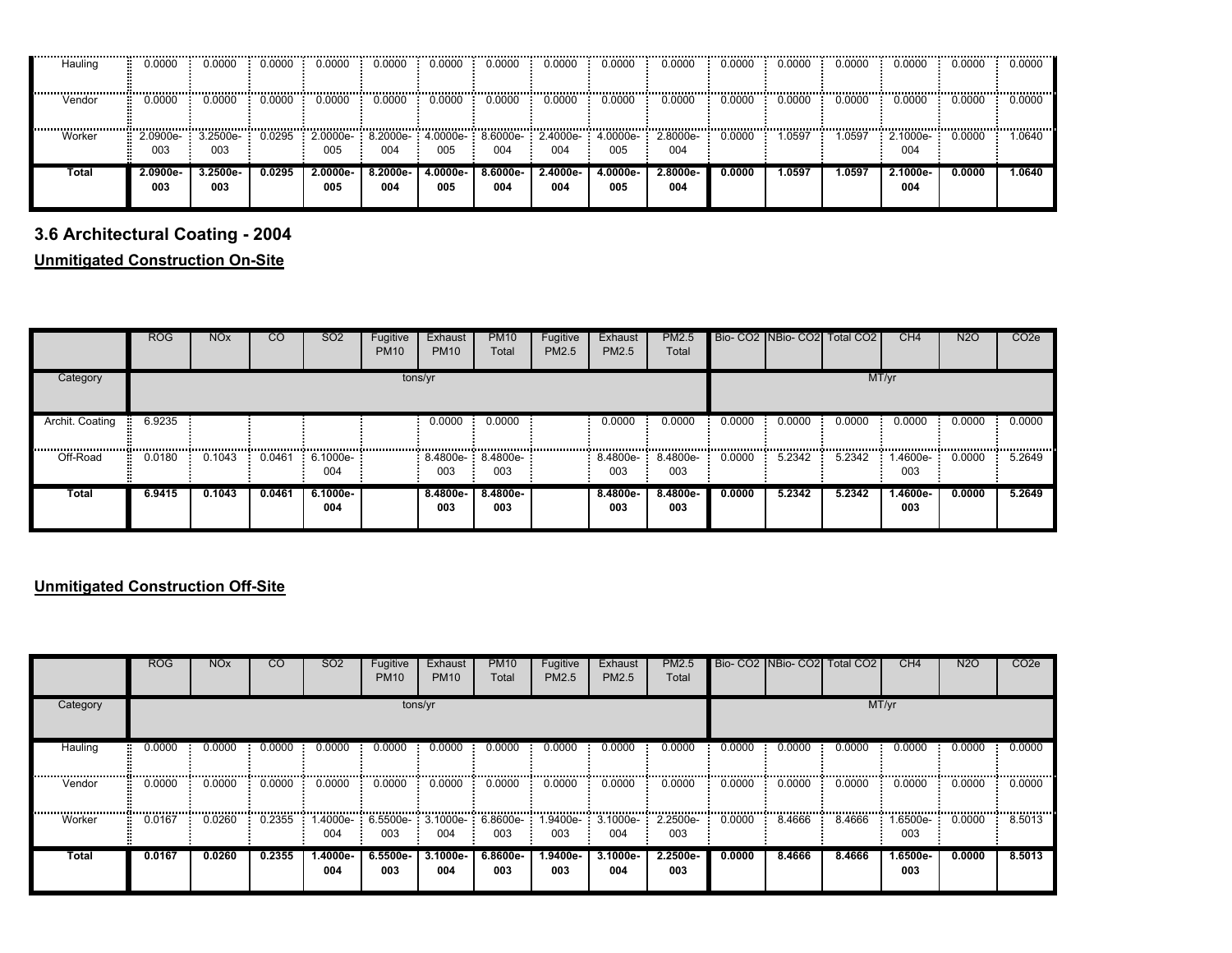| Hauling | 0.0000          | 0.0000          | 0.0000 | 0.0000          | 0.0000          | 0.0000          | 0.0000          | 0.0000          | 0.0000                                              | 0.0000          | 0.0000 | 0.0000 | 0.0000 | 0.0000          | 0.0000 | 0.0000 |
|---------|-----------------|-----------------|--------|-----------------|-----------------|-----------------|-----------------|-----------------|-----------------------------------------------------|-----------------|--------|--------|--------|-----------------|--------|--------|
| Vendor  | 0.0000          | 0.0000          | 0.0000 | 0.0000          | 0.0000          | 0.0000          | 0.0000          | 0.0000          | 0.0000                                              | 0.0000          | 0.0000 | 0.0000 | 0.0000 | 0.0000          | 0.0000 | 0.0000 |
| Worker  | 2.0900e-<br>003 | 3.2500e-<br>003 | 0.0295 | 2.0000e-<br>005 | 004             | 005             | 004             | 004             | 8.2000e- 4.0000e- 8.6000e- 2.4000e- 4.0000e-<br>005 | 2.8000e-<br>004 | 0.0000 | 1.0597 | 1.0597 | 2.1000e-<br>004 | 0.0000 | .0640  |
| Total   | 2.0900e-<br>003 | 3.2500e-<br>003 | 0.0295 | 2.0000e-<br>005 | 8.2000e-<br>004 | 4.0000e-<br>005 | 8.6000e-<br>004 | 2.4000e-<br>004 | 4.0000e-<br>005                                     | 2.8000e-<br>004 | 0.0000 | 1.0597 | 1.0597 | 2.1000e-<br>004 | 0.0000 | I.0640 |

# **3.6 Architectural Coating - 2004**

**Unmitigated Construction On-Site**

|                         | <b>ROG</b> | <b>NO<sub>x</sub></b> | <sub>CO</sub> | SO <sub>2</sub>   | Fugitive<br><b>PM10</b> | Exhaust<br><b>PM10</b>   | <b>PM10</b><br>Total | Fugitive<br>PM2.5 | Exhaust<br>PM2.5 | PM2.5<br>Total    |        |        | Bio- CO2 INBio- CO2 Total CO2 | CH <sub>4</sub>   | <b>N2O</b> | CO <sub>2</sub> e |
|-------------------------|------------|-----------------------|---------------|-------------------|-------------------------|--------------------------|----------------------|-------------------|------------------|-------------------|--------|--------|-------------------------------|-------------------|------------|-------------------|
| Category                |            |                       |               |                   | tons/yr                 |                          |                      |                   |                  |                   |        |        |                               | MT/yr             |            |                   |
| Archit. Coating<br>. н. | 6.9235     |                       |               |                   |                         | 0.0000                   | 0.0000               |                   | 0.0000           | 0.0000            | 0.0000 | 0.0000 | 0.0000                        | 0.0000            | 0.0000     | 0.0000            |
| Off-Road<br>÷           | 0.0180     | 0.1043                | 0.0461        | $6.1000e-$<br>004 |                         | 8.4800e- 8.4800e-<br>003 | 003                  |                   | 8.4800e-<br>003  | 8.4800e-<br>003   | 0.0000 | 5.2342 | 5.2342                        | 1.4600e-<br>003   | 0.0000     | 5.2649            |
| Total                   | 6.9415     | 0.1043                | 0.0461        | $6.1000e-$<br>004 |                         | 8.4800e-<br>003          | 8.4800e-<br>003      |                   | 8.4800e-<br>003  | $8.4800e-$<br>003 | 0.0000 | 5.2342 | 5.2342                        | $1.4600e-$<br>003 | 0.0000     | 5.2649            |

### **Unmitigated Construction Off-Site**

|          | <b>ROG</b> | <b>NO<sub>x</sub></b> | <sub>CO</sub> | SO <sub>2</sub> | Fugitive<br><b>PM10</b> | Exhaust<br><b>PM10</b> | <b>PM10</b><br>Total | Fugitive<br>PM2.5 | Exhaust<br><b>PM2.5</b>                                               | <b>PM2.5</b><br>Total |        |        | Bio- CO2 NBio- CO2 Total CO2 | CH4                    | N2O    | CO <sub>2</sub> e |
|----------|------------|-----------------------|---------------|-----------------|-------------------------|------------------------|----------------------|-------------------|-----------------------------------------------------------------------|-----------------------|--------|--------|------------------------------|------------------------|--------|-------------------|
| Category |            |                       |               |                 | tons/yr                 |                        |                      |                   |                                                                       |                       |        |        |                              | MT/yr                  |        |                   |
| Hauling  | 0.0000     | 0.0000                | 0.0000        | 0.0000          | 0.0000                  | 0.0000                 | 0.0000               | 0.0000            | 0.0000                                                                | 0.0000                | 0.0000 | 0.0000 | 0.0000                       | 0.0000                 | 0.0000 | 0.0000            |
| Vendor   | 0.0000     | 0.0000                | 0.0000        | 0.0000          | 0.0000                  | 0.0000                 | 0.0000               | 0.0000            | 0.0000                                                                | 0.0000                | 0.0000 | 0.0000 | 0.0000                       | 0.0000                 | 0.0000 | 0.0000            |
| Worker   | 0.0167     | 0.0260                | 0.2355        | 004             | 003                     | 004                    | 003                  | 003               | $1.4000e-$ : 6.5500e-: 3.1000e-: 6.8600e-: 1.9400e-: 3.1000e-:<br>004 | 2.2500e-<br>003       | 0.0000 | 8.4666 | 8.4666                       | 1.6500e- 0.0000<br>003 |        | 8.5013            |
| Total    | 0.0167     | 0.0260                | 0.2355        | 1.4000e-<br>004 | 6.5500e-<br>003         | 3.1000e-<br>004        | 6.8600e-<br>003      | .9400e-<br>003    | 3.1000e-<br>004                                                       | 2.2500e-<br>003       | 0.0000 | 8.4666 | 8.4666                       | 1.6500e-<br>003        | 0.0000 | 8.5013            |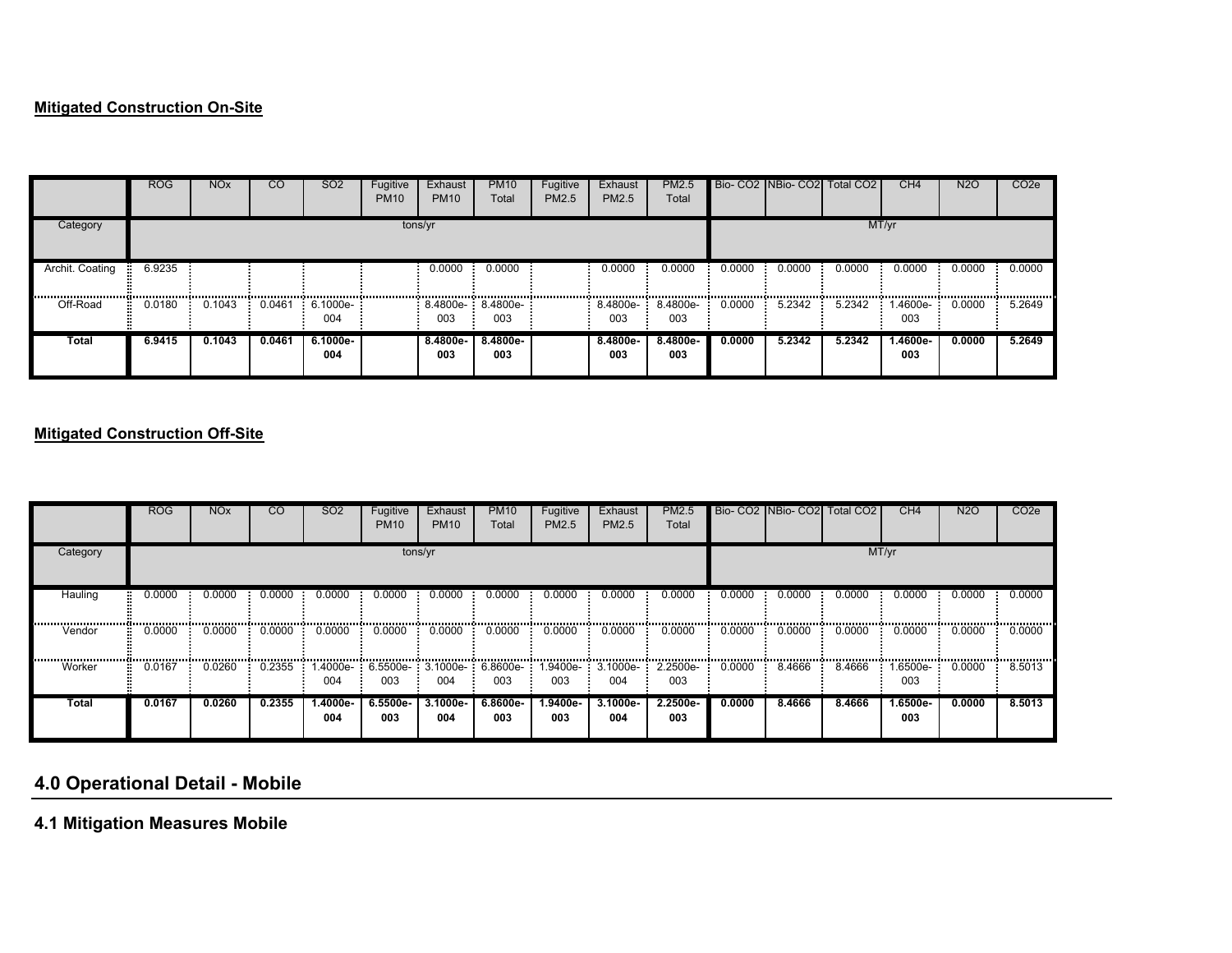### **Mitigated Construction On-Site**

|                 | <b>ROG</b> | <b>NO<sub>x</sub></b> | <sub>CO</sub> | <b>SO2</b>        | Fugitive<br><b>PM10</b> | Exhaust<br><b>PM10</b>   | <b>PM10</b><br>Total | Fugitive<br>PM2.5 | Exhaust<br>PM2.5 | <b>PM2.5</b><br>Total |        |        | Bio- CO2 NBio- CO2 Total CO2 | CH4                 | <b>N2O</b> | CO <sub>2</sub> e |
|-----------------|------------|-----------------------|---------------|-------------------|-------------------------|--------------------------|----------------------|-------------------|------------------|-----------------------|--------|--------|------------------------------|---------------------|------------|-------------------|
| Category        |            |                       |               |                   | tons/yr                 |                          |                      |                   |                  |                       |        |        |                              | MT/yr               |            |                   |
| Archit. Coating | 6.9235     |                       |               |                   |                         | 0.0000                   | 0.0000               |                   | 0.0000           | 0.0000                | 0.0000 | 0.0000 | 0.0000                       | 0.0000              | 0.0000     | 0.0000            |
| Off-Road        | 0.0180     | 0.1043                | 0.0461        | $6.1000e-$<br>004 |                         | 8.4800e- 8.4800e-<br>003 | .<br>003             |                   | 8.4800e-<br>003  | 8.4800e-<br>003       | 0.0000 | 5.2342 | 5.2342                       | <br>1.4600e-<br>003 | 0.0000     | 5.2649            |
| Total           | 6.9415     | 0.1043                | 0.0461        | $6.1000e-$<br>004 |                         | 8.4800e-<br>003          | 8.4800e-<br>003      |                   | 8.4800e-<br>003  | 8.4800e-<br>003       | 0.0000 | 5.2342 | 5.2342                       | 1.4600e-<br>003     | 0.0000     | 5.2649            |

### **Mitigated Construction Off-Site**

|              | <b>ROG</b> | <b>NO<sub>x</sub></b> | CO     | SO <sub>2</sub> | Fugitive<br><b>PM10</b> | Exhaust<br><b>PM10</b> | <b>PM10</b><br>Total | Fugitive<br>PM2.5                                            | Exhaust<br>PM2.5 | <b>PM2.5</b><br>Total |        |               | Bio- CO2 INBio- CO2 Total CO2 | CH <sub>4</sub>   | N <sub>2</sub> O | CO <sub>2</sub> e |
|--------------|------------|-----------------------|--------|-----------------|-------------------------|------------------------|----------------------|--------------------------------------------------------------|------------------|-----------------------|--------|---------------|-------------------------------|-------------------|------------------|-------------------|
| Category     |            |                       |        |                 |                         | tons/yr                |                      |                                                              |                  |                       |        |               |                               | MT/yr             |                  |                   |
| Hauling      | 0.0000     | 0.0000                | 0.0000 | 0.0000          | 0.0000                  | 0.0000                 | 0.0000               | 0.0000                                                       | 0.0000           | 0.0000                | 0.0000 | 0.0000<br>    | 0.0000                        | 0.0000            | 0.0000           | 0.0000            |
| Vendor       | 0.0000     | 0.0000                | 0.0000 | 0.0000          | 0.0000                  | 0.0000                 | 0.0000               | 0.0000                                                       | <br>0.0000       | 0.0000                | 0.0000 | 0.0000        | 0.0000                        | 0.0000            | 0.0000           | <br>0.0000        |
| Worker       | 0.0167     | 0.0260                | 0.2355 | 004             | 003                     | 004                    | 003                  | 1.4000e- 6.5500e- 3.1000e- 6.8600e- 1.9400e- 3.1000e-<br>003 | 004              | 2.2500e-<br>003       | 0.0000 | 8.4666<br>-91 | 8.4666                        | 1.6500e- -<br>003 | 0.0000           | 8.5013            |
| <b>Total</b> | 0.0167     | 0.0260                | 0.2355 | 1.4000e-<br>004 | 6.5500e-<br>003         | 3.1000e-<br>004        | 6.8600e-<br>003      | 1.9400e-<br>003                                              | 3.1000e-<br>004  | $2.2500e-$<br>003     | 0.0000 | 8.4666        | 8.4666                        | 1.6500e-<br>003   | 0.0000           | 8.5013            |

# **4.0 Operational Detail - Mobile**

**4.1 Mitigation Measures Mobile**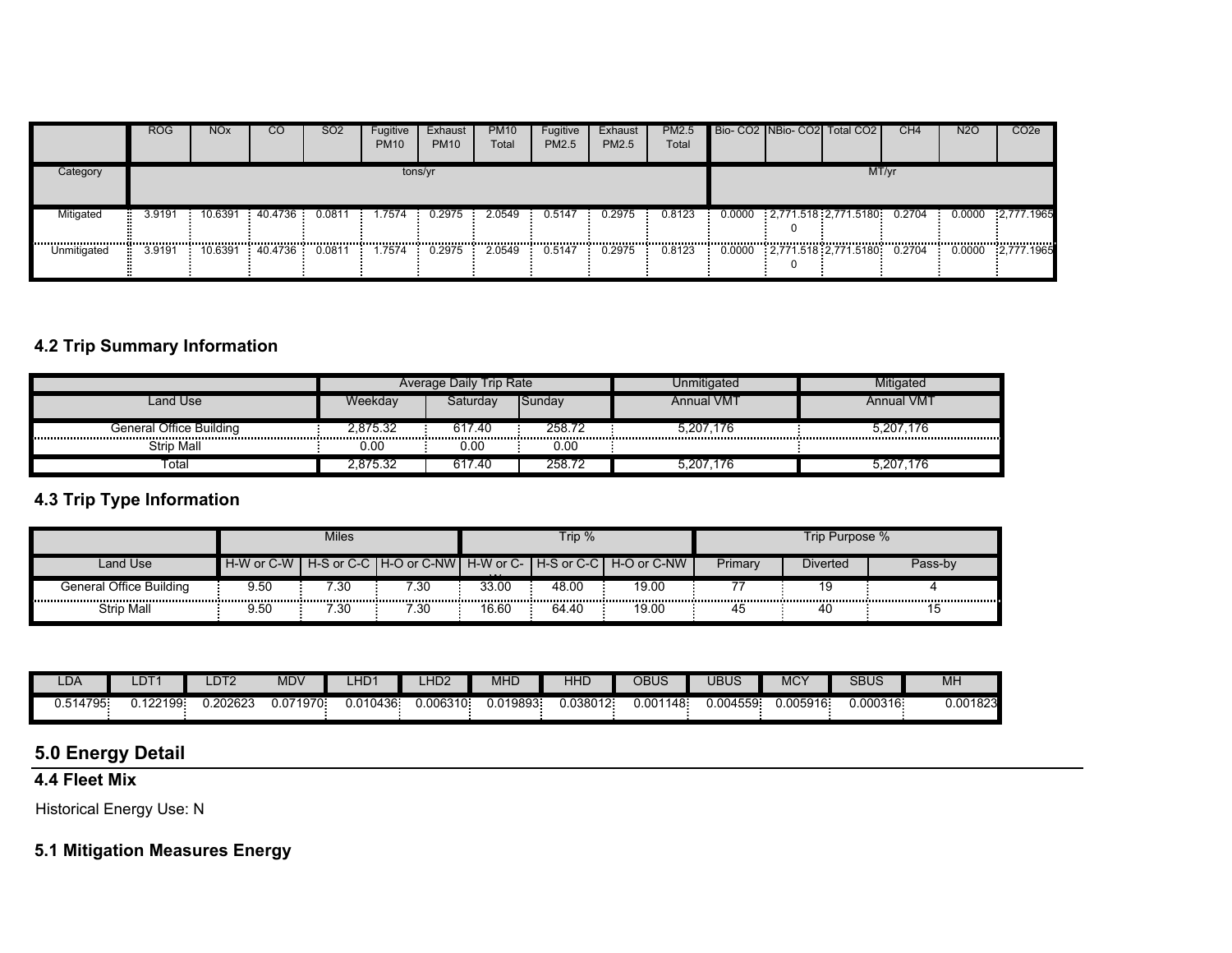|             | <b>ROG</b> | NO <sub>x</sub> | CO              | SO <sub>2</sub> | Fugitive<br><b>PM10</b> | Exhaust<br><b>PM10</b> | <b>PM10</b><br>Total | Fugitive<br>PM2.5 | Exhaust<br>PM2.5 | PM2.5<br>Total |  | Bio- CO2 NBio- CO2 Total CO2               | CH <sub>4</sub> | <b>N2O</b> | CO <sub>2</sub> e   |
|-------------|------------|-----------------|-----------------|-----------------|-------------------------|------------------------|----------------------|-------------------|------------------|----------------|--|--------------------------------------------|-----------------|------------|---------------------|
| Category    |            |                 |                 |                 | tons/yr                 |                        |                      |                   |                  |                |  |                                            | MT/yr           |            |                     |
| Mitigated   | 3.9191     |                 | 10.6391 40.4736 | 0.0811          | 1.7574                  | 0.2975                 | 2.0549               | 0.5147            | 0.2975           | 0.8123         |  | $0.0000$ $2.771.518$ $2.771.5180$ $0.2704$ |                 |            | $0.0000$ 2,777.1965 |
| Unmitigated | 3.9191     |                 | 10.6391 40.4736 | 0.0811          | 1.7574                  | 0.2975                 | 2.0549               | 0.5147            | 0.2975           | 0.8123         |  | 0.0000 2,771.518 2,771.5180 0.2704         |                 |            | 0.0000 2,777.1965   |

# **4.2 Trip Summary Information**

|                         |          | Average Daily Trip Rate |        | Unmitigated       | litigated  |
|-------------------------|----------|-------------------------|--------|-------------------|------------|
| Land Use                | Weekdav  | Saturdav                | Sunday | <b>Annual VMT</b> | Annual VMT |
| General Office Building | 2.875.32 | 617.40                  | 258.72 | 5,207,176         | 5,207,176  |
| <b>Strip Mall</b>       | 0.00     | 0.00                    | 0.00   |                   |            |
| Total                   | 2,875.32 | 617.40                  | 258.72 | 5.207.176         | 5.207.176  |

## **4.3 Trip Type Information**

|                         |            | Miles |      |          | Trip $%$ |                                                               |         | Trip Purpose % |         |
|-------------------------|------------|-------|------|----------|----------|---------------------------------------------------------------|---------|----------------|---------|
| Land Use                | H-W or C-W |       |      | $\cdots$ |          | H-S or C-C I H-O or C-NWI H-W or C-I H-S or C-C I H-O or C-NW | Primary | Diverted       | Pass-bv |
| General Office Building | 9.50       | 7.30  | 30:  | 33.00    | 48.00    | 19.00                                                         |         |                |         |
| Strip Mall              | 9.50       | 7.30  | '.30 | 16.60    | 64.40    | 19.00                                                         | 45      | -40            | ن ا     |

| $-OP$              | LDT.   | LDT2    | MDV            | LHD <sup>1</sup> | LIDO<br>-nuz | <b>MHD</b>       | HHL      | OBUS          | JBUS    | <b>MCY</b> | <b>SBUS</b> | MH       |
|--------------------|--------|---------|----------------|------------------|--------------|------------------|----------|---------------|---------|------------|-------------|----------|
| 1795-<br>14<br>ບ.ບ | 122199 | .202623 | 071970<br>J.U7 | 0.010436         | :006310.     | .019893.<br>J.U. | J.038012 | 148:<br>0.001 | .004559 | 0.005916   | 0.000316    | 0.001823 |

## **5.0 Energy Detail**

# **4.4 Fleet Mix**

Historical Energy Use: N

## **5.1 Mitigation Measures Energy**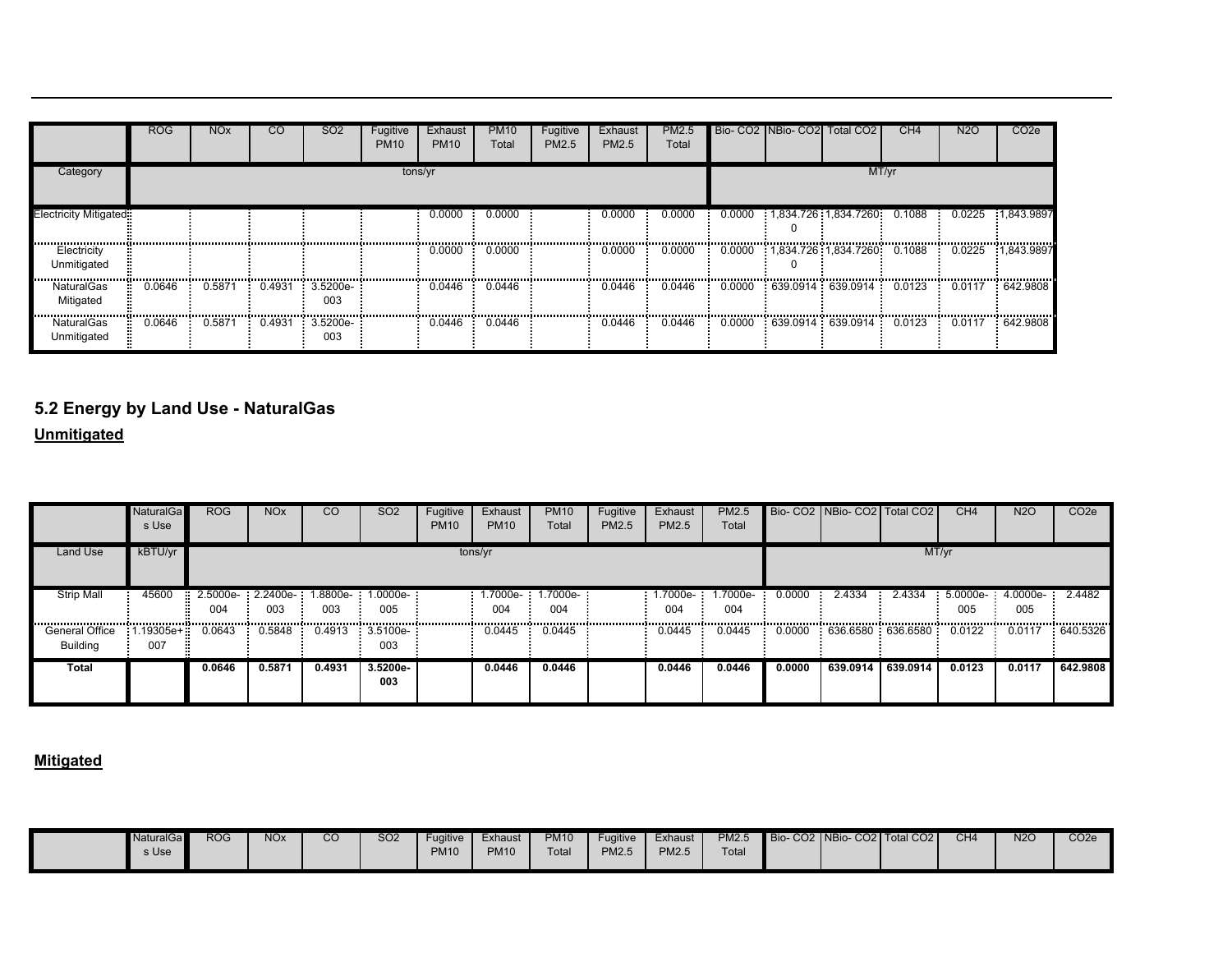|                               | <b>ROG</b> | <b>NO<sub>x</sub></b> | CO     | SO <sub>2</sub> | Fugitive<br><b>PM10</b> | Exhaust<br><b>PM10</b> | <b>PM10</b><br>Total | Fugitive<br>PM2.5 | Exhaust<br>PM2.5 | <b>PM2.5</b><br>Total |        | Bio- CO2   NBio- CO2   Total CO2 | CH <sub>4</sub> | N <sub>2</sub> O | CO <sub>2e</sub> |
|-------------------------------|------------|-----------------------|--------|-----------------|-------------------------|------------------------|----------------------|-------------------|------------------|-----------------------|--------|----------------------------------|-----------------|------------------|------------------|
| Category                      |            |                       |        |                 | tons/yr                 |                        |                      |                   |                  |                       |        |                                  | MT/yr           |                  |                  |
| <b>Electricity Mitigated:</b> |            |                       |        |                 |                         | 0.0000                 | 0.0000               |                   | 0.0000           | 0.0000                | 0.0000 | 1,834.726 1,834.7260 0.1088      |                 | 0.0225           | 1.843.9897       |
| Electricity<br>Unmitigated    |            |                       |        |                 |                         | 0.0000                 | 0.0000               |                   | 0.0000           | 0.0000                |        |                                  |                 | 0.0225           | 1,843.9897       |
| NaturalGas<br>Mitigated       | 0.0646     | 0.5871                | 0.4931 | 3.5200e-<br>003 |                         | 0.0446                 | 0.0446               |                   | 0.0446           | 0.0446                | 0.0000 | 639.0914 639.0914 0.0123         |                 | 0.0117           | 642,9808         |
| NaturalGas<br>Unmitigated     | 0.0646     | 0.587'                | 0.4931 | 3.5200e-<br>003 |                         | 0.0446                 | 0.0446               |                   | 0.0446           | 0.0446                | 0.0000 | 639.0914:639.0914:0.0123         |                 | 0.0117           | $-642.9808$      |

# **5.2 Energy by Land Use - NaturalGas**

**Unmitigated**

|                                   | <b>NaturalGa</b><br>s Use | <b>ROG</b>                 | <b>NO<sub>x</sub></b>      | <sub>CO</sub> | SO <sub>2</sub>     | Fugitive<br><b>PM10</b> | Exhaust<br><b>PM10</b> | <b>PM10</b><br>Total | Fugitive<br>PM2.5 | Exhaust<br>PM2.5 | PM2.5<br>Total  |        | Bio- CO2   NBio- CO2   Total CO2 |          | CH <sub>4</sub> | <b>N2O</b>        | CO <sub>2e</sub> |
|-----------------------------------|---------------------------|----------------------------|----------------------------|---------------|---------------------|-------------------------|------------------------|----------------------|-------------------|------------------|-----------------|--------|----------------------------------|----------|-----------------|-------------------|------------------|
| <b>Land Use</b>                   | kBTU/yr                   |                            |                            |               |                     |                         | tons/yr                |                      |                   |                  |                 |        |                                  |          | MT/yr           |                   |                  |
| <b>Strip Mall</b>                 | 45600                     | $\frac{1}{2.5000e}$<br>004 | $2.2400e - 1.8800e$<br>003 | 003           | $1.0000e-$<br>005   |                         | -.7000e<br>004         | .7000e-<br>004       |                   | 1.7000e-<br>004  | 1.7000e-<br>004 | 0.0000 | 2.4334                           | 2.4334   | 5.0000e-<br>005 | $4.0000e-$<br>005 | 2.4482           |
| General Office<br><b>Building</b> | 007                       | .19305e+ 0.0643            | 0.5848                     | 0.4913        | $: 3.5100e-$<br>003 |                         | 0.0445                 | 0.0445               |                   | 0.0445           | 0.0445          | 0.0000 | 636.6580 636.6580 0.0122         |          |                 | 0.0117            | 640.5326         |
| Total                             |                           | 0.0646                     | 0.5871                     | 0.4931        | $3.5200e-$<br>003   |                         | 0.0446                 | 0.0446               |                   | 0.0446           | 0.0446          | 0.0000 | 639.0914                         | 639.0914 | 0.0123          | 0.0117            | 642.9808         |

| <b>NaturalGa</b> | <b>ROG</b> | <b>NOx</b> | CO | SO <sub>2</sub> | Fugitive    | Exhaust     | <b>PM10</b> | Fugitive | Exhaust      | <b>PM2.5</b>      | Bio-CO2 NBio-CO2 Total CO2 | CH <sub>4</sub> | N2C | CO <sub>2</sub> e |
|------------------|------------|------------|----|-----------------|-------------|-------------|-------------|----------|--------------|-------------------|----------------------------|-----------------|-----|-------------------|
|                  |            |            |    |                 |             |             |             |          |              |                   |                            |                 |     |                   |
| s Use            |            |            |    |                 | <b>PM10</b> | <b>PM10</b> | Total       | PM2.5    | <b>PM2.5</b> | Tota <sub>l</sub> |                            |                 |     |                   |
|                  |            |            |    |                 |             |             |             |          |              |                   |                            |                 |     |                   |
|                  |            |            |    |                 |             |             |             |          |              |                   |                            |                 |     |                   |
|                  |            |            |    |                 |             |             |             |          |              |                   |                            |                 |     |                   |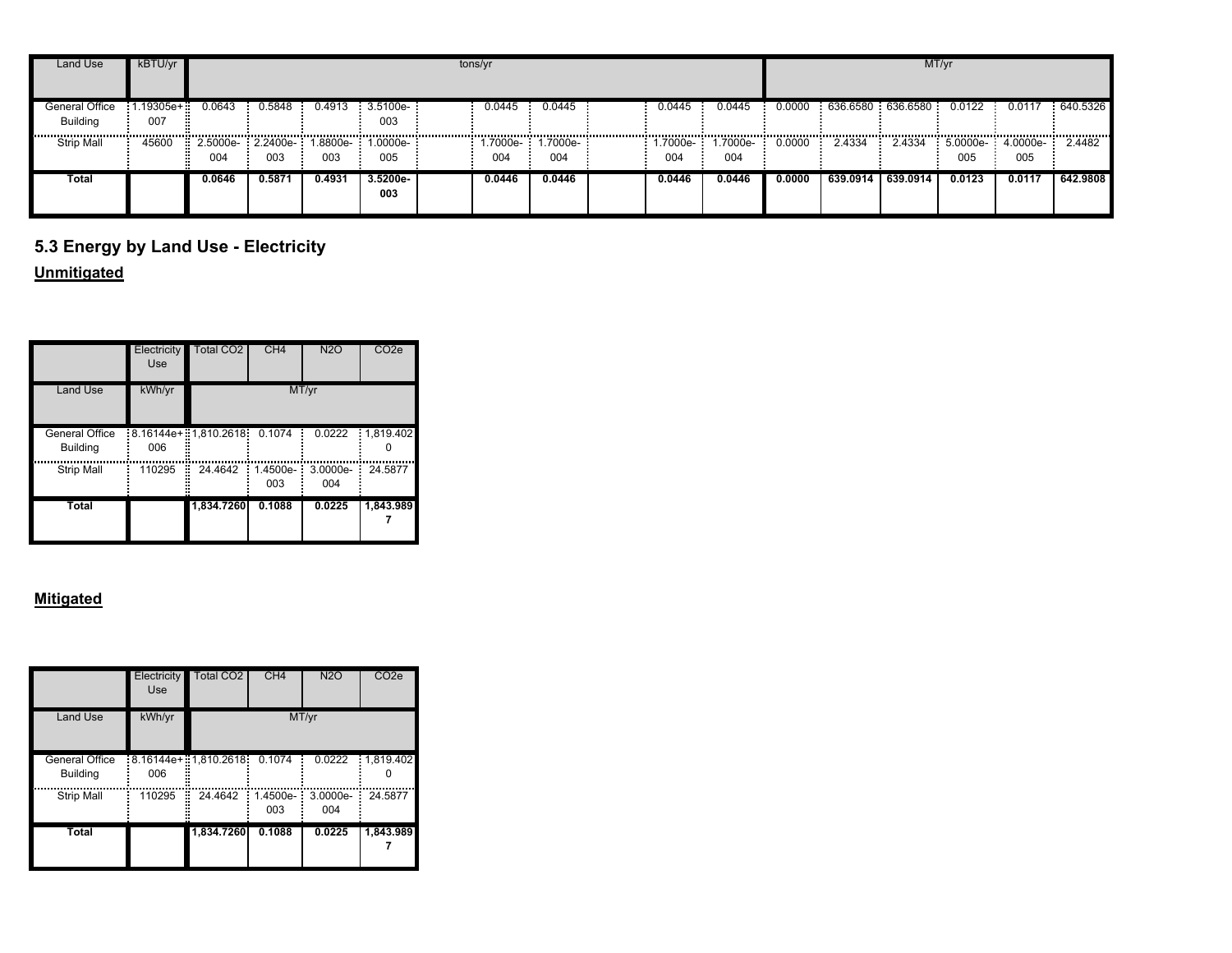| Land Use                          | kBTU/yr          |                                            |        |                              |                    | tons/yr |                              |                 |                     |        |                                          |            | MT/yr   |                           |            |
|-----------------------------------|------------------|--------------------------------------------|--------|------------------------------|--------------------|---------|------------------------------|-----------------|---------------------|--------|------------------------------------------|------------|---------|---------------------------|------------|
| General Office<br><b>Building</b> | 1.19305e+<br>007 | 0.0643                                     |        | $0.5848$ $0.4913$ $3.5100e-$ | 003                | 0.0445  | 0.0445                       | 0.0445          | 0.0445              |        | $0.0000$ 636.6580 636.6580 0.0122 0.0117 |            |         |                           | 640.5326   |
| <b>Strip Mall</b>                 | 45600            | 2.5000e- 2.2400e- 1.8800e- 1.0000e-<br>004 | 003    | 003                          | <br>005            | 004     | <br>.7000e-: 1.7000e-<br>004 | 1.7000e-<br>004 | <br>1.7000e-<br>004 | 0.0000 | 2.4334                                   | <br>2.4334 | <br>005 | $5.0000e-4.0000e-$<br>005 | <br>2.4482 |
| Total                             |                  | 0.0646                                     | 0.5871 | 0.4931                       | $3.5200e -$<br>003 | 0.0446  | 0.0446                       | 0.0446          | 0.0446              | 0.0000 | 639.0914                                 | 639.0914   | 0.0123  | 0.0117                    | 642.9808   |

# **5.3 Energy by Land Use - Electricity**

### **Unmitigated**

|                                   | Electricity<br>Use | Total CO2              | CH <sub>4</sub>          | N2O               | CO <sub>2e</sub> |
|-----------------------------------|--------------------|------------------------|--------------------------|-------------------|------------------|
| <b>Land Use</b>                   | kWh/yr             |                        |                          | MT/yr             |                  |
| General Office<br><b>Building</b> | 006                | $:8.16144e+1.810.2618$ | 0.1074                   | 0.0222            | 1.819.402<br>Ē   |
| <b>Strip Mall</b>                 | 110295             | 24.4642<br>H           | $1.4500e -$<br>ē,<br>003 | $3.0000e-$<br>004 | 24.5877          |
| Total                             |                    | 1,834.7260             | 0.1088                   | 0.0225            | 1,843.989        |

|                                   | Electricity<br><b>Use</b> | <b>Total CO2</b>        | CH4             | <b>N2O</b>      | CO <sub>2</sub> e |
|-----------------------------------|---------------------------|-------------------------|-----------------|-----------------|-------------------|
| <b>Land Use</b>                   | kWh/yr                    |                         |                 | MT/yr           |                   |
| General Office<br><b>Building</b> | 006                       | $18.16144e+17.810.2618$ | 0.1074          | 0.0222          | 1.819.402         |
| <b>Strip Mall</b>                 | 110295                    | 24.4642<br>Е<br>ш       | 1.4500e-<br>003 | 3.0000e-<br>004 | 24.5877           |
| <b>Total</b>                      |                           | 1,834.7260              | 0.1088          | 0.0225          | 1,843.989         |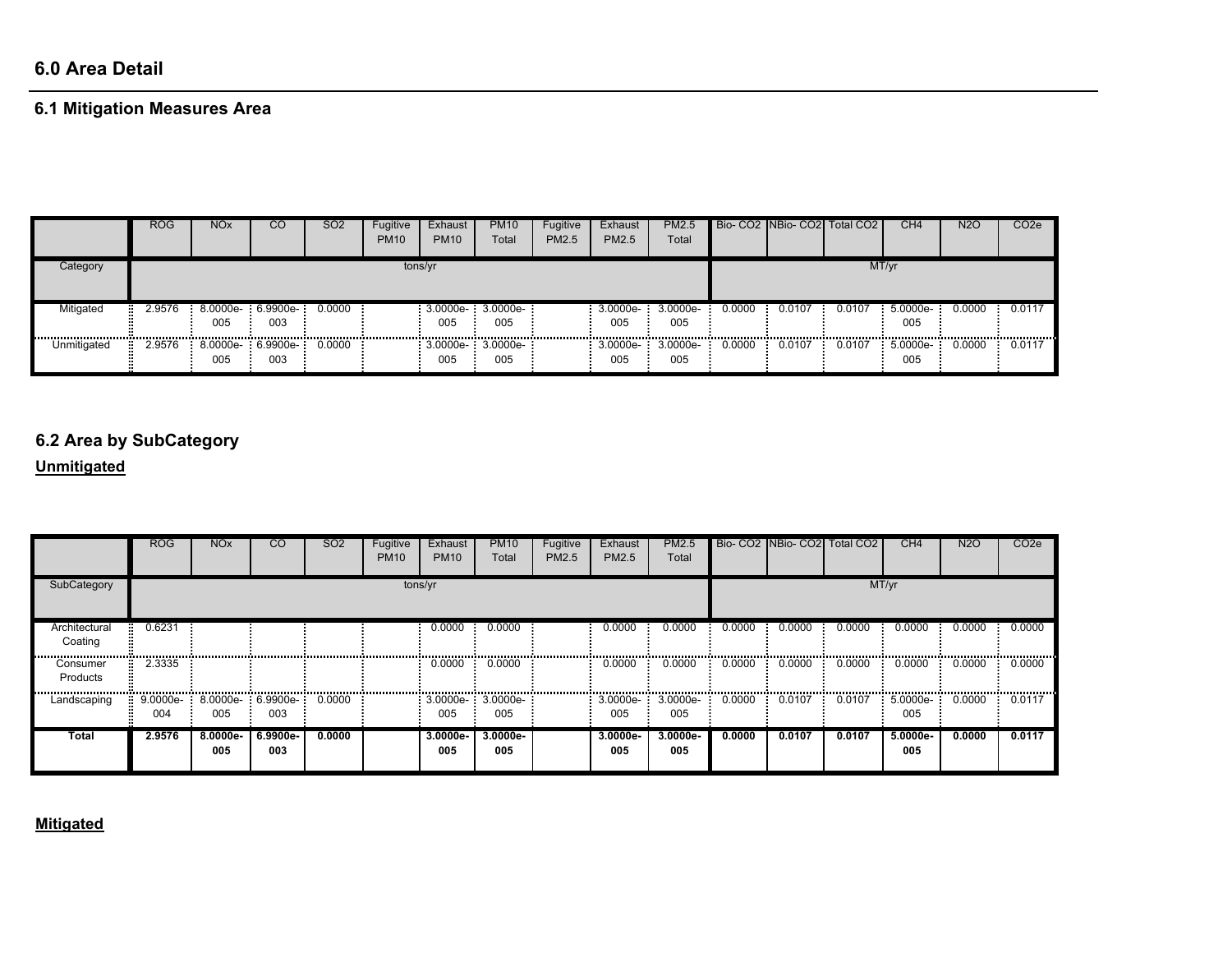# **6.0 Area Detail**

# **6.1 Mitigation Measures Area**

|               | <b>ROG</b> | <b>NO<sub>x</sub></b> | CО                           | <b>SO2</b> | Fugitive<br><b>PM10</b> | Exhaust<br><b>PM10</b>       | <b>PM10</b><br>Total | Fugitive<br><b>PM2.5</b> | Exhaust<br><b>PM2.5</b>   | PM2.5<br>Total  |            |            | Bio- CO2 NBio- CO2 Total CO2 | CH <sub>4</sub>       | <b>N2O</b> | CO <sub>2</sub> e |
|---------------|------------|-----------------------|------------------------------|------------|-------------------------|------------------------------|----------------------|--------------------------|---------------------------|-----------------|------------|------------|------------------------------|-----------------------|------------|-------------------|
| Category      | tons/yr    |                       |                              |            |                         |                              |                      |                          |                           |                 |            |            | MT/yr                        |                       |            |                   |
| Mitigated<br> | 2.9576     | 005<br>               | 8.0000e- 6.9900e-<br>003<br> | 0.0000     |                         | 3.0000e- 3.0000e-<br>005<br> | 005<br>              |                          | $3.0000e-3.0000e-$<br>005 | 005             | 0.0000<br> | 0.0107<br> | 0.0107<br>                   | $5.0000e-$<br>005<br> | 0.0000<br> | 0.0117            |
| Unmitigated   | 2.9576     | 005                   | 8.0000e- 6.9900e-<br>003     | 0.0000     |                         | 3.0000e-: 3.0000e-<br>005    | 005                  |                          | 3.0000e-<br>005           | 3.0000e-<br>005 | 0.0000     | 0.0107     | 0.0107                       | 5.0000e-<br>005       | 0.0000     | 0.0117            |

### **6.2 Area by SubCategory**

### **Unmitigated**

|                          | <b>ROG</b>      | <b>NO<sub>x</sub></b> | CO                       | SO <sub>2</sub> | Fugitive<br><b>PM10</b> | Exhaust<br><b>PM10</b> | <b>PM10</b><br>Total     | Fugitive<br>PM2.5 | Exhaust<br><b>PM2.5</b> | <b>PM2.5</b><br>Total |        |                | Bio- CO2 NBio- CO2 Total CO2 | CH4                    | <b>N2O</b> | CO <sub>2</sub> e |
|--------------------------|-----------------|-----------------------|--------------------------|-----------------|-------------------------|------------------------|--------------------------|-------------------|-------------------------|-----------------------|--------|----------------|------------------------------|------------------------|------------|-------------------|
| SubCategory              |                 |                       |                          |                 | tons/yr                 |                        |                          |                   |                         |                       |        |                |                              | MT/yr                  |            |                   |
| Architectural<br>Coating | 0.6231<br>m.    |                       |                          |                 |                         | 0.0000<br>- 20         | 0.0000                   |                   | 0.0000                  | 0.0000                | 0.0000 | 0.0000<br>- 61 | 0.0000                       | 0.0000<br><b>COLOR</b> | 0.0000     | 0.0000            |
| Consumer<br>Products     | 2.3335          |                       |                          |                 |                         | 0.0000                 | 0.0000                   |                   | 0.0000                  | 0.0000                | 0.0000 | 0.0000         | 0.0000                       | 0.0000                 | 0.0000     | 0.0000            |
| Landscaping              | 9.0000e-<br>004 | 005                   | 8.0000e- 6.9900e-<br>003 | 0.0000          |                         | 005                    | 3.0000e- 3.0000e-<br>005 |                   | $3.0000e-$<br>005       | 3.0000e-<br>005       | 0.0000 | 0.0107         | 0.0107                       | $5.0000e-$<br>005      | 0.0000     | 0.0117            |
| Total                    | 2.9576          | 8.0000e-<br>005       | 6.9900e-<br>003          | 0.0000          |                         | 3.0000e-<br>005        | 3.0000e-<br>005          |                   | 3.0000e-<br>005         | 3.0000e-<br>005       | 0.0000 | 0.0107         | 0.0107                       | 5.0000e-<br>005        | 0.0000     | 0.0117            |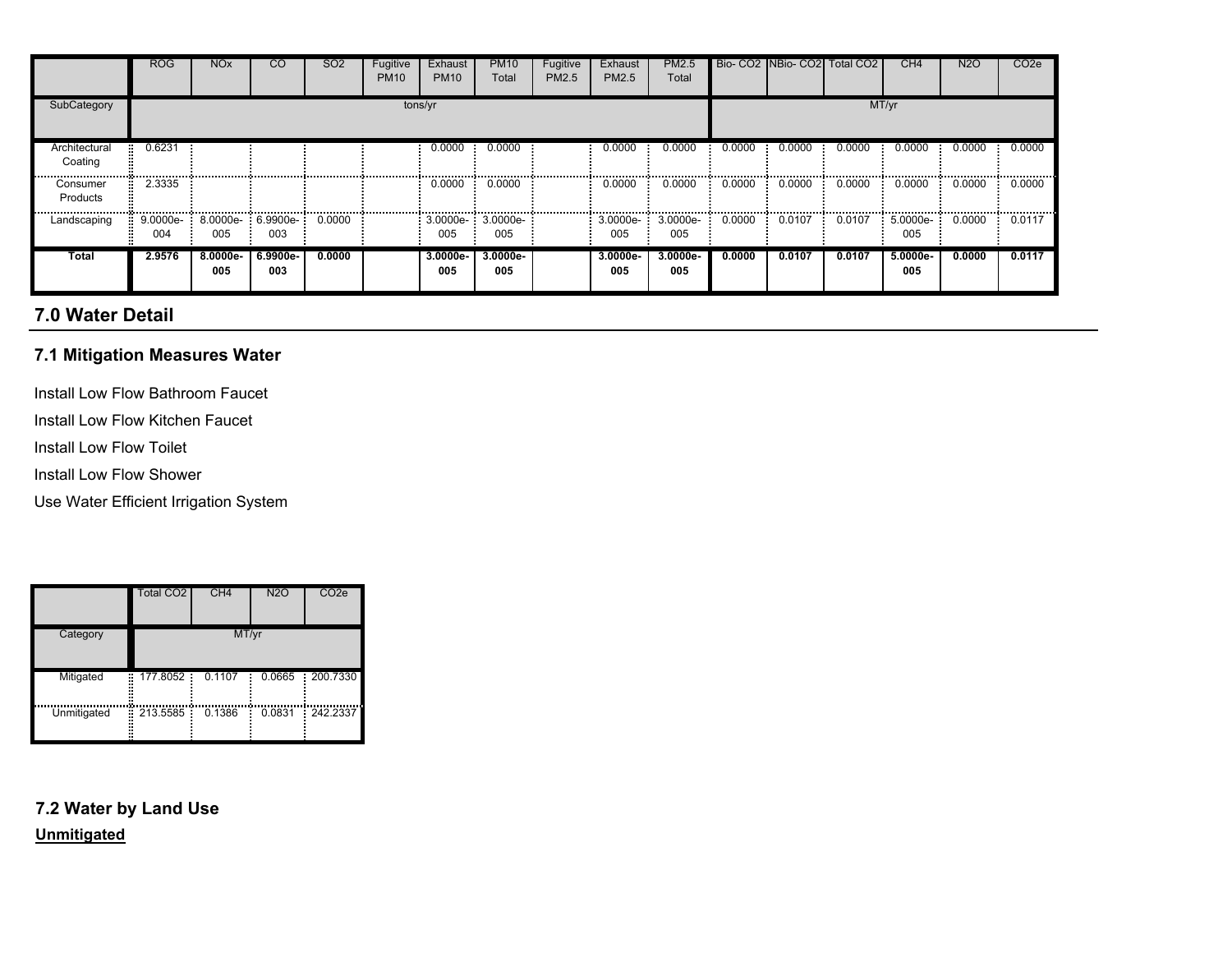|                          | <b>ROG</b> | <b>NO<sub>x</sub></b>             | CO.             | SO <sub>2</sub> | Fugitive<br><b>PM10</b> | Exhaust<br><b>PM10</b> | <b>PM10</b><br>Total       | Fugitive<br>PM2.5 | Exhaust<br>PM2.5 | PM2.5<br>Total           |        |                 | Bio- CO2 INBio- CO2 Total CO2 | CH <sub>4</sub>    | <b>N2O</b> | CO <sub>2</sub> e |
|--------------------------|------------|-----------------------------------|-----------------|-----------------|-------------------------|------------------------|----------------------------|-------------------|------------------|--------------------------|--------|-----------------|-------------------------------|--------------------|------------|-------------------|
| SubCategory              |            |                                   |                 |                 |                         | tons/yr                |                            |                   |                  |                          |        |                 |                               | MT/yr              |            |                   |
| Architectural<br>Coating | 0.6231     |                                   |                 |                 |                         | 0.0000                 | 0.0000                     |                   | 0.0000           | 0.0000                   | 0.0000 | 0.0000          | 0.0000                        | 0.0000             | 0.0000     | 0.0000            |
| Consumer<br>Products     | 2.3335     |                                   |                 |                 |                         | 0.0000                 | 0.0000                     |                   | 0.0000           | 0.0000                   | 0.0000 | 0.0000          | 0.0000                        | 0.0000             | 0.0000     | 0.0000            |
| Landscaping              | 004        | 9.0000e- 8.0000e- 6.9900e-<br>005 | 003             | 0.0000          |                         | 005                    | $3.0000e-3.0000e-7$<br>005 |                   | 005              | 3.0000e- 3.0000e-<br>005 |        | $0.0000$ 0.0107 | 0.0107                        | $5.0000e -$<br>005 | 0.0000     | 0.0117            |
| Total                    | 2.9576     | 8.0000e-<br>005                   | 6.9900e-<br>003 | 0.0000          |                         | 3.0000e-<br>005        | 3.0000e-<br>005            |                   | 3.0000e-<br>005  | 3.0000e-<br>005          | 0.0000 | 0.0107          | 0.0107                        | 5.0000e-<br>005    | 0.0000     | 0.0117            |

# **7.0 Water Detail**

### **7.1 Mitigation Measures Water**

- Install Low Flow Bathroom Faucet
- Install Low Flow Kitchen Faucet
- Install Low Flow Toilet
- Install Low Flow Shower
- Use Water Efficient Irrigation System

|                  | <b>Total CO2</b> | CH <sub>4</sub> | <b>N2O</b> | CO <sub>2</sub> e |
|------------------|------------------|-----------------|------------|-------------------|
| Category         |                  | MT/yr           |            |                   |
| Mitigated<br>×   | 177.8052         | 0.1107          | 0.0665     | 200.7330          |
| Unmitigated<br>÷ | 213.5585         | 0.1386          | 0.0831     | 242.2337          |

## **7.2 Water by Land UseUnmitigated**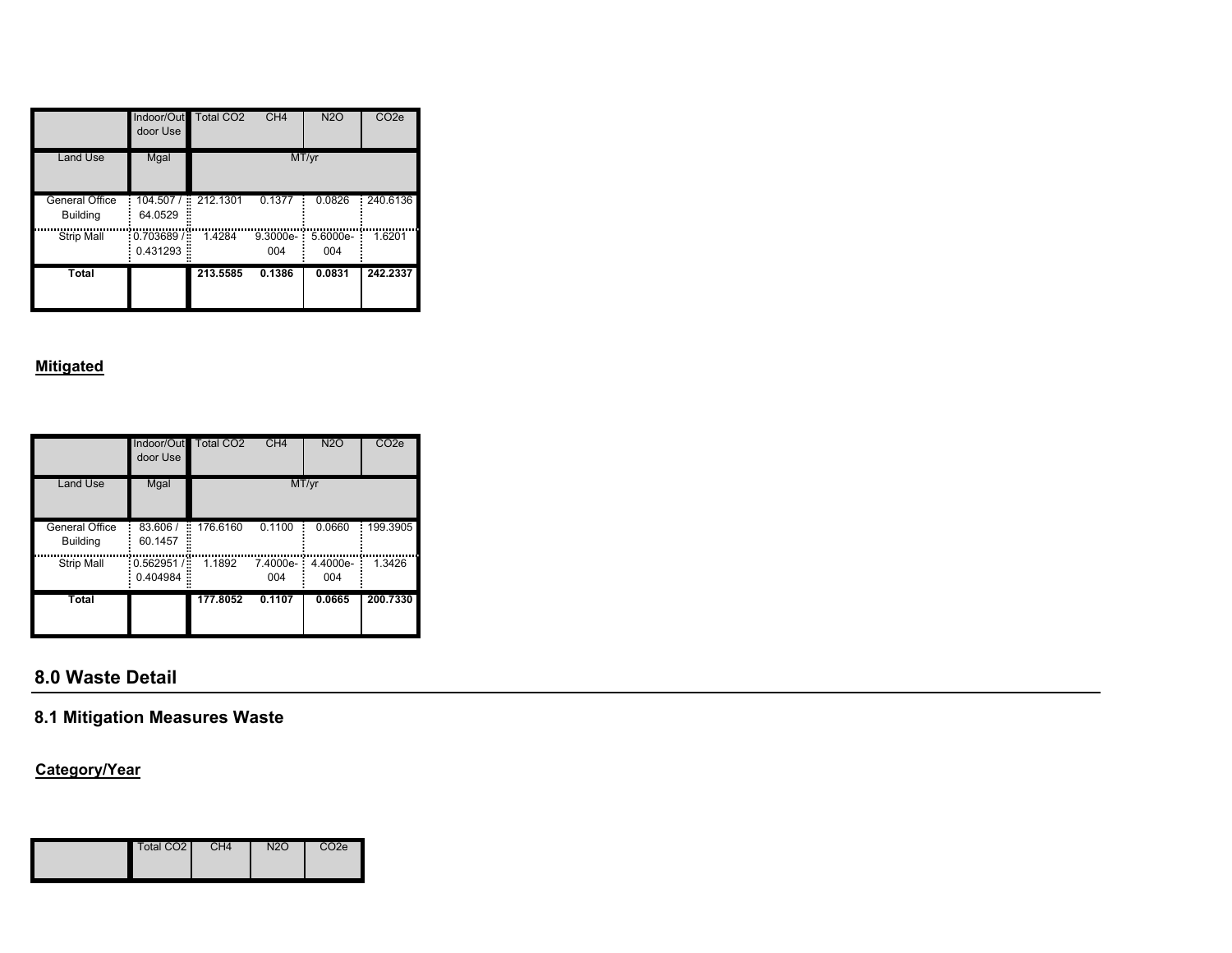|                                   | Indoor/Out<br>door Use             | <b>Total CO2</b> | CH4             | <b>N2O</b>      | CO <sub>2</sub> e |
|-----------------------------------|------------------------------------|------------------|-----------------|-----------------|-------------------|
| <b>Land Use</b>                   | Mgal                               |                  |                 | MT/yr           |                   |
| General Office<br><b>Building</b> | 104.507/<br>H<br>64.0529           | 212.1301         | 0.1377          | 0.0826          | 240.6136          |
| <b>Strip Mall</b>                 | $-0.703689/$<br>н<br>0.431293<br>H | 1.4284           | 9.3000e-<br>004 | 5.6000e-<br>004 | 1.6201            |
| Total                             |                                    | 213.5585         | 0.1386          | 0.0831          | 242.2337          |

#### **Mitigated**

|                                   | Indoor/Out<br>door Use           | Total CO <sub>2</sub> | CH <sub>4</sub> | <b>N2O</b>      | CO <sub>2e</sub> |
|-----------------------------------|----------------------------------|-----------------------|-----------------|-----------------|------------------|
| <b>Land Use</b>                   | Mgal                             |                       |                 | MT/yr           |                  |
| General Office<br><b>Building</b> | 83.606 /<br>60.1457              | 176.6160<br>H         | 0.1100          | 0.0660          | 199.3905         |
| Strip Mall                        | 0.562951/<br>÷,<br>0.404984<br>× | 1.1892                | 7.4000e-<br>004 | 4.4000e-<br>004 | 1.3426           |
| Total                             |                                  | 177.8052              | 0.1107          | 0.0665          | 200.7330         |

# **8.0 Waste Detail**

# **8.1 Mitigation Measures Waste**

## **Category/Year**

| Total CO <sub>2</sub> | CH4 | N <sub>2</sub> C | CO2e |
|-----------------------|-----|------------------|------|
|-----------------------|-----|------------------|------|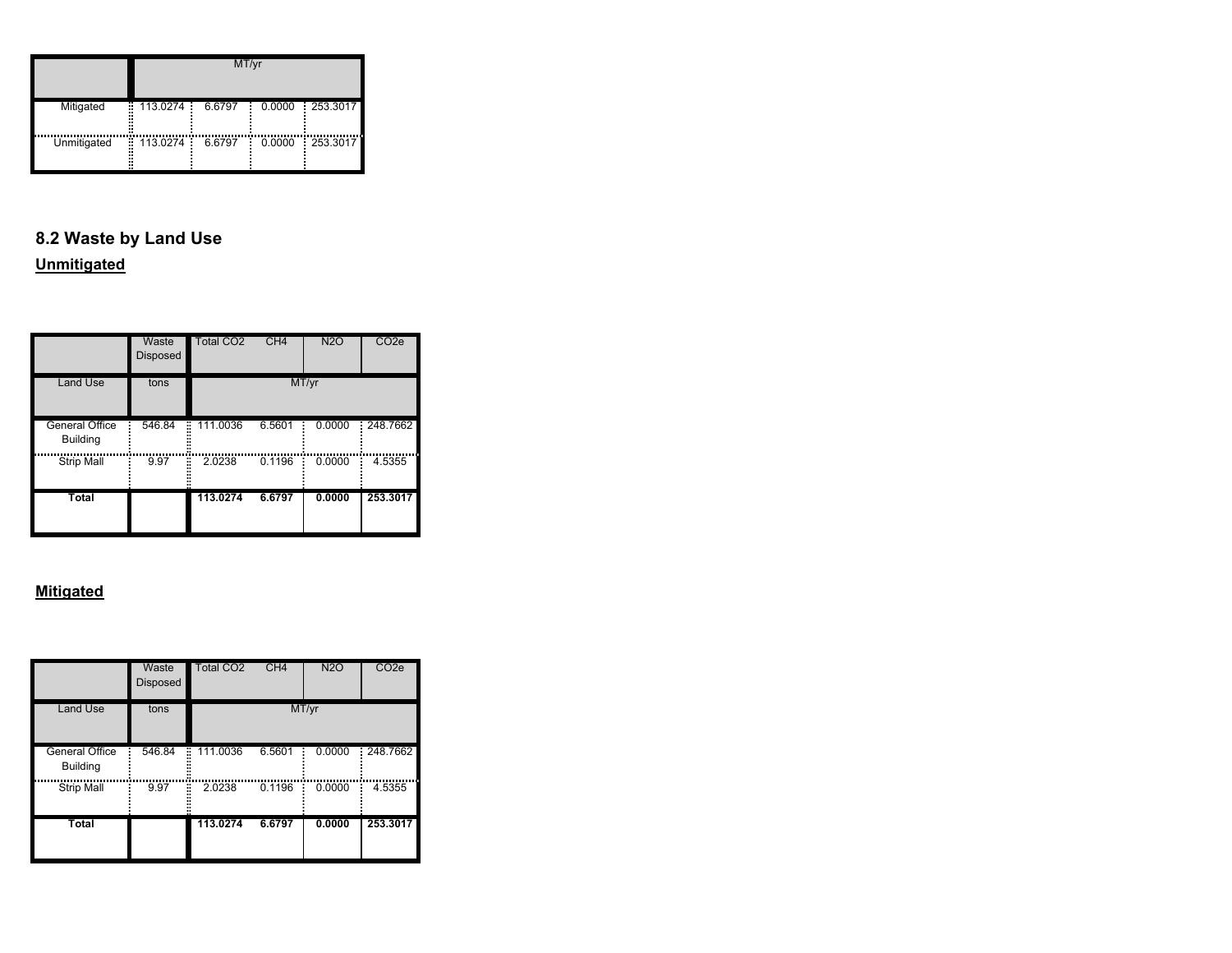|             | MT/yr         |        |        |            |  |  |  |
|-------------|---------------|--------|--------|------------|--|--|--|
| Mitigated   | ÷<br>113.0274 | 6.6797 | 0.0000 | : 253.3017 |  |  |  |
| Unmitigated | Ë<br>113.0274 | 6.6797 | 0.0000 | : 253.3017 |  |  |  |

# **8.2 Waste by Land Use**

# **Unmitigated**

|                                          | Waste<br><b>Disposed</b> | <b>Total CO2</b> | CH4    | <b>N2O</b> | CO <sub>2</sub> e |
|------------------------------------------|--------------------------|------------------|--------|------------|-------------------|
| <b>Land Use</b>                          | tons                     |                  |        | MT/yr      |                   |
| <b>General Office</b><br><b>Building</b> | 546.84                   | 111.0036<br>÷    | 6.5601 | 0.0000     | 248.7662          |
| <b>Strip Mall</b>                        | 9.97                     | ř,<br>2.0238     | 0.1196 | 0.0000     | 4.5355            |
| Total                                    |                          | 113.0274         | 6.6797 | 0.0000     | 253.3017          |

|                                   | Waste<br><b>Disposed</b> | <b>Total CO2</b>  | CH4    | <b>N2O</b> | CO <sub>2e</sub> |
|-----------------------------------|--------------------------|-------------------|--------|------------|------------------|
| <b>Land Use</b>                   | tons                     |                   |        | MT/yr      |                  |
| General Office<br><b>Building</b> | 546.84                   | 111.0036<br>H<br> | 6.5601 | 0.0000     | 248.7662         |
| <b>Strip Mall</b>                 | ř.<br>9.97               | 2.0238            | 0.1196 | 0.0000     | 4.5355           |
| Total                             |                          | 113.0274          | 6.6797 | 0.0000     | 253.3017         |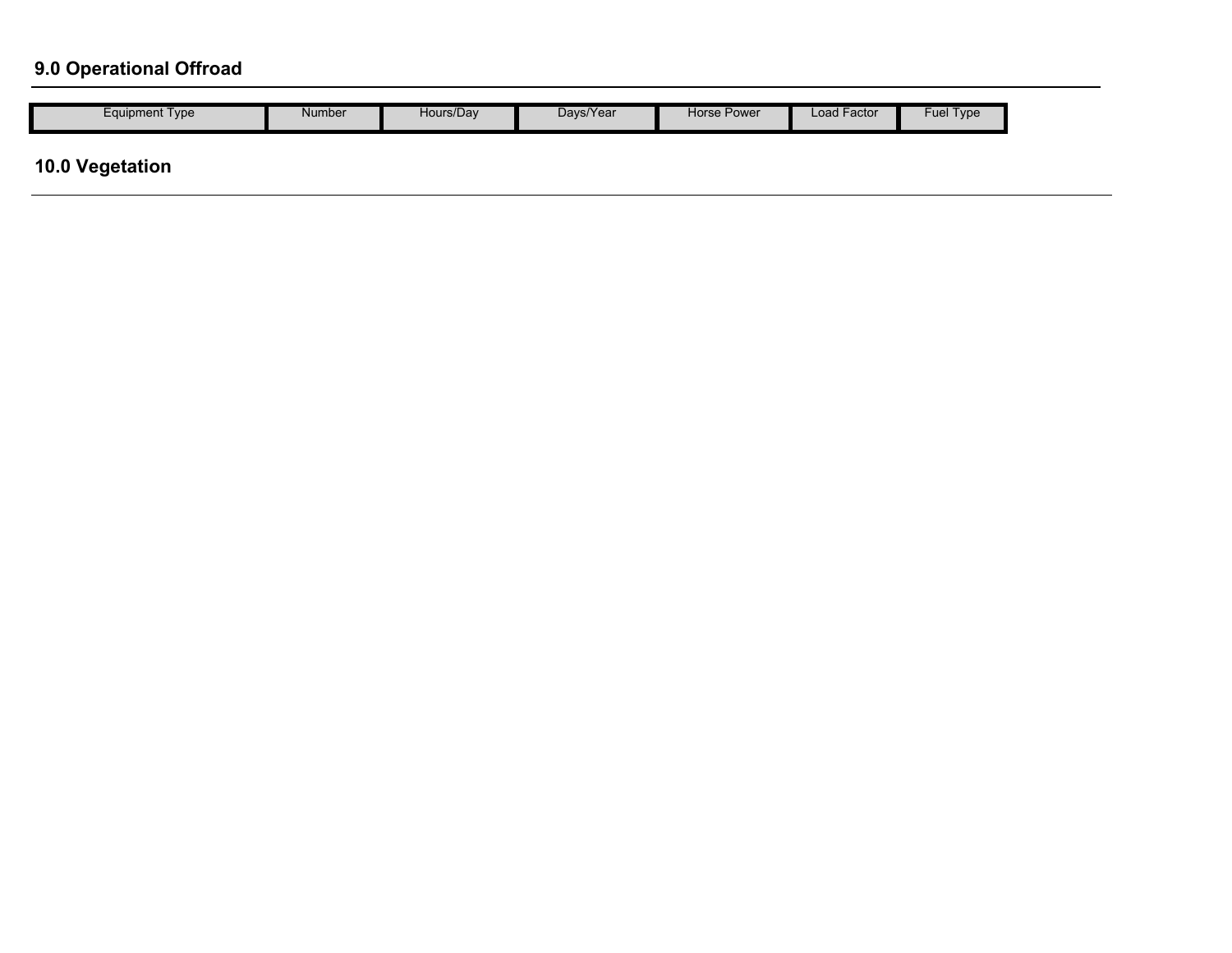# **9.0 Operational Offroad**

| Equipment Type | Number | Hours/Dav | Davs/Year | Horse Power | ∟oad Facto <sup>∙</sup> | Type<br>$-110$<br>-ue. |
|----------------|--------|-----------|-----------|-------------|-------------------------|------------------------|
|----------------|--------|-----------|-----------|-------------|-------------------------|------------------------|

# **10.0 Vegetation**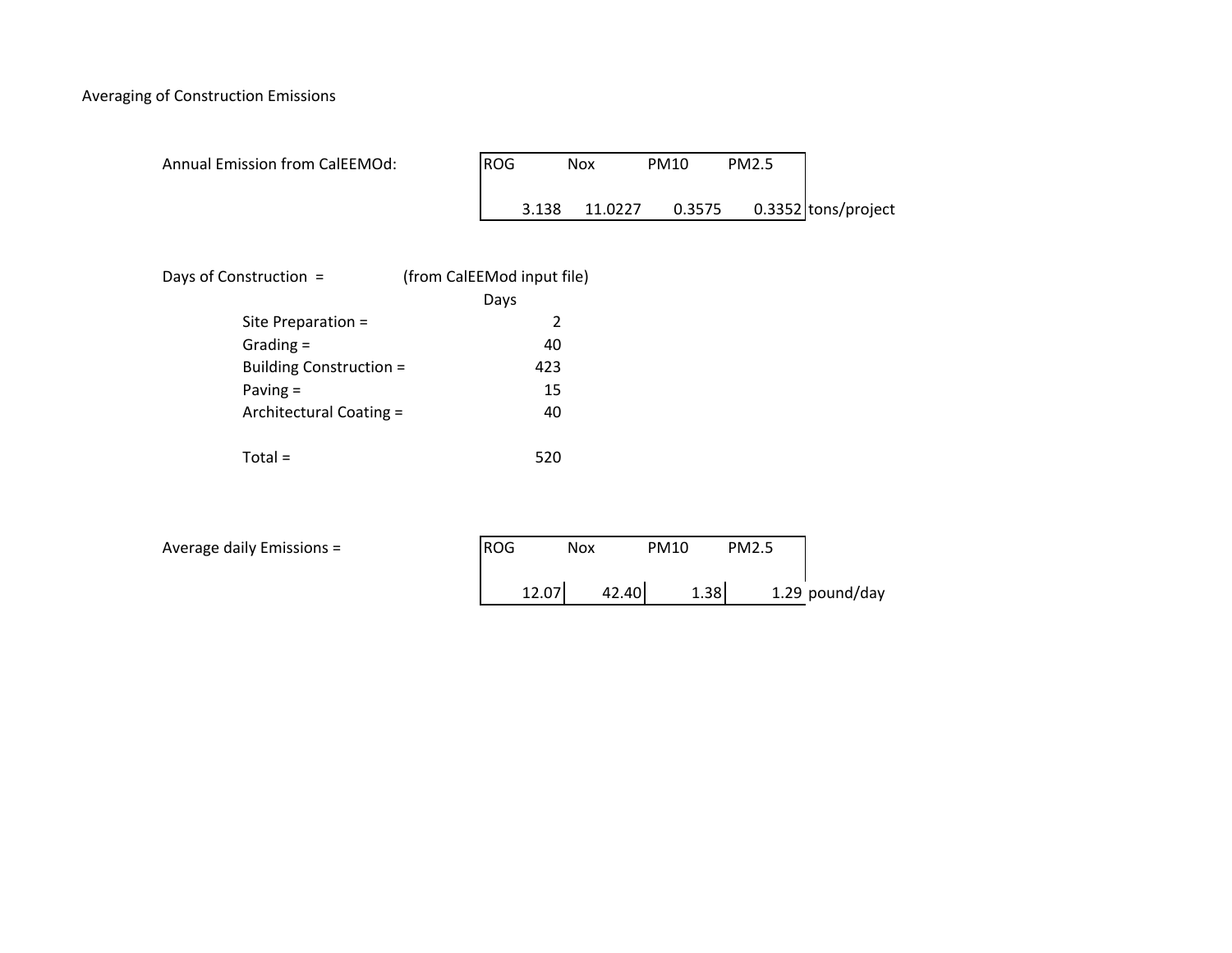Averaging of Construction Emissions

| <b>Annual Emission from CalEEMOd:</b> | <b>ROG</b> | <b>Nox</b> | <b>PM10</b> | <b>PM2.5</b> |                     |
|---------------------------------------|------------|------------|-------------|--------------|---------------------|
|                                       | 3.138      | 11.0227    | 0.3575      |              | 0.3352 tons/project |

| Days of Construction =  | (from CalEEMod input file) |
|-------------------------|----------------------------|
|                         | Days                       |
| Site Preparation =      | 2                          |
| Grading $=$             | 40                         |
| Building Construction = | 423                        |
| Paving $=$              | 15                         |
| Architectural Coating = | 40                         |
| $Total =$               | 520                        |

| Average daily Emissions = | <b>ROG</b> | Nox   | PM10 | PM2.5 |                |
|---------------------------|------------|-------|------|-------|----------------|
|                           | 12.07      | 42.40 | 1.38 |       | 1.29 pound/day |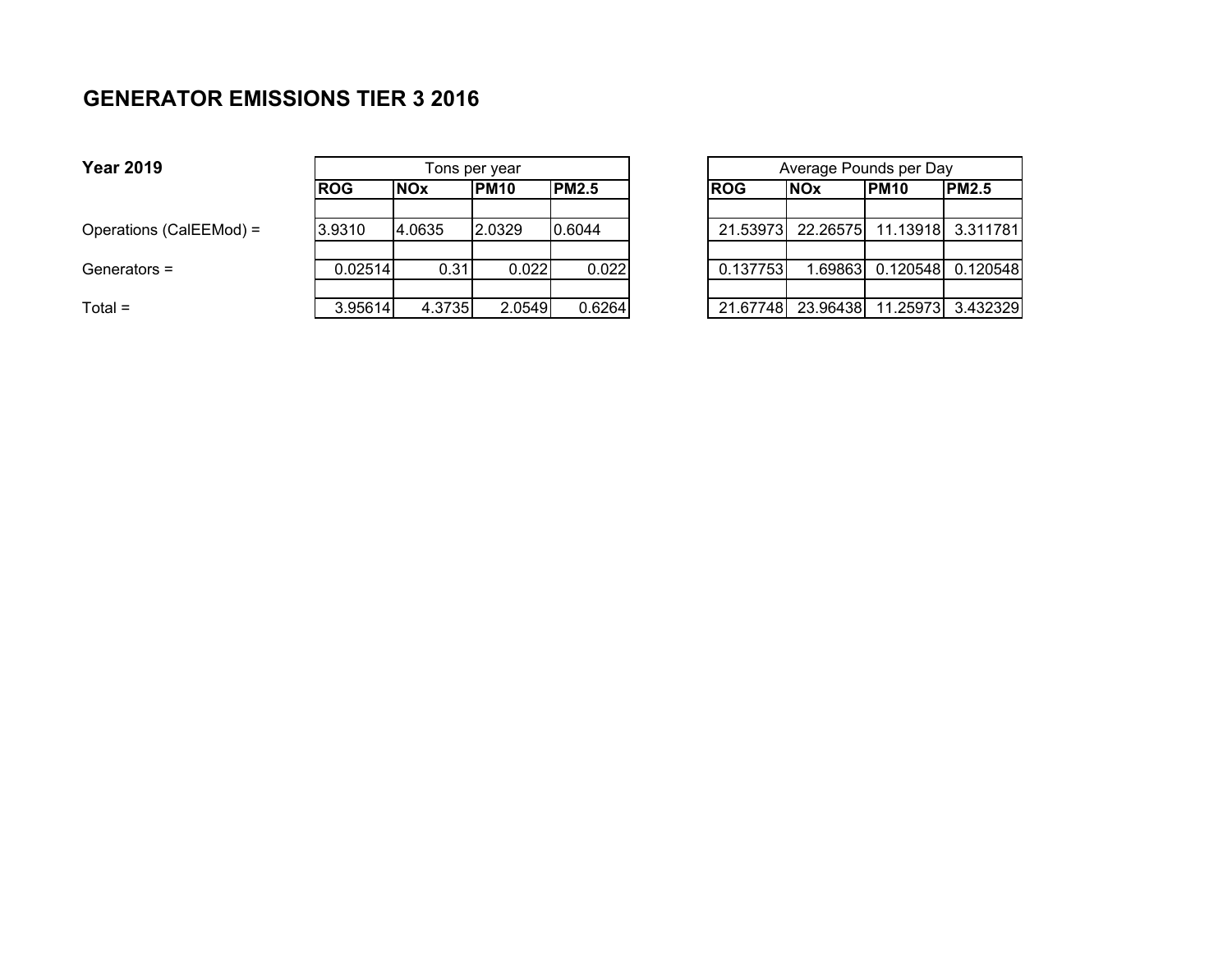# **GENERATOR EMISSIONS TIER 3 2016**

| <b>Year 2019</b>        |            | Tons per year |             |              |  | Average Pounds per Day |            |                                     |              |
|-------------------------|------------|---------------|-------------|--------------|--|------------------------|------------|-------------------------------------|--------------|
|                         | <b>ROG</b> | <b>NOx</b>    | <b>PM10</b> | <b>PM2.5</b> |  | <b>ROG</b>             | <b>NOx</b> | IPM10                               | <b>PM2.5</b> |
| Operations (CalEEMod) = | 3.9310     | 4.0635        | 2.0329      | 0.6044       |  |                        |            | 21.53973 22.26575 11.13918 3.311781 |              |
| Generators =            | 0.02514    | 0.31          | 0.022       | 0.022        |  | 0.137753               | .69863     | 0.120548                            | 0.120548     |
| Total =                 | 3.95614    | 4.3735        | 2.0549      | 0.6264       |  | 21.67748               |            | 23.96438  11.25973  3.432329        |              |

|      |              |  | Average Pounds per Day |            |             |                                     |  |
|------|--------------|--|------------------------|------------|-------------|-------------------------------------|--|
|      | <b>PM2.5</b> |  | <b>ROG</b>             | <b>NOx</b> | <b>PM10</b> | <b>PM2.5</b>                        |  |
|      |              |  |                        |            |             |                                     |  |
| 9    | 0.6044       |  |                        |            |             | 21.53973 22.26575 11.13918 3.311781 |  |
|      |              |  |                        |            |             |                                     |  |
| .022 | 0.022        |  | 0.137753               |            |             | 1.69863 0.120548 0.120548           |  |
|      |              |  |                        |            |             |                                     |  |
| 0549 | 0.6264       |  |                        |            |             | 21.67748 23.96438 11.25973 3.432329 |  |

**Year 2019**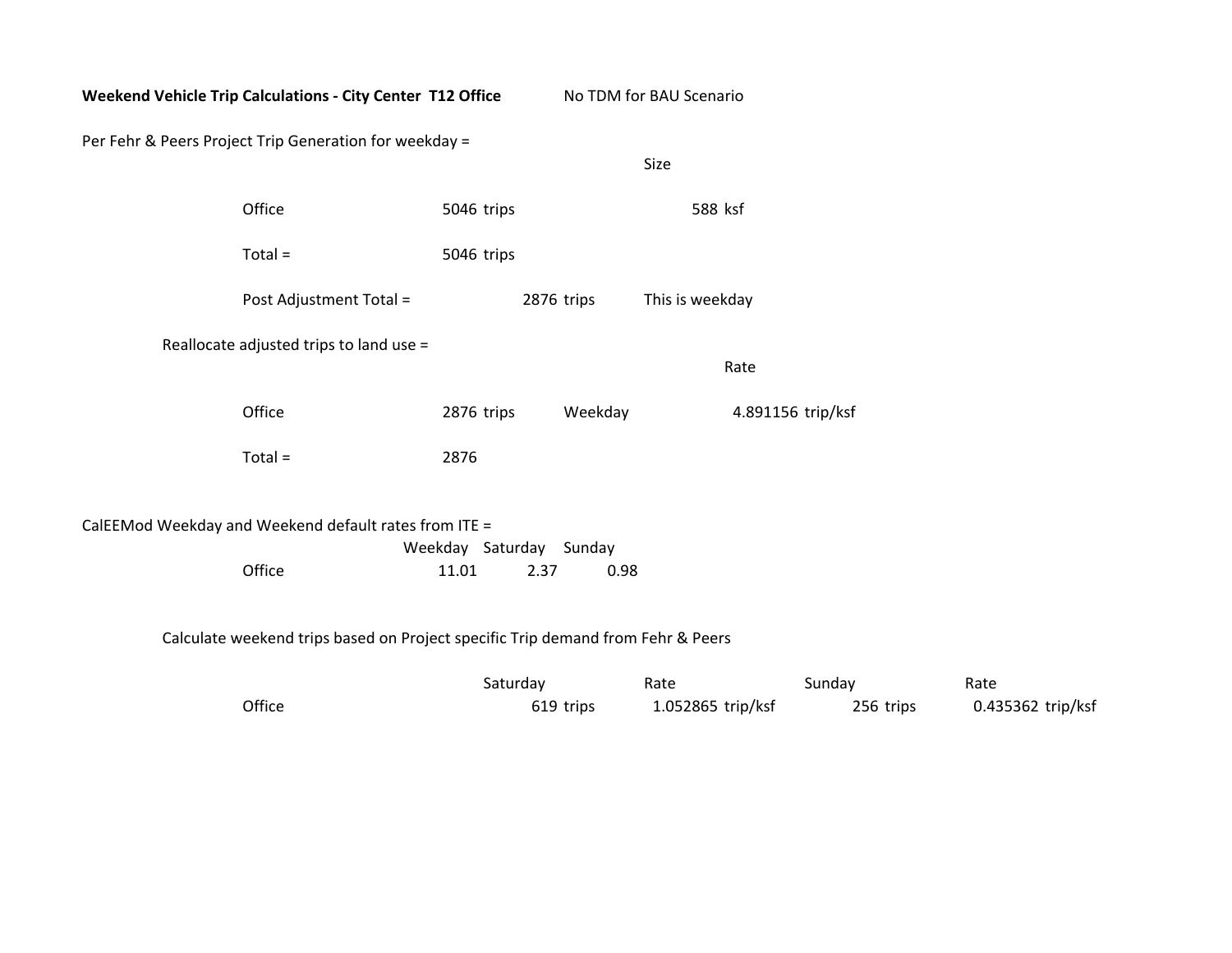| Weekend Vehicle Trip Calculations - City Center T12 Office |                                                                                 |                                          | No TDM for BAU Scenario |                   |
|------------------------------------------------------------|---------------------------------------------------------------------------------|------------------------------------------|-------------------------|-------------------|
| Per Fehr & Peers Project Trip Generation for weekday =     |                                                                                 |                                          | Size                    |                   |
|                                                            | Office                                                                          | 5046 trips                               |                         | 588 ksf           |
|                                                            | $Total =$                                                                       | 5046 trips                               |                         |                   |
|                                                            | Post Adjustment Total =                                                         | 2876 trips                               |                         | This is weekday   |
|                                                            | Reallocate adjusted trips to land use =                                         |                                          |                         | Rate              |
|                                                            | Office                                                                          | 2876 trips                               | Weekday                 | 4.891156 trip/ksf |
|                                                            | $Total =$                                                                       | 2876                                     |                         |                   |
| CalEEMod Weekday and Weekend default rates from ITE =      | Office                                                                          | Weekday Saturday Sunday<br>11.01<br>2.37 | 0.98                    |                   |
|                                                            | Calculate weekend trips based on Project specific Trip demand from Fehr & Peers |                                          |                         |                   |

|        | Saturday  | Rate              | Sunday    | Rate              |
|--------|-----------|-------------------|-----------|-------------------|
| Office | 619 trips | 1.052865 trip/ksf | 256 trips | 0.435362 trip/ksf |